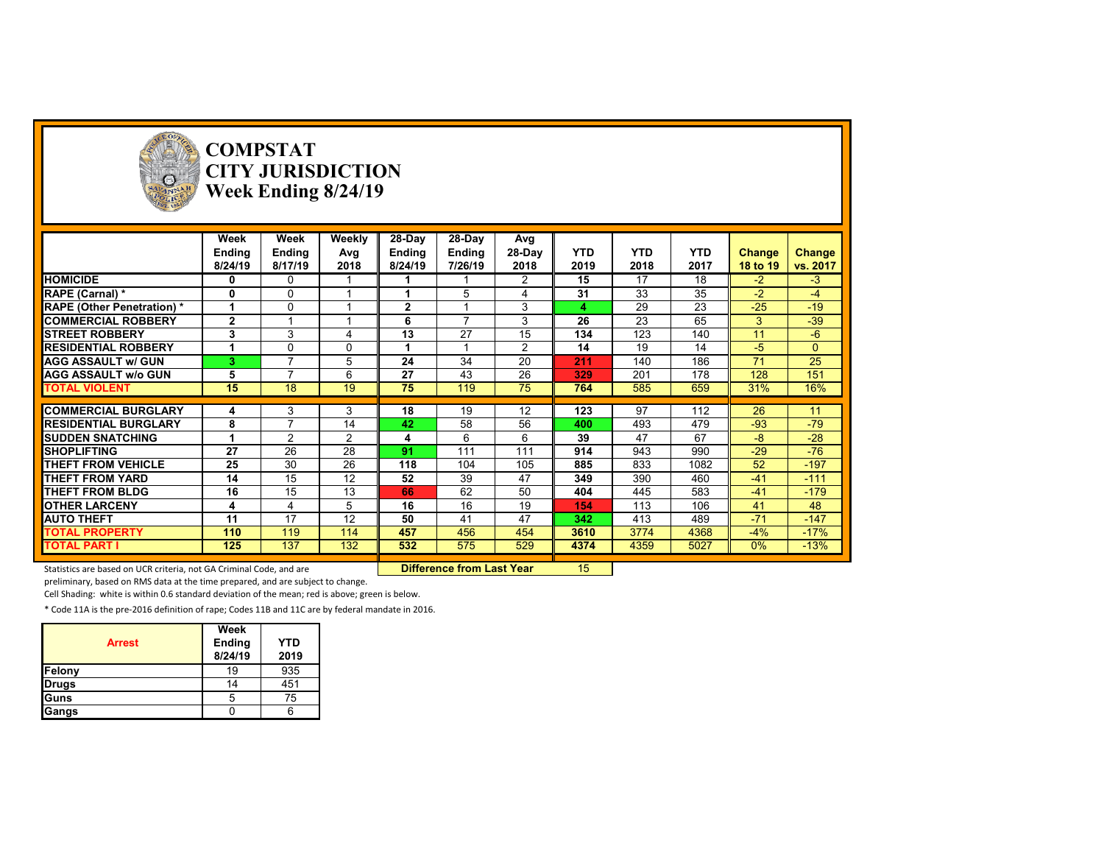

**COMPSTAT CITY JURISDICTION Week Ending 8/24/19**

| 28-Day<br>Week<br>Weekly<br>28-Day<br>Week<br>Avg<br><b>YTD</b><br><b>YTD</b><br><b>YTD</b><br>28-Day<br>Ending<br><b>Ending</b><br>Avg<br>Ending<br>Change<br><b>Ending</b><br>Change<br>2019<br>2018<br>8/24/19<br>2018<br>8/24/19<br>7/26/19<br>2018<br>2017<br>vs. 2017<br>8/17/19<br>18 to 19<br><b>HOMICIDE</b><br>15<br>17<br>$-3$<br>18<br>$-2$<br>2<br>0<br>0<br>31<br>35<br>5<br>33<br>$-2$<br>$-4$<br><b>RAPE (Carnal) *</b><br>0<br>0<br>23<br>$-25$<br>$-19$<br>29<br>$\Omega$<br>$\overline{2}$<br>3<br><b>RAPE (Other Penetration) *</b><br>1<br>4<br>$\overline{\phantom{a}}$<br>26<br>23<br>65<br>3<br>$-39$<br>$\mathbf{2}$<br>3<br><b>COMMERCIAL ROBBERY</b><br>6<br>27<br>123<br>3<br>3<br>13<br>15<br>134<br>140<br>$-6$<br>11<br><b>STREET ROBBERY</b><br>4<br>$\overline{2}$<br>14<br>19<br>14<br>$-5$<br><b>RESIDENTIAL ROBBERY</b><br>$\Omega$<br>$\mathbf{0}$<br>1<br>0<br>34<br>186<br>25<br>24<br>20<br>140<br>71<br><b>AGG ASSAULT w/ GUN</b><br>$\overline{\phantom{a}}$<br>5<br>211<br>з<br>27<br>43<br>26<br>201<br>178<br>128<br>151<br><b>AGG ASSAULT w/o GUN</b><br>$\overline{\phantom{a}}$<br>6<br>329<br>5<br>15<br>18<br>19<br>75<br>119<br>75<br>585<br>659<br>16%<br><b>TOTAL VIOLENT</b><br>764<br>31%<br>97<br>18<br>19<br>12<br>123<br>112<br>26<br><b>COMMERCIAL BURGLARY</b><br>3<br>3<br>11<br>4<br>$-79$<br>58<br>56<br>$-93$<br><b>RESIDENTIAL BURGLARY</b><br>8<br>14<br>42<br>493<br>479<br>400<br>$-28$<br>$\mathcal{P}$<br>6<br>47<br>67<br>-8<br><b>SUDDEN SNATCHING</b><br>2<br>6<br>39<br>1<br>4<br>26<br>28<br>$-29$<br>$-76$<br>27<br>91<br>111<br>111<br>914<br>943<br>990<br><b>SHOPLIFTING</b> |
|-------------------------------------------------------------------------------------------------------------------------------------------------------------------------------------------------------------------------------------------------------------------------------------------------------------------------------------------------------------------------------------------------------------------------------------------------------------------------------------------------------------------------------------------------------------------------------------------------------------------------------------------------------------------------------------------------------------------------------------------------------------------------------------------------------------------------------------------------------------------------------------------------------------------------------------------------------------------------------------------------------------------------------------------------------------------------------------------------------------------------------------------------------------------------------------------------------------------------------------------------------------------------------------------------------------------------------------------------------------------------------------------------------------------------------------------------------------------------------------------------------------------------------------------------------------------------------------------------------------------------------------------------------------|
|                                                                                                                                                                                                                                                                                                                                                                                                                                                                                                                                                                                                                                                                                                                                                                                                                                                                                                                                                                                                                                                                                                                                                                                                                                                                                                                                                                                                                                                                                                                                                                                                                                                             |
|                                                                                                                                                                                                                                                                                                                                                                                                                                                                                                                                                                                                                                                                                                                                                                                                                                                                                                                                                                                                                                                                                                                                                                                                                                                                                                                                                                                                                                                                                                                                                                                                                                                             |
|                                                                                                                                                                                                                                                                                                                                                                                                                                                                                                                                                                                                                                                                                                                                                                                                                                                                                                                                                                                                                                                                                                                                                                                                                                                                                                                                                                                                                                                                                                                                                                                                                                                             |
|                                                                                                                                                                                                                                                                                                                                                                                                                                                                                                                                                                                                                                                                                                                                                                                                                                                                                                                                                                                                                                                                                                                                                                                                                                                                                                                                                                                                                                                                                                                                                                                                                                                             |
|                                                                                                                                                                                                                                                                                                                                                                                                                                                                                                                                                                                                                                                                                                                                                                                                                                                                                                                                                                                                                                                                                                                                                                                                                                                                                                                                                                                                                                                                                                                                                                                                                                                             |
|                                                                                                                                                                                                                                                                                                                                                                                                                                                                                                                                                                                                                                                                                                                                                                                                                                                                                                                                                                                                                                                                                                                                                                                                                                                                                                                                                                                                                                                                                                                                                                                                                                                             |
|                                                                                                                                                                                                                                                                                                                                                                                                                                                                                                                                                                                                                                                                                                                                                                                                                                                                                                                                                                                                                                                                                                                                                                                                                                                                                                                                                                                                                                                                                                                                                                                                                                                             |
|                                                                                                                                                                                                                                                                                                                                                                                                                                                                                                                                                                                                                                                                                                                                                                                                                                                                                                                                                                                                                                                                                                                                                                                                                                                                                                                                                                                                                                                                                                                                                                                                                                                             |
|                                                                                                                                                                                                                                                                                                                                                                                                                                                                                                                                                                                                                                                                                                                                                                                                                                                                                                                                                                                                                                                                                                                                                                                                                                                                                                                                                                                                                                                                                                                                                                                                                                                             |
|                                                                                                                                                                                                                                                                                                                                                                                                                                                                                                                                                                                                                                                                                                                                                                                                                                                                                                                                                                                                                                                                                                                                                                                                                                                                                                                                                                                                                                                                                                                                                                                                                                                             |
|                                                                                                                                                                                                                                                                                                                                                                                                                                                                                                                                                                                                                                                                                                                                                                                                                                                                                                                                                                                                                                                                                                                                                                                                                                                                                                                                                                                                                                                                                                                                                                                                                                                             |
|                                                                                                                                                                                                                                                                                                                                                                                                                                                                                                                                                                                                                                                                                                                                                                                                                                                                                                                                                                                                                                                                                                                                                                                                                                                                                                                                                                                                                                                                                                                                                                                                                                                             |
|                                                                                                                                                                                                                                                                                                                                                                                                                                                                                                                                                                                                                                                                                                                                                                                                                                                                                                                                                                                                                                                                                                                                                                                                                                                                                                                                                                                                                                                                                                                                                                                                                                                             |
|                                                                                                                                                                                                                                                                                                                                                                                                                                                                                                                                                                                                                                                                                                                                                                                                                                                                                                                                                                                                                                                                                                                                                                                                                                                                                                                                                                                                                                                                                                                                                                                                                                                             |
|                                                                                                                                                                                                                                                                                                                                                                                                                                                                                                                                                                                                                                                                                                                                                                                                                                                                                                                                                                                                                                                                                                                                                                                                                                                                                                                                                                                                                                                                                                                                                                                                                                                             |
|                                                                                                                                                                                                                                                                                                                                                                                                                                                                                                                                                                                                                                                                                                                                                                                                                                                                                                                                                                                                                                                                                                                                                                                                                                                                                                                                                                                                                                                                                                                                                                                                                                                             |
|                                                                                                                                                                                                                                                                                                                                                                                                                                                                                                                                                                                                                                                                                                                                                                                                                                                                                                                                                                                                                                                                                                                                                                                                                                                                                                                                                                                                                                                                                                                                                                                                                                                             |
| 26<br>30<br>52<br>$-197$<br><b>THEFT FROM VEHICLE</b><br>25<br>104<br>105<br>885<br>833<br>1082<br>118                                                                                                                                                                                                                                                                                                                                                                                                                                                                                                                                                                                                                                                                                                                                                                                                                                                                                                                                                                                                                                                                                                                                                                                                                                                                                                                                                                                                                                                                                                                                                      |
| 15<br>12<br>39<br><b>THEFT FROM YARD</b><br>14<br>52<br>47<br>349<br>390<br>460<br>$-41$<br>$-111$                                                                                                                                                                                                                                                                                                                                                                                                                                                                                                                                                                                                                                                                                                                                                                                                                                                                                                                                                                                                                                                                                                                                                                                                                                                                                                                                                                                                                                                                                                                                                          |
| 15<br>62<br>16<br>13<br>50<br>445<br>583<br>$-179$<br>66<br>404<br>$-41$<br><b>THEFT FROM BLDG</b>                                                                                                                                                                                                                                                                                                                                                                                                                                                                                                                                                                                                                                                                                                                                                                                                                                                                                                                                                                                                                                                                                                                                                                                                                                                                                                                                                                                                                                                                                                                                                          |
| 16<br><b>OTHER LARCENY</b><br>16<br>19<br>113<br>106<br>48<br>5<br>41<br>4<br>4<br>154                                                                                                                                                                                                                                                                                                                                                                                                                                                                                                                                                                                                                                                                                                                                                                                                                                                                                                                                                                                                                                                                                                                                                                                                                                                                                                                                                                                                                                                                                                                                                                      |
| 11<br>17<br>12<br>50<br>41<br>413<br>489<br>$-71$<br>$-147$<br><b>AUTO THEFT</b><br>47<br>342                                                                                                                                                                                                                                                                                                                                                                                                                                                                                                                                                                                                                                                                                                                                                                                                                                                                                                                                                                                                                                                                                                                                                                                                                                                                                                                                                                                                                                                                                                                                                               |
| $-17%$<br>110<br>119<br>114<br>457<br>456<br>454<br>3610<br>3774<br>4368<br>$-4%$<br><b>TOTAL PROPERTY</b>                                                                                                                                                                                                                                                                                                                                                                                                                                                                                                                                                                                                                                                                                                                                                                                                                                                                                                                                                                                                                                                                                                                                                                                                                                                                                                                                                                                                                                                                                                                                                  |
| 575<br>$-13%$<br><b>TOTAL PART I</b><br>137<br>132<br>532<br>529<br>4374<br>4359<br>5027<br>$0\%$<br>125                                                                                                                                                                                                                                                                                                                                                                                                                                                                                                                                                                                                                                                                                                                                                                                                                                                                                                                                                                                                                                                                                                                                                                                                                                                                                                                                                                                                                                                                                                                                                    |

Statistics are based on UCR criteria, not GA Criminal Code, and are **Difference from Last Year** 15

preliminary, based on RMS data at the time prepared, and are subject to change.

Cell Shading: white is within 0.6 standard deviation of the mean; red is above; green is below.

\* Code 11A is the pre‐2016 definition of rape; Codes 11B and 11C are by federal mandate in 2016.

| <b>Arrest</b> | Week<br>Ending<br>8/24/19 | <b>YTD</b><br>2019 |
|---------------|---------------------------|--------------------|
| Felony        | 19                        | 935                |
| <b>Drugs</b>  | 14                        | 451                |
| Guns          |                           | 75                 |
| Gangs         |                           |                    |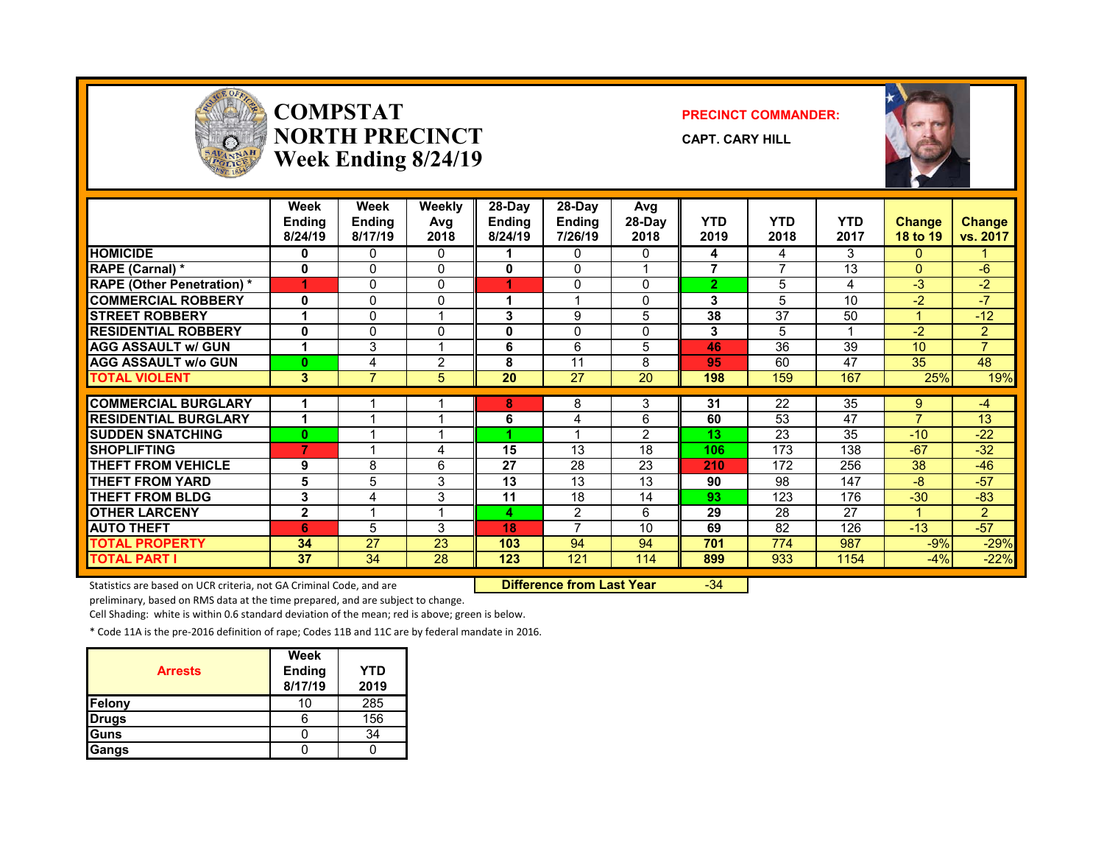

### **COMPSTATNORTH PRECINCTWeek Ending 8/24/19**

### **PRECINCT COMMANDER:**

**CAPT. CARY HILL**



|                                   | Week<br><b>Ending</b><br>8/24/19 | Week<br>Ending<br>8/17/19 | Weekly<br>Avg<br>2018 | 28-Day<br><b>Ending</b><br>8/24/19 | $28-Dav$<br><b>Ending</b><br>7/26/19 | Avg<br>28-Day<br>2018 | <b>YTD</b><br>2019 | <b>YTD</b><br>2018 | <b>YTD</b><br>2017 | <b>Change</b><br>18 to 19 | <b>Change</b><br>vs. 2017 |
|-----------------------------------|----------------------------------|---------------------------|-----------------------|------------------------------------|--------------------------------------|-----------------------|--------------------|--------------------|--------------------|---------------------------|---------------------------|
| <b>HOMICIDE</b>                   | 0                                | 0                         | 0                     |                                    | 0                                    | 0                     | 4                  | 4                  | 3                  | $\Omega$                  |                           |
| <b>RAPE (Carnal)</b> *            | 0                                | $\Omega$                  | $\mathbf{0}$          | 0                                  | $\Omega$                             |                       | 7                  | 7                  | 13                 | $\Omega$                  | $-6$                      |
| <b>RAPE (Other Penetration)</b> * | 4                                | 0                         | $\mathbf{0}$          |                                    | $\Omega$                             | <sup>0</sup>          | 2                  | 5                  | 4                  | -3                        | $-2$                      |
| <b>COMMERCIAL ROBBERY</b>         | 0                                | 0                         | $\mathbf{0}$          |                                    |                                      | <sup>0</sup>          | 3                  | 5                  | 10                 | $-2$                      | $-7$                      |
| <b>STREET ROBBERY</b>             | 1                                | 0                         | 1                     | 3                                  | 9                                    | 5                     | 38                 | 37                 | 50                 |                           | $-12$                     |
| <b>RESIDENTIAL ROBBERY</b>        | 0                                | 0                         | $\mathbf{0}$          | 0                                  | $\mathbf{0}$                         | 0                     | 3                  | 5                  |                    | $-2$                      | $\overline{2}$            |
| <b>AGG ASSAULT w/ GUN</b>         | 1                                | 3                         | 4                     | 6                                  | 6                                    | 5                     | 46                 | 36                 | 39                 | 10                        | $\overline{ }$            |
| <b>AGG ASSAULT w/o GUN</b>        | $\bf{0}$                         | 4                         | $\overline{c}$        | 8                                  | 11                                   | 8                     | 95                 | 60                 | 47                 | 35                        | 48                        |
| <b>TOTAL VIOLENT</b>              | 3                                | $\overline{7}$            | 5                     | 20                                 | 27                                   | 20                    | 198                | 159                | 167                | 25%                       | 19%                       |
|                                   |                                  |                           |                       |                                    |                                      |                       |                    |                    |                    |                           |                           |
| <b>COMMERCIAL BURGLARY</b>        | 1                                |                           |                       | 8                                  | 8                                    | 3                     | 31                 | 22                 | 35                 | 9                         | $-4$                      |
| <b>RESIDENTIAL BURGLARY</b>       | 1                                |                           |                       | 6                                  | 4                                    | 6                     | 60                 | 53                 | 47                 | $\overline{7}$            | 13                        |
| <b>SUDDEN SNATCHING</b>           | $\bf{0}$                         |                           |                       |                                    |                                      | 2                     | 13                 | 23                 | 35                 | $-10$                     | $-22$                     |
| <b>SHOPLIFTING</b>                | 7                                |                           | 4                     | 15                                 | 13                                   | 18                    | 106                | 173                | 138                | $-67$                     | $-32$                     |
| <b>THEFT FROM VEHICLE</b>         | 9                                | 8                         | 6                     | 27                                 | 28                                   | 23                    | 210                | 172                | 256                | 38                        | $-46$                     |
| <b>THEFT FROM YARD</b>            | 5                                | 5                         | 3                     | 13                                 | 13                                   | 13                    | 90                 | 98                 | 147                | $-8$                      | $-57$                     |
| <b>THEFT FROM BLDG</b>            | 3                                | 4                         | 3                     | 11                                 | 18                                   | 14                    | 93                 | 123                | 176                | $-30$                     | $-83$                     |
| <b>OTHER LARCENY</b>              | $\overline{2}$                   |                           | и                     | 4                                  | 2                                    | 6                     | 29                 | 28                 | 27                 |                           | $\overline{2}$            |
| <b>AUTO THEFT</b>                 | 6                                | 5                         | 3                     | 18                                 | $\overline{ }$                       | 10                    | 69                 | 82                 | 126                | $-13$                     | $-57$                     |
| <b>TOTAL PROPERTY</b>             | 34                               | 27                        | 23                    | 103                                | 94                                   | 94                    | 701                | 774                | 987                | $-9%$                     | $-29%$                    |
| <b>TOTAL PART I</b>               | 37                               | 34                        | 28                    | 123                                | 121                                  | 114                   | 899                | 933                | 1154               | $-4%$                     | $-22%$                    |

Statistics are based on UCR criteria, not GA Criminal Code, and are **Difference from Last Year** -34

preliminary, based on RMS data at the time prepared, and are subject to change.

Cell Shading: white is within 0.6 standard deviation of the mean; red is above; green is below.

\* Code 11A is the pre‐2016 definition of rape; Codes 11B and 11C are by federal mandate in 2016.

| <b>Arrests</b> | Week<br><b>Ending</b><br>8/17/19 | YTD<br>2019 |
|----------------|----------------------------------|-------------|
| <b>Felony</b>  | 10                               | 285         |
| <b>Drugs</b>   |                                  | 156         |
| <b>Guns</b>    |                                  | 34          |
| <b>Gangs</b>   |                                  |             |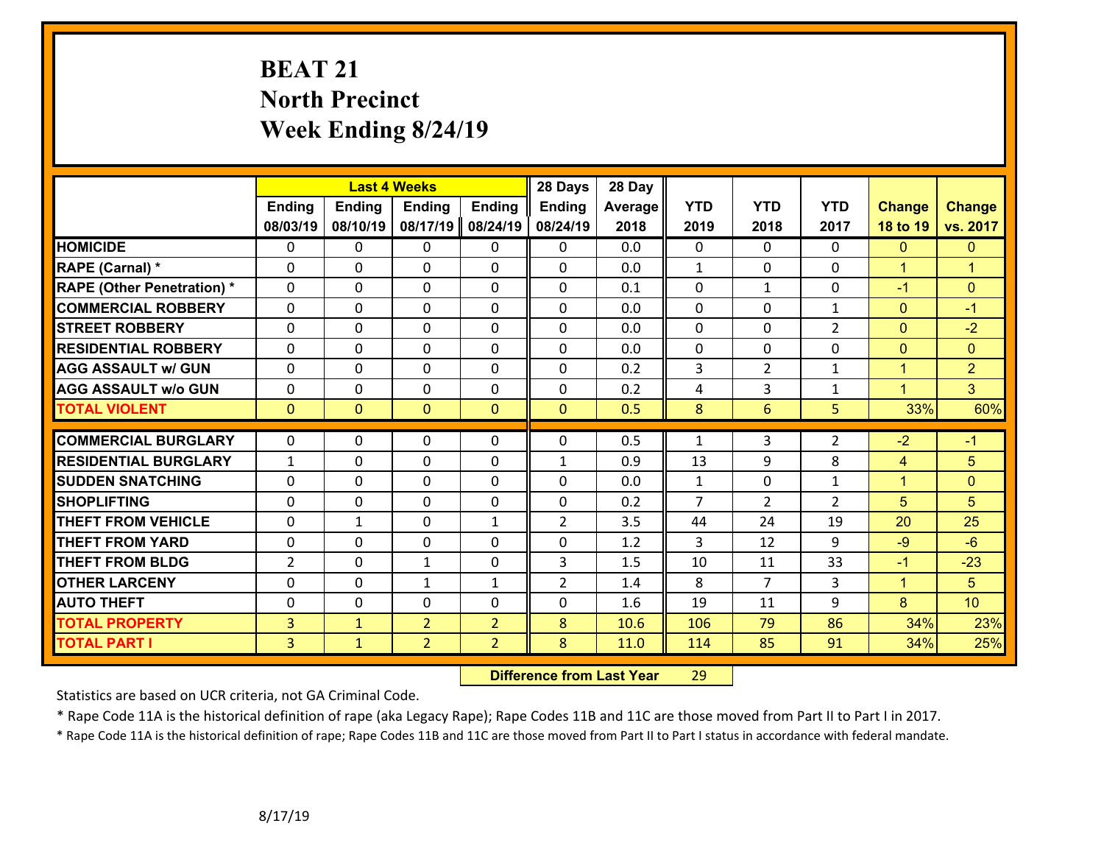# **BEAT 21 North Precinct Week Ending 8/24/19**

|                                   |                |                | <b>Last 4 Weeks</b> |                | 28 Days        | 28 Day  |                |                |                |                      |                 |
|-----------------------------------|----------------|----------------|---------------------|----------------|----------------|---------|----------------|----------------|----------------|----------------------|-----------------|
|                                   | <b>Ending</b>  | <b>Ending</b>  | <b>Ending</b>       | <b>Ending</b>  | <b>Ending</b>  | Average | <b>YTD</b>     | <b>YTD</b>     | <b>YTD</b>     | <b>Change</b>        | <b>Change</b>   |
|                                   | 08/03/19       | 08/10/19       | 08/17/19            | 08/24/19       | 08/24/19       | 2018    | 2019           | 2018           | 2017           | 18 to 19             | vs. 2017        |
| <b>HOMICIDE</b>                   | $\Omega$       | 0              | $\mathbf{0}$        | 0              | 0              | 0.0     | $\Omega$       | $\Omega$       | $\Omega$       | $\Omega$             | $\mathbf{0}$    |
| RAPE (Carnal) *                   | $\Omega$       | 0              | $\mathbf 0$         | 0              | 0              | 0.0     | $\mathbf{1}$   | $\mathbf{0}$   | 0              | $\mathbf{1}$         | $\overline{1}$  |
| <b>RAPE (Other Penetration) *</b> | $\Omega$       | 0              | $\mathbf 0$         | 0              | 0              | 0.1     | 0              | $\mathbf{1}$   | 0              | $-1$                 | $\mathbf{0}$    |
| <b>COMMERCIAL ROBBERY</b>         | 0              | 0              | $\mathbf 0$         | $\Omega$       | 0              | 0.0     | $\mathbf 0$    | $\mathbf 0$    | $\mathbf{1}$   | $\mathbf{0}$         | $-1$            |
| <b>STREET ROBBERY</b>             | 0              | 0              | $\mathbf 0$         | 0              | 0              | 0.0     | $\mathbf 0$    | 0              | $\overline{2}$ | $\mathbf{0}$         | $-2$            |
| <b>RESIDENTIAL ROBBERY</b>        | 0              | 0              | $\mathbf 0$         | 0              | 0              | 0.0     | $\mathbf 0$    | 0              | 0              | $\overline{0}$       | $\overline{0}$  |
| <b>AGG ASSAULT w/ GUN</b>         | 0              | 0              | $\mathbf 0$         | $\Omega$       | 0              | 0.2     | 3              | $\overline{2}$ | $\mathbf{1}$   | $\mathbf{1}$         | $\overline{2}$  |
| <b>AGG ASSAULT w/o GUN</b>        | 0              | 0              | $\mathbf 0$         | 0              | 0              | 0.2     | 4              | 3              | $\mathbf{1}$   | $\blacktriangleleft$ | $\overline{3}$  |
| <b>TOTAL VIOLENT</b>              | $\overline{0}$ | $\overline{0}$ | $\mathbf{0}$        | $\mathbf{0}$   | $\mathbf{0}$   | 0.5     | 8              | 6              | 5              | 33%                  | 60%             |
|                                   |                |                |                     |                |                |         |                |                |                |                      |                 |
| <b>COMMERCIAL BURGLARY</b>        | $\Omega$       | 0              | $\mathbf{0}$        | $\Omega$       | $\Omega$       | 0.5     | $\mathbf{1}$   | 3              | $\overline{2}$ | $-2$                 | $-1$            |
| <b>RESIDENTIAL BURGLARY</b>       | $\mathbf{1}$   | 0              | $\mathbf 0$         | 0              | $\mathbf{1}$   | 0.9     | 13             | 9              | 8              | 4                    | 5               |
| <b>SUDDEN SNATCHING</b>           | 0              | 0              | $\mathbf 0$         | 0              | 0              | 0.0     | $\mathbf{1}$   | $\mathbf 0$    | $\mathbf{1}$   | $\mathbf{1}$         | $\mathbf{0}$    |
| <b>SHOPLIFTING</b>                | $\Omega$       | 0              | $\mathbf 0$         | $\Omega$       | 0              | 0.2     | $\overline{7}$ | $\overline{2}$ | $\overline{2}$ | 5                    | 5               |
| <b>THEFT FROM VEHICLE</b>         | $\Omega$       | 1              | $\mathbf 0$         | $\mathbf{1}$   | $\overline{2}$ | 3.5     | 44             | 24             | 19             | 20                   | 25              |
| <b>THEFT FROM YARD</b>            | 0              | 0              | $\mathbf 0$         | 0              | 0              | 1.2     | 3              | 12             | 9              | $-9$                 | $-6$            |
| <b>THEFT FROM BLDG</b>            | $\overline{2}$ | 0              | $\mathbf{1}$        | 0              | 3              | 1.5     | 10             | 11             | 33             | $-1$                 | $-23$           |
| <b>OTHER LARCENY</b>              | $\mathbf 0$    | 0              | 1                   | $\mathbf{1}$   | $\overline{2}$ | 1.4     | 8              | $\overline{7}$ | 3              | $\mathbf{1}$         | 5               |
| <b>AUTO THEFT</b>                 | 0              | 0              | $\mathbf 0$         | 0              | 0              | 1.6     | 19             | 11             | 9              | 8                    | 10 <sup>1</sup> |
| <b>TOTAL PROPERTY</b>             | 3              | $\mathbf{1}$   | $\overline{2}$      | $\overline{2}$ | 8              | 10.6    | 106            | 79             | 86             | 34%                  | 23%             |
| <b>TOTAL PART I</b>               | $\overline{3}$ | $\mathbf{1}$   | $\overline{2}$      | $\overline{2}$ | 8              | 11.0    | 114            | 85             | 91             | 34%                  | 25%             |

 **Difference from Last Year**r 29

Statistics are based on UCR criteria, not GA Criminal Code.

\* Rape Code 11A is the historical definition of rape (aka Legacy Rape); Rape Codes 11B and 11C are those moved from Part II to Part I in 2017.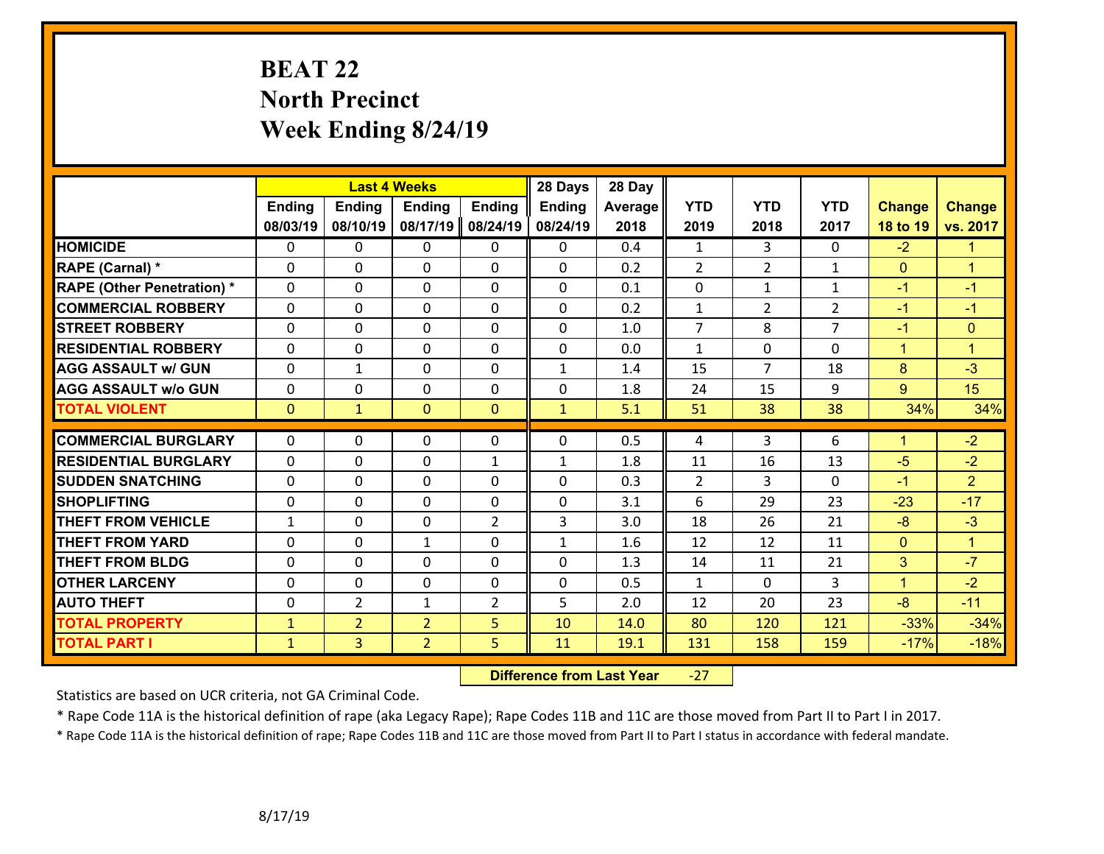# **BEAT 22 North Precinct Week Ending 8/24/19**

|                                   |                |                | <b>Last 4 Weeks</b> |                | 28 Days       | 28 Day  |                |                |                |                |                      |
|-----------------------------------|----------------|----------------|---------------------|----------------|---------------|---------|----------------|----------------|----------------|----------------|----------------------|
|                                   | <b>Ending</b>  | <b>Ending</b>  | <b>Ending</b>       | <b>Ending</b>  | <b>Ending</b> | Average | <b>YTD</b>     | <b>YTD</b>     | <b>YTD</b>     | <b>Change</b>  | <b>Change</b>        |
|                                   | 08/03/19       | 08/10/19       | 08/17/19            | 08/24/19       | 08/24/19      | 2018    | 2019           | 2018           | 2017           | 18 to 19       | vs. 2017             |
| <b>HOMICIDE</b>                   | $\mathbf{0}$   | 0              | $\mathbf{0}$        | 0              | $\mathbf{0}$  | 0.4     | $\mathbf{1}$   | $\overline{3}$ | $\Omega$       | $-2$           | $\blacktriangledown$ |
| RAPE (Carnal) *                   | $\Omega$       | $\Omega$       | $\mathbf 0$         | $\Omega$       | 0             | 0.2     | $\overline{2}$ | $\overline{2}$ | $\mathbf{1}$   | $\overline{0}$ | $\blacktriangleleft$ |
| <b>RAPE (Other Penetration) *</b> | $\Omega$       | $\Omega$       | $\mathbf 0$         | $\Omega$       | $\Omega$      | 0.1     | $\mathbf 0$    | $\mathbf{1}$   | $\mathbf{1}$   | $-1$           | $-1$                 |
| <b>COMMERCIAL ROBBERY</b>         | $\Omega$       | 0              | $\mathbf 0$         | $\Omega$       | 0             | 0.2     | $\mathbf 1$    | $\overline{2}$ | $\overline{2}$ | $-1$           | $-1$                 |
| <b>STREET ROBBERY</b>             | 0              | 0              | $\mathbf 0$         | 0              | 0             | 1.0     | $\overline{7}$ | 8              | $\overline{7}$ | $-1$           | $\mathbf{0}$         |
| <b>RESIDENTIAL ROBBERY</b>        | 0              | 0              | $\mathbf 0$         | 0              | 0             | 0.0     | $\mathbf{1}$   | $\mathbf 0$    | 0              | $\mathbf{1}$   | $\overline{1}$       |
| <b>AGG ASSAULT w/ GUN</b>         | 0              | 1              | $\mathbf 0$         | 0              | $\mathbf{1}$  | 1.4     | 15             | $\overline{7}$ | 18             | 8              | $-3$                 |
| <b>AGG ASSAULT w/o GUN</b>        | $\Omega$       | 0              | $\mathbf 0$         | 0              | 0             | 1.8     | 24             | 15             | 9              | 9              | 15                   |
| <b>TOTAL VIOLENT</b>              | $\overline{0}$ | $\mathbf{1}$   | $\mathbf{0}$        | $\mathbf{0}$   | $\mathbf{1}$  | 5.1     | 51             | 38             | 38             | 34%            | 34%                  |
|                                   |                |                |                     |                |               |         |                |                |                |                |                      |
| <b>COMMERCIAL BURGLARY</b>        | $\Omega$       | 0              | 0                   | 0              | $\Omega$      | 0.5     | 4              | 3              | 6              | $\mathbf{1}$   | $-2$                 |
| <b>RESIDENTIAL BURGLARY</b>       | 0              | 0              | $\mathbf 0$         | $\mathbf{1}$   | $\mathbf{1}$  | 1.8     | 11             | 16             | 13             | $-5$           | $-2$                 |
| <b>SUDDEN SNATCHING</b>           | 0              | 0              | $\mathbf{0}$        | $\Omega$       | 0             | 0.3     | $\overline{2}$ | 3              | $\Omega$       | $-1$           | $\overline{2}$       |
| <b>SHOPLIFTING</b>                | 0              | 0              | 0                   | $\Omega$       | 0             | 3.1     | 6              | 29             | 23             | $-23$          | $-17$                |
| <b>THEFT FROM VEHICLE</b>         | $\mathbf{1}$   | 0              | $\mathbf 0$         | $\overline{2}$ | 3             | 3.0     | 18             | 26             | 21             | $-8$           | $-3$                 |
| <b>THEFT FROM YARD</b>            | 0              | 0              | $\mathbf{1}$        | 0              | $\mathbf{1}$  | 1.6     | 12             | 12             | 11             | $\overline{0}$ | $\overline{1}$       |
| <b>THEFT FROM BLDG</b>            | $\Omega$       | 0              | $\mathbf 0$         | $\Omega$       | 0             | 1.3     | 14             | 11             | 21             | 3              | $-7$                 |
| <b>OTHER LARCENY</b>              | 0              | 0              | $\mathbf 0$         | $\Omega$       | 0             | 0.5     | $\mathbf{1}$   | $\Omega$       | 3              | $\mathbf{1}$   | $-2$                 |
| <b>AUTO THEFT</b>                 | 0              | $\overline{2}$ | 1                   | $\overline{2}$ | 5             | 2.0     | 12             | 20             | 23             | $-8$           | $-11$                |
| <b>TOTAL PROPERTY</b>             | $\mathbf{1}$   | $\overline{2}$ | $\overline{2}$      | 5              | 10            | 14.0    | 80             | 120            | 121            | $-33%$         | $-34%$               |
| <b>TOTAL PART I</b>               | $\mathbf{1}$   | 3 <sup>1</sup> | $\overline{2}$      | 5              | 11            | 19.1    | 131            | 158            | 159            | $-17%$         | $-18%$               |

 **Difference from Last Year**‐27

Statistics are based on UCR criteria, not GA Criminal Code.

\* Rape Code 11A is the historical definition of rape (aka Legacy Rape); Rape Codes 11B and 11C are those moved from Part II to Part I in 2017.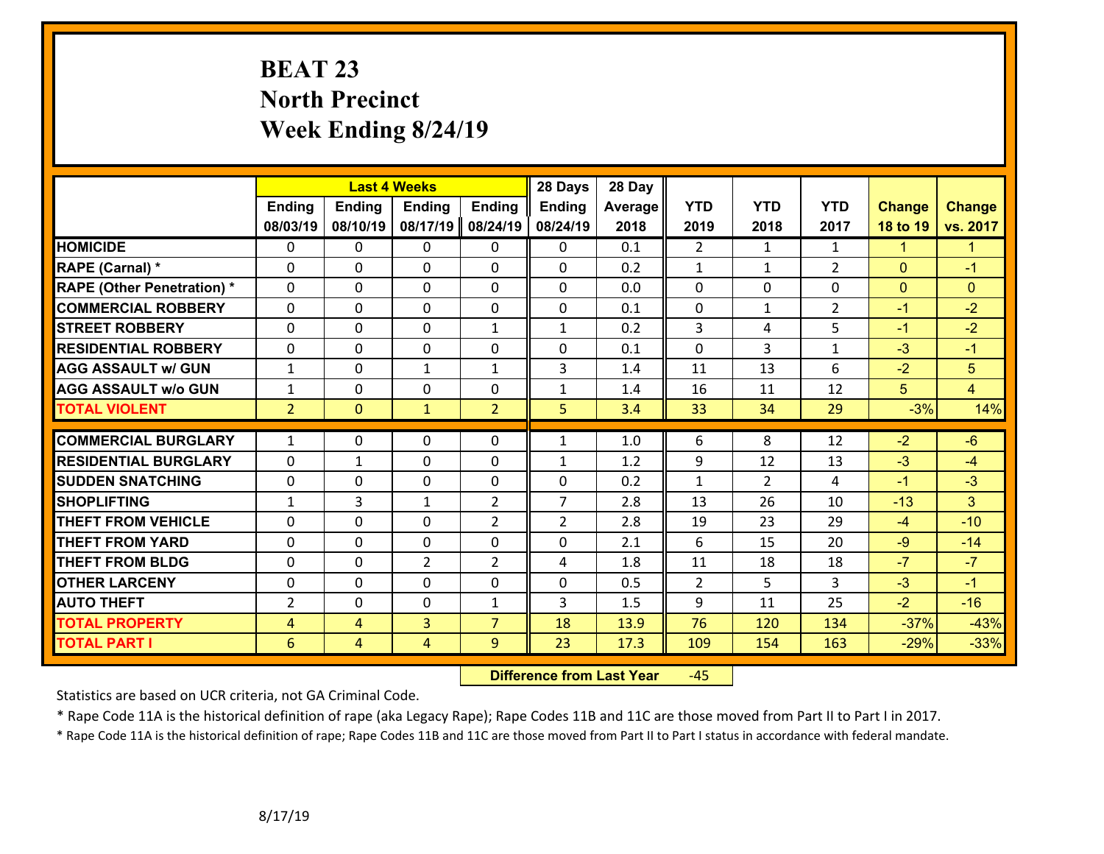# **BEAT 23 North Precinct Week Ending 8/24/19**

|                                   |                |                | <b>Last 4 Weeks</b> |                | 28 Days        | 28 Day  |                |                |                |               |                      |
|-----------------------------------|----------------|----------------|---------------------|----------------|----------------|---------|----------------|----------------|----------------|---------------|----------------------|
|                                   | <b>Ending</b>  | <b>Ending</b>  | <b>Ending</b>       | <b>Ending</b>  | <b>Ending</b>  | Average | <b>YTD</b>     | <b>YTD</b>     | <b>YTD</b>     | <b>Change</b> | <b>Change</b>        |
|                                   | 08/03/19       | 08/10/19       | 08/17/19            | 08/24/19       | 08/24/19       | 2018    | 2019           | 2018           | 2017           | 18 to 19      | vs. 2017             |
| <b>HOMICIDE</b>                   | $\Omega$       | 0              | $\mathbf{0}$        | 0              | $\mathbf{0}$   | 0.1     | $\overline{2}$ | $\mathbf{1}$   | $\mathbf{1}$   | $\mathbf{1}$  | $\blacktriangledown$ |
| RAPE (Carnal) *                   | $\Omega$       | $\Omega$       | $\mathbf 0$         | $\Omega$       | $\Omega$       | 0.2     | $\mathbf{1}$   | $\mathbf{1}$   | $\overline{2}$ | $\Omega$      | $-1$                 |
| <b>RAPE (Other Penetration) *</b> | 0              | 0              | $\mathbf 0$         | 0              | 0              | 0.0     | $\mathbf 0$    | 0              | 0              | $\mathbf{0}$  | $\mathbf{0}$         |
| <b>COMMERCIAL ROBBERY</b>         | 0              | 0              | $\mathbf 0$         | 0              | 0              | 0.1     | $\mathbf 0$    | $\mathbf{1}$   | $\overline{2}$ | $-1$          | $-2$                 |
| <b>STREET ROBBERY</b>             | 0              | 0              | $\mathbf 0$         | $\mathbf{1}$   | $\mathbf{1}$   | 0.2     | 3              | 4              | 5              | $-1$          | $-2$                 |
| <b>RESIDENTIAL ROBBERY</b>        | $\Omega$       | 0              | $\mathbf 0$         | $\Omega$       | 0              | 0.1     | $\Omega$       | $\overline{3}$ | $\mathbf{1}$   | $-3$          | $-1$                 |
| <b>AGG ASSAULT w/ GUN</b>         | $\mathbf{1}$   | 0              | $\mathbf{1}$        | $\mathbf{1}$   | 3              | 1.4     | 11             | 13             | 6              | $-2$          | 5                    |
| <b>AGG ASSAULT w/o GUN</b>        | $\mathbf{1}$   | 0              | $\mathbf 0$         | 0              | $\mathbf{1}$   | 1.4     | 16             | 11             | 12             | 5             | $\overline{4}$       |
| <b>TOTAL VIOLENT</b>              | $\overline{2}$ | $\overline{0}$ | $\mathbf{1}$        | $\overline{2}$ | 5              | 3.4     | 33             | 34             | 29             | $-3%$         | 14%                  |
|                                   |                |                |                     |                |                |         |                |                |                |               |                      |
| <b>COMMERCIAL BURGLARY</b>        | $\mathbf{1}$   | 0              | $\mathbf 0$         | 0              | $\mathbf{1}$   | 1.0     | 6              | 8              | 12             | $-2$          | $-6$                 |
| <b>RESIDENTIAL BURGLARY</b>       | 0              | 1              | $\mathbf 0$         | 0              | $\mathbf{1}$   | 1.2     | 9              | 12             | 13             | $-3$          | $-4$                 |
| <b>SUDDEN SNATCHING</b>           | 0              | 0              | $\mathbf 0$         | 0              | 0              | 0.2     | $\mathbf{1}$   | $\overline{2}$ | 4              | $-1$          | $-3$                 |
| <b>SHOPLIFTING</b>                | $\mathbf{1}$   | 3              | 1                   | $\overline{2}$ | $\overline{7}$ | 2.8     | 13             | 26             | 10             | $-13$         | 3                    |
| <b>THEFT FROM VEHICLE</b>         | $\Omega$       | $\Omega$       | $\mathbf 0$         | $\overline{2}$ | $\overline{2}$ | 2.8     | 19             | 23             | 29             | $-4$          | $-10$                |
| <b>THEFT FROM YARD</b>            | 0              | 0              | $\mathbf 0$         | 0              | 0              | 2.1     | 6              | 15             | 20             | $-9$          | $-14$                |
| <b>THEFT FROM BLDG</b>            | 0              | 0              | $\overline{2}$      | 2              | 4              | 1.8     | 11             | 18             | 18             | $-7$          | $-7$                 |
| <b>OTHER LARCENY</b>              | $\mathbf 0$    | 0              | $\mathbf 0$         | 0              | 0              | 0.5     | $\overline{2}$ | 5              | 3              | $-3$          | $-1$                 |
| <b>AUTO THEFT</b>                 | $\overline{2}$ | $\Omega$       | $\mathbf 0$         | $\mathbf{1}$   | 3              | 1.5     | 9              | 11             | 25             | $-2$          | $-16$                |
| <b>TOTAL PROPERTY</b>             | $\overline{4}$ | $\overline{4}$ | $\overline{3}$      | $\overline{7}$ | 18             | 13.9    | 76             | 120            | 134            | $-37%$        | $-43%$               |
| <b>TOTAL PART I</b>               | 6              | $\overline{4}$ | 4                   | 9              | 23             | 17.3    | 109            | 154            | 163            | $-29%$        | $-33%$               |

 **Difference from Last Year**‐45

Statistics are based on UCR criteria, not GA Criminal Code.

\* Rape Code 11A is the historical definition of rape (aka Legacy Rape); Rape Codes 11B and 11C are those moved from Part II to Part I in 2017.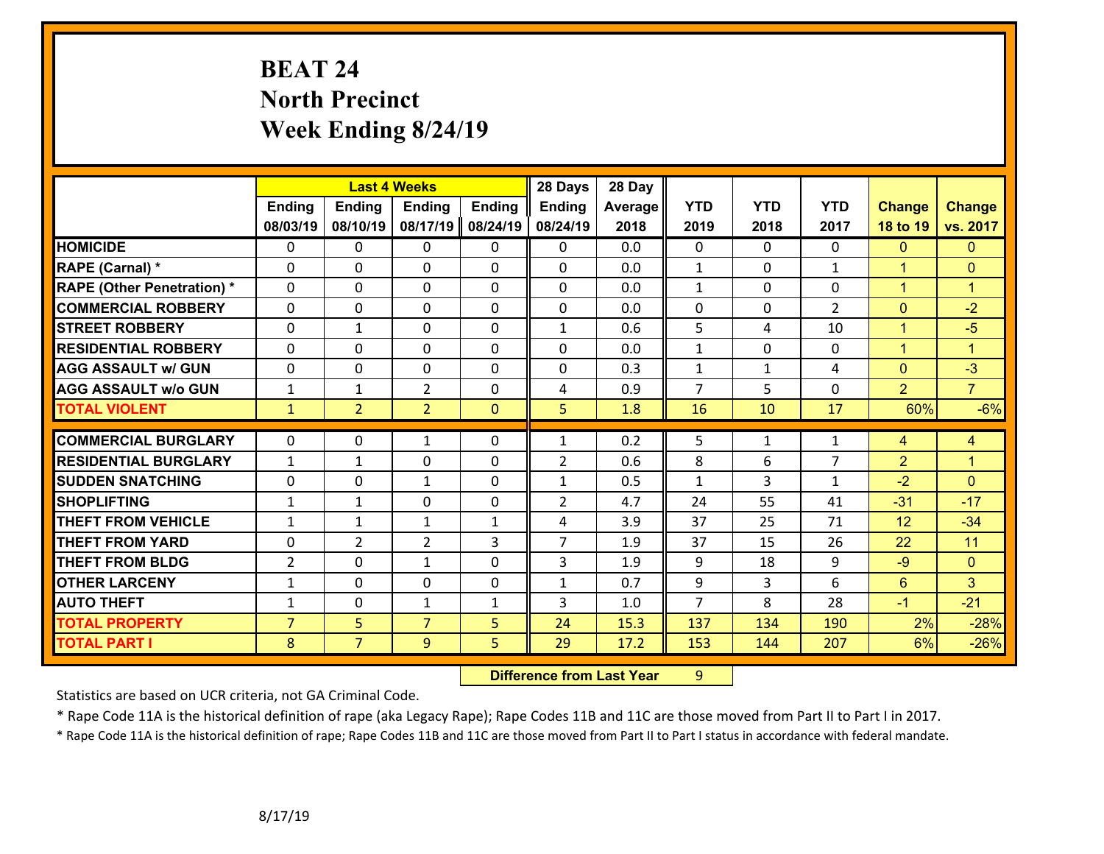# **BEAT 24 North Precinct Week Ending 8/24/19**

|                                   |                |                | <b>Last 4 Weeks</b> |               | 28 Days        | 28 Day  |                |                |                |                 |                      |
|-----------------------------------|----------------|----------------|---------------------|---------------|----------------|---------|----------------|----------------|----------------|-----------------|----------------------|
|                                   | <b>Ending</b>  | <b>Ending</b>  | <b>Ending</b>       | <b>Ending</b> | <b>Ending</b>  | Average | <b>YTD</b>     | <b>YTD</b>     | <b>YTD</b>     | <b>Change</b>   | <b>Change</b>        |
|                                   | 08/03/19       | 08/10/19       | 08/17/19            | 08/24/19      | 08/24/19       | 2018    | 2019           | 2018           | 2017           | 18 to 19        | vs. 2017             |
| <b>HOMICIDE</b>                   | $\Omega$       | 0              | $\mathbf{0}$        | 0             | 0              | 0.0     | $\Omega$       | $\Omega$       | $\Omega$       | $\mathbf{0}$    | $\mathbf{0}$         |
| RAPE (Carnal) *                   | $\Omega$       | 0              | $\mathbf 0$         | 0             | 0              | 0.0     | $\mathbf{1}$   | $\mathbf{0}$   | $\mathbf{1}$   | $\mathbf{1}$    | $\mathbf{0}$         |
| <b>RAPE (Other Penetration) *</b> | $\Omega$       | 0              | $\mathbf 0$         | 0             | 0              | 0.0     | $\mathbf{1}$   | 0              | 0              | $\mathbf{1}$    | $\blacktriangleleft$ |
| <b>COMMERCIAL ROBBERY</b>         | 0              | 0              | $\mathbf 0$         | $\Omega$      | 0              | 0.0     | $\mathbf 0$    | $\mathbf 0$    | $\overline{2}$ | $\overline{0}$  | $-2$                 |
| <b>STREET ROBBERY</b>             | 0              | 1              | $\mathbf 0$         | 0             | $\mathbf{1}$   | 0.6     | 5              | 4              | 10             | $\mathbf{1}$    | $-5$                 |
| <b>RESIDENTIAL ROBBERY</b>        | 0              | 0              | $\mathbf 0$         | 0             | 0              | 0.0     | $\mathbf{1}$   | 0              | $\Omega$       | $\mathbf{1}$    | $\overline{1}$       |
| <b>AGG ASSAULT w/ GUN</b>         | 0              | 0              | $\mathbf 0$         | $\Omega$      | 0              | 0.3     | $\mathbf 1$    | $\mathbf{1}$   | 4              | $\overline{0}$  | $-3$                 |
| <b>AGG ASSAULT w/o GUN</b>        | $\mathbf{1}$   | 1              | $\overline{2}$      | 0             | 4              | 0.9     | $\overline{7}$ | 5              | 0              | $\overline{2}$  | $\overline{7}$       |
| <b>TOTAL VIOLENT</b>              | $\mathbf{1}$   | $\overline{2}$ | $\overline{2}$      | $\mathbf{0}$  | 5              | 1.8     | 16             | 10             | 17             | 60%             | $-6%$                |
|                                   |                |                |                     |               |                |         |                |                |                |                 |                      |
| <b>COMMERCIAL BURGLARY</b>        | $\Omega$       | 0              | 1                   | $\Omega$      | $\mathbf{1}$   | 0.2     | 5              | $\mathbf{1}$   | 1              | 4               | $\overline{4}$       |
| <b>RESIDENTIAL BURGLARY</b>       | $\mathbf{1}$   | 1              | 0                   | 0             | $\overline{2}$ | 0.6     | 8              | 6              | 7              | $\overline{2}$  | $\mathbf{1}$         |
| <b>SUDDEN SNATCHING</b>           | 0              | 0              | $\mathbf{1}$        | 0             | $\mathbf{1}$   | 0.5     | $\mathbf{1}$   | 3              | $\mathbf{1}$   | $-2$            | $\mathbf{0}$         |
| <b>SHOPLIFTING</b>                | $\mathbf{1}$   | 1              | $\mathbf 0$         | $\Omega$      | $\overline{2}$ | 4.7     | 24             | 55             | 41             | $-31$           | $-17$                |
| <b>THEFT FROM VEHICLE</b>         | $\mathbf{1}$   | 1              | 1                   | $\mathbf{1}$  | 4              | 3.9     | 37             | 25             | 71             | 12              | $-34$                |
| <b>THEFT FROM YARD</b>            | 0              | $\overline{2}$ | $\overline{2}$      | 3             | $\overline{7}$ | 1.9     | 37             | 15             | 26             | 22              | 11                   |
| <b>THEFT FROM BLDG</b>            | $\overline{2}$ | 0              | 1                   | $\Omega$      | 3              | 1.9     | 9              | 18             | 9              | $-9$            | $\mathbf{0}$         |
| <b>OTHER LARCENY</b>              | $\mathbf{1}$   | 0              | 0                   | $\Omega$      | $\mathbf{1}$   | 0.7     | 9              | $\overline{3}$ | 6              | $6\overline{6}$ | $\overline{3}$       |
| <b>AUTO THEFT</b>                 | $\mathbf{1}$   | 0              | $\mathbf{1}$        | $\mathbf{1}$  | 3              | 1.0     | $\overline{7}$ | 8              | 28             | $-1$            | $-21$                |
| <b>TOTAL PROPERTY</b>             | $\overline{7}$ | 5              | $\overline{7}$      | 5             | 24             | 15.3    | 137            | 134            | 190            | 2%              | $-28%$               |
| <b>TOTAL PART I</b>               | 8              | $\overline{7}$ | 9                   | 5             | 29             | 17.2    | 153            | 144            | 207            | 6%              | $-26%$               |

 **Difference from Last Year**r 9

Statistics are based on UCR criteria, not GA Criminal Code.

\* Rape Code 11A is the historical definition of rape (aka Legacy Rape); Rape Codes 11B and 11C are those moved from Part II to Part I in 2017.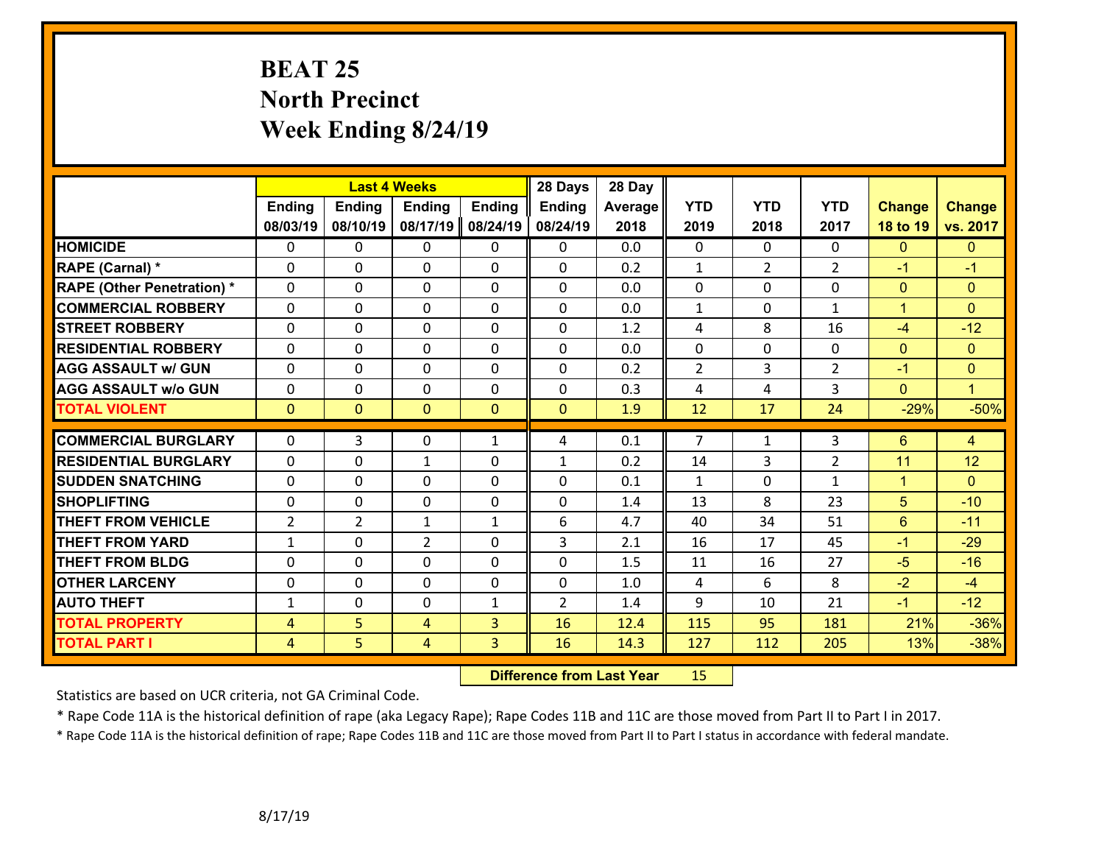# **BEAT 25 North Precinct Week Ending 8/24/19**

|                                   |                |                | <b>Last 4 Weeks</b> |               | 28 Days        | 28 Day  |                |                |                |               |                |
|-----------------------------------|----------------|----------------|---------------------|---------------|----------------|---------|----------------|----------------|----------------|---------------|----------------|
|                                   | <b>Ending</b>  | <b>Ending</b>  | <b>Ending</b>       | <b>Ending</b> | <b>Ending</b>  | Average | <b>YTD</b>     | <b>YTD</b>     | <b>YTD</b>     | <b>Change</b> | <b>Change</b>  |
|                                   | 08/03/19       | 08/10/19       | 08/17/19            | 08/24/19      | 08/24/19       | 2018    | 2019           | 2018           | 2017           | 18 to 19      | vs. 2017       |
| <b>HOMICIDE</b>                   | $\Omega$       | 0              | $\mathbf{0}$        | 0             | $\mathbf{0}$   | 0.0     | $\mathbf 0$    | $\Omega$       | $\Omega$       | $\Omega$      | $\mathbf{0}$   |
| RAPE (Carnal) *                   | $\Omega$       | $\Omega$       | $\mathbf 0$         | $\Omega$      | $\Omega$       | 0.2     | $\mathbf{1}$   | $\overline{2}$ | $\overline{2}$ | $-1$          | $-1$           |
| <b>RAPE (Other Penetration) *</b> | 0              | 0              | $\mathbf 0$         | 0             | 0              | 0.0     | $\mathbf 0$    | 0              | 0              | $\mathbf{0}$  | $\mathbf{0}$   |
| <b>COMMERCIAL ROBBERY</b>         | 0              | 0              | $\mathbf 0$         | 0             | $\Omega$       | 0.0     | $\mathbf{1}$   | $\mathbf{0}$   | $\mathbf{1}$   | $\mathbf{1}$  | $\mathbf{0}$   |
| <b>STREET ROBBERY</b>             | 0              | 0              | $\mathbf 0$         | $\Omega$      | 0              | 1.2     | 4              | 8              | 16             | $-4$          | $-12$          |
| <b>RESIDENTIAL ROBBERY</b>        | $\Omega$       | 0              | $\mathbf 0$         | $\Omega$      | 0              | 0.0     | $\mathbf 0$    | $\Omega$       | 0              | $\mathbf{0}$  | $\overline{0}$ |
| <b>AGG ASSAULT w/ GUN</b>         | 0              | 0              | $\mathbf 0$         | 0             | 0              | 0.2     | $\overline{2}$ | 3              | $\overline{2}$ | $-1$          | $\mathbf{0}$   |
| <b>AGG ASSAULT w/o GUN</b>        | 0              | 0              | $\mathbf 0$         | 0             | 0              | 0.3     | 4              | 4              | 3              | $\mathbf{0}$  | $\overline{1}$ |
| <b>TOTAL VIOLENT</b>              | $\mathbf{0}$   | $\overline{0}$ | $\mathbf{0}$        | $\mathbf{0}$  | $\mathbf{0}$   | 1.9     | 12             | 17             | 24             | $-29%$        | $-50%$         |
|                                   |                |                |                     |               |                |         |                |                |                |               |                |
| <b>COMMERCIAL BURGLARY</b>        | $\Omega$       | 3              | $\mathbf 0$         | $\mathbf{1}$  | 4              | 0.1     | $\overline{7}$ | $\mathbf{1}$   | 3              | 6             | $\overline{4}$ |
| <b>RESIDENTIAL BURGLARY</b>       | 0              | 0              | 1                   | 0             | $\mathbf{1}$   | 0.2     | 14             | 3              | $\overline{2}$ | 11            | 12             |
| <b>SUDDEN SNATCHING</b>           | 0              | 0              | $\mathbf 0$         | 0             | $\Omega$       | 0.1     | $\mathbf{1}$   | $\mathbf{0}$   | $\mathbf{1}$   | $\mathbf{1}$  | $\overline{0}$ |
| <b>SHOPLIFTING</b>                | 0              | 0              | $\mathbf 0$         | 0             | 0              | 1.4     | 13             | 8              | 23             | 5             | $-10$          |
| <b>THEFT FROM VEHICLE</b>         | $\overline{2}$ | $\overline{2}$ | 1                   | $\mathbf{1}$  | 6              | 4.7     | 40             | 34             | 51             | 6             | $-11$          |
| <b>THEFT FROM YARD</b>            | $\mathbf{1}$   | 0              | $\overline{2}$      | 0             | 3              | 2.1     | 16             | 17             | 45             | $-1$          | $-29$          |
| <b>THEFT FROM BLDG</b>            | 0              | 0              | $\mathbf 0$         | $\Omega$      | 0              | 1.5     | 11             | 16             | 27             | $-5$          | $-16$          |
| <b>OTHER LARCENY</b>              | $\mathbf 0$    | 0              | $\mathbf 0$         | 0             | $\mathbf 0$    | 1.0     | 4              | 6              | 8              | $-2$          | $-4$           |
| <b>AUTO THEFT</b>                 | $\mathbf{1}$   | $\Omega$       | $\mathbf 0$         | $\mathbf{1}$  | $\overline{2}$ | 1.4     | 9              | 10             | 21             | $-1$          | $-12$          |
| <b>TOTAL PROPERTY</b>             | $\overline{4}$ | 5              | $\overline{4}$      | 3             | 16             | 12.4    | 115            | 95             | 181            | 21%           | $-36%$         |
| <b>TOTAL PART I</b>               | $\overline{4}$ | 5              | 4                   | 3             | 16             | 14.3    | 127            | 112            | 205            | 13%           | $-38%$         |

 **Difference from Last Year**r 15

Statistics are based on UCR criteria, not GA Criminal Code.

\* Rape Code 11A is the historical definition of rape (aka Legacy Rape); Rape Codes 11B and 11C are those moved from Part II to Part I in 2017.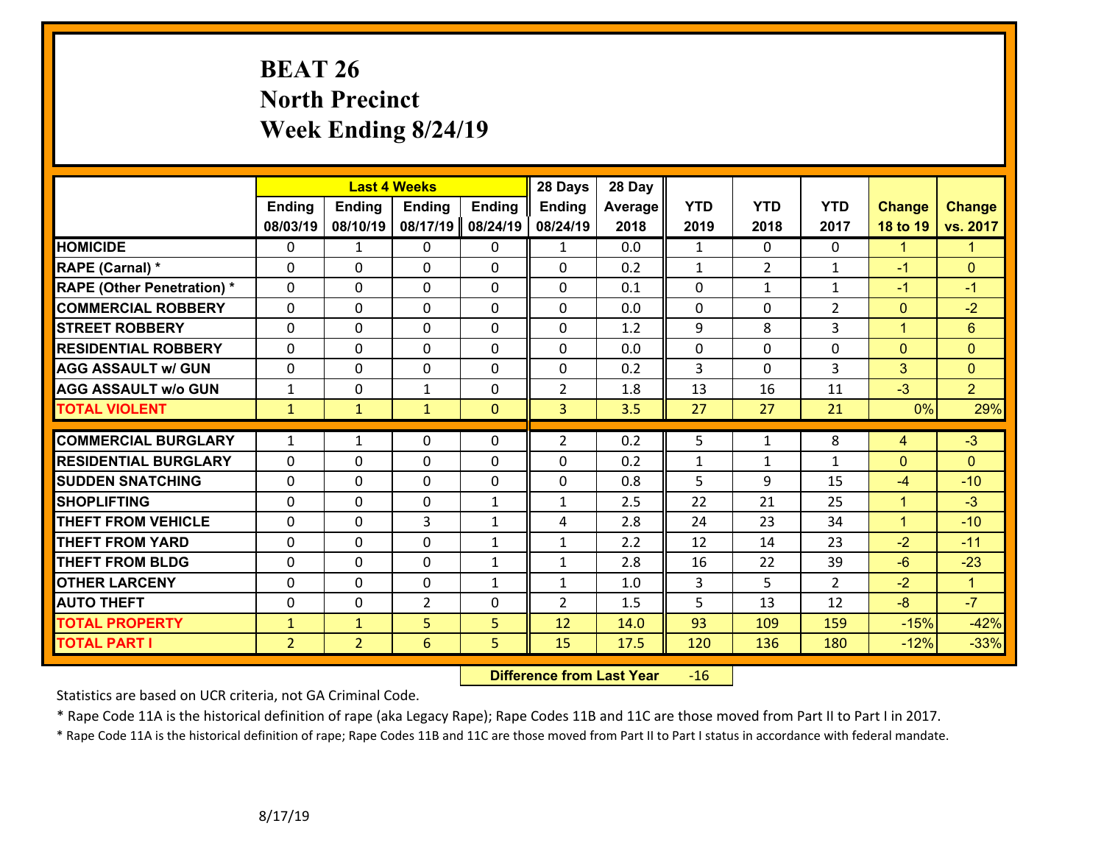# **BEAT 26 North Precinct Week Ending 8/24/19**

|                                   |                |                | <b>Last 4 Weeks</b> |               | 28 Days        | 28 Day  |              |                |                |               |                |
|-----------------------------------|----------------|----------------|---------------------|---------------|----------------|---------|--------------|----------------|----------------|---------------|----------------|
|                                   | <b>Ending</b>  | <b>Ending</b>  | <b>Ending</b>       | <b>Ending</b> | Ending         | Average | <b>YTD</b>   | <b>YTD</b>     | <b>YTD</b>     | <b>Change</b> | <b>Change</b>  |
|                                   | 08/03/19       | 08/10/19       | 08/17/19            | 08/24/19      | 08/24/19       | 2018    | 2019         | 2018           | 2017           | 18 to 19      | vs. 2017       |
| <b>HOMICIDE</b>                   | $\mathbf{0}$   | $\mathbf{1}$   | $\mathbf{0}$        | $\mathbf{0}$  | $\mathbf{1}$   | 0.0     | $\mathbf{1}$ | $\mathbf{0}$   | 0              | $\mathbf{1}$  | $\mathbf{1}$   |
| RAPE (Carnal) *                   | $\Omega$       | 0              | $\mathbf 0$         | 0             | 0              | 0.2     | $\mathbf{1}$ | $\overline{2}$ | $\mathbf{1}$   | $-1$          | $\mathbf{0}$   |
| <b>RAPE (Other Penetration) *</b> | $\Omega$       | $\Omega$       | $\mathbf 0$         | $\Omega$      | $\Omega$       | 0.1     | $\mathbf 0$  | $\mathbf{1}$   | $\mathbf{1}$   | $-1$          | $-1$           |
| <b>COMMERCIAL ROBBERY</b>         | 0              | 0              | 0                   | 0             | 0              | 0.0     | $\mathbf{0}$ | $\Omega$       | $\overline{2}$ | $\mathbf{0}$  | $-2$           |
| <b>STREET ROBBERY</b>             | $\Omega$       | $\Omega$       | $\Omega$            | $\Omega$      | 0              | 1.2     | 9            | 8              | 3              | $\mathbf{1}$  | $6\phantom{1}$ |
| <b>RESIDENTIAL ROBBERY</b>        | $\Omega$       | 0              | $\mathbf 0$         | $\Omega$      | 0              | 0.0     | $\mathbf 0$  | $\Omega$       | $\Omega$       | $\mathbf{0}$  | $\mathbf{0}$   |
| <b>AGG ASSAULT w/ GUN</b>         | $\Omega$       | 0              | $\mathbf 0$         | $\Omega$      | 0              | 0.2     | 3            | $\Omega$       | 3              | 3             | $\mathbf{0}$   |
| <b>AGG ASSAULT w/o GUN</b>        | $\mathbf{1}$   | 0              | $\mathbf{1}$        | $\Omega$      | $\overline{2}$ | 1.8     | 13           | 16             | 11             | $-3$          | $\overline{2}$ |
| <b>TOTAL VIOLENT</b>              | $\mathbf{1}$   | $\mathbf{1}$   | $\mathbf{1}$        | $\mathbf{0}$  | 3              | 3.5     | 27           | 27             | 21             | 0%            | 29%            |
|                                   |                |                |                     |               |                |         |              |                |                |               |                |
| <b>COMMERCIAL BURGLARY</b>        | $\mathbf{1}$   | 1              | $\mathbf{0}$        | $\Omega$      | $\overline{2}$ | 0.2     | 5            | $\mathbf{1}$   | 8              | 4             | $-3$           |
| <b>RESIDENTIAL BURGLARY</b>       | $\Omega$       | 0              | $\mathbf 0$         | $\Omega$      | $\Omega$       | 0.2     | $\mathbf 1$  | $\mathbf{1}$   | $\mathbf{1}$   | $\mathbf{0}$  | $\mathbf{0}$   |
| <b>SUDDEN SNATCHING</b>           | 0              | 0              | $\mathbf 0$         | 0             | 0              | 0.8     | 5            | 9              | 15             | $-4$          | $-10$          |
| <b>SHOPLIFTING</b>                | 0              | 0              | $\mathbf 0$         | $\mathbf{1}$  | $\mathbf 1$    | 2.5     | 22           | 21             | 25             | $\mathbf{1}$  | $-3$           |
| <b>THEFT FROM VEHICLE</b>         | 0              | 0              | 3                   | $\mathbf{1}$  | 4              | 2.8     | 24           | 23             | 34             | $\mathbf{1}$  | $-10$          |
| <b>THEFT FROM YARD</b>            | 0              | 0              | $\mathbf 0$         | $\mathbf{1}$  | $\mathbf{1}$   | 2.2     | 12           | 14             | 23             | $-2$          | $-11$          |
| <b>THEFT FROM BLDG</b>            | $\Omega$       | 0              | $\mathbf 0$         | $\mathbf{1}$  | 1              | 2.8     | 16           | 22             | 39             | $-6$          | $-23$          |
| <b>OTHER LARCENY</b>              | 0              | 0              | $\mathbf 0$         | $\mathbf{1}$  | 1              | 1.0     | 3            | 5              | $\overline{2}$ | $-2$          | $\overline{1}$ |
| <b>AUTO THEFT</b>                 | $\mathbf{0}$   | 0              | $\overline{2}$      | $\Omega$      | $\overline{2}$ | 1.5     | 5            | 13             | 12             | $-8$          | $-7$           |
| <b>TOTAL PROPERTY</b>             | $\mathbf{1}$   | $\mathbf{1}$   | $\overline{5}$      | 5             | 12             | 14.0    | 93           | 109            | 159            | $-15%$        | $-42%$         |
| <b>TOTAL PART I</b>               | $\overline{2}$ | $\overline{2}$ | $6\overline{6}$     | 5             | 15             | 17.5    | 120          | 136            | 180            | $-12%$        | $-33%$         |

 **Difference from Last Year**r -16

Statistics are based on UCR criteria, not GA Criminal Code.

\* Rape Code 11A is the historical definition of rape (aka Legacy Rape); Rape Codes 11B and 11C are those moved from Part II to Part I in 2017.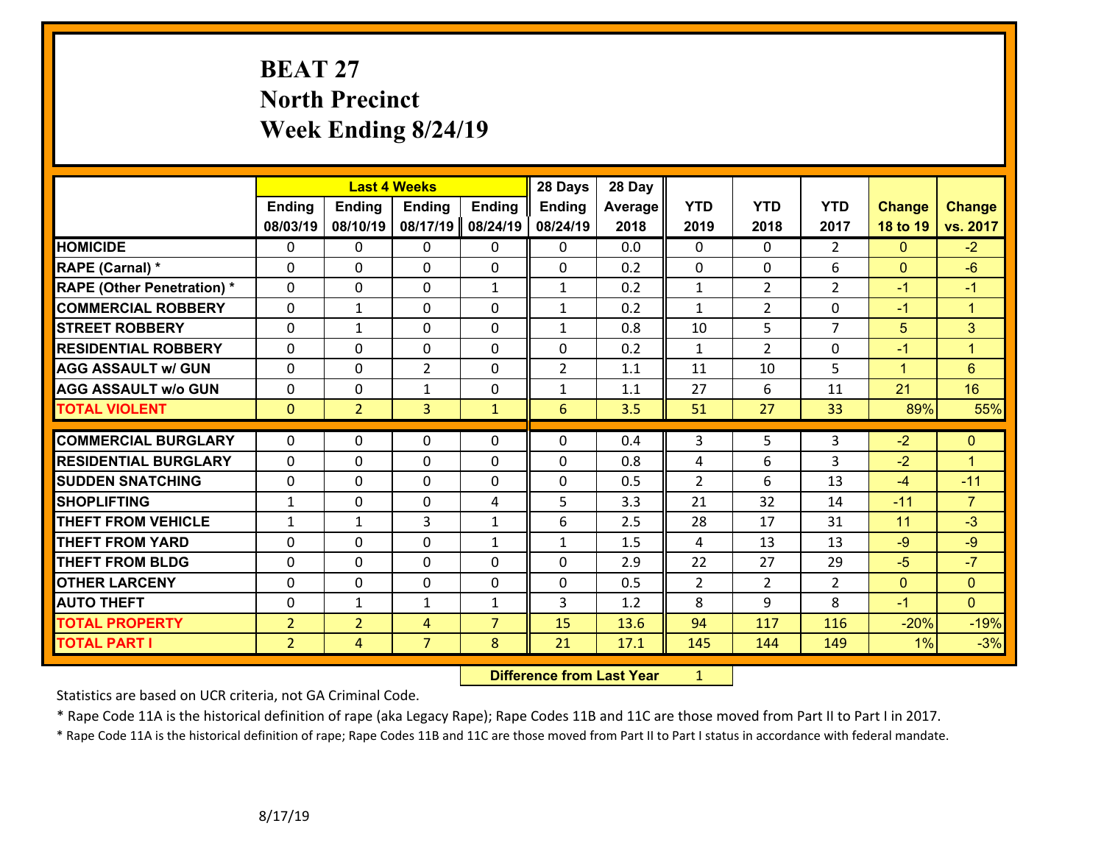# **BEAT 27 North Precinct Week Ending 8/24/19**

|                                   |                | <b>Last 4 Weeks</b> |                |                | 28 Days        | 28 Day  |                |                |                |                |                      |
|-----------------------------------|----------------|---------------------|----------------|----------------|----------------|---------|----------------|----------------|----------------|----------------|----------------------|
|                                   | <b>Ending</b>  | Ending              | <b>Ending</b>  | <b>Ending</b>  | <b>Ending</b>  | Average | <b>YTD</b>     | <b>YTD</b>     | <b>YTD</b>     | <b>Change</b>  | <b>Change</b>        |
|                                   | 08/03/19       | 08/10/19            | 08/17/19       | 08/24/19       | 08/24/19       | 2018    | 2019           | 2018           | 2017           | 18 to 19       | vs. 2017             |
| <b>HOMICIDE</b>                   | $\Omega$       | 0                   | $\mathbf{0}$   | $\mathbf{0}$   | $\Omega$       | 0.0     | $\Omega$       | $\Omega$       | $\overline{2}$ | $\Omega$       | $-2$                 |
| RAPE (Carnal) *                   | $\Omega$       | 0                   | $\mathbf{0}$   | 0              | 0              | 0.2     | $\mathbf 0$    | $\Omega$       | 6              | $\mathbf{0}$   | $-6$                 |
| <b>RAPE (Other Penetration) *</b> | $\Omega$       | 0                   | 0              | $\mathbf{1}$   | $\mathbf{1}$   | 0.2     | $\mathbf{1}$   | $\overline{2}$ | $\overline{2}$ | $-1$           | $-1$                 |
| <b>COMMERCIAL ROBBERY</b>         | 0              | $\mathbf{1}$        | 0              | 0              | $\mathbf{1}$   | 0.2     | $\mathbf{1}$   | $\overline{2}$ | 0              | $-1$           | $\blacktriangleleft$ |
| <b>STREET ROBBERY</b>             | 0              | $\mathbf{1}$        | 0              | 0              | $\mathbf{1}$   | 0.8     | 10             | 5              | $\overline{7}$ | 5              | 3 <sup>1</sup>       |
| <b>RESIDENTIAL ROBBERY</b>        | 0              | 0                   | 0              | 0              | 0              | 0.2     | $\mathbf{1}$   | $\overline{2}$ | 0              | $-1$           | $\blacktriangleleft$ |
| <b>AGG ASSAULT w/ GUN</b>         | 0              | 0                   | $\overline{2}$ | $\Omega$       | $\overline{2}$ | 1.1     | 11             | 10             | 5              | $\mathbf{1}$   | $6\phantom{1}6$      |
| <b>AGG ASSAULT w/o GUN</b>        | 0              | 0                   | $\mathbf{1}$   | 0              | 1              | 1.1     | 27             | 6              | 11             | 21             | 16                   |
| <b>TOTAL VIOLENT</b>              | $\overline{0}$ | $\overline{2}$      | 3              | $\mathbf{1}$   | 6              | 3.5     | 51             | 27             | 33             | 89%            | 55%                  |
|                                   |                |                     |                |                |                |         |                |                |                |                |                      |
| <b>COMMERCIAL BURGLARY</b>        | $\Omega$       | 0                   | $\mathbf{0}$   | $\Omega$       | $\Omega$       | 0.4     | 3              | 5              | 3              | $-2$           | $\Omega$             |
| <b>RESIDENTIAL BURGLARY</b>       | 0              | 0                   | 0              | 0              | 0              | 0.8     | 4              | 6              | 3              | $-2$           | $\overline{1}$       |
| <b>SUDDEN SNATCHING</b>           | 0              | 0                   | $\mathbf 0$    | 0              | 0              | 0.5     | $\overline{2}$ | 6              | 13             | $-4$           | $-11$                |
| <b>SHOPLIFTING</b>                | $\mathbf{1}$   | 0                   | 0              | 4              | 5              | 3.3     | 21             | 32             | 14             | $-11$          | $\overline{7}$       |
| <b>THEFT FROM VEHICLE</b>         | $\mathbf{1}$   | $\mathbf{1}$        | 3              | $\mathbf{1}$   | 6              | 2.5     | 28             | 17             | 31             | 11             | $-3$                 |
| <b>THEFT FROM YARD</b>            | 0              | 0                   | 0              | $\mathbf{1}$   | $\mathbf{1}$   | 1.5     | 4              | 13             | 13             | $-9$           | $-9$                 |
| <b>THEFT FROM BLDG</b>            | 0              | 0                   | $\mathbf{0}$   | $\Omega$       | 0              | 2.9     | 22             | 27             | 29             | $-5$           | $-7$                 |
| <b>OTHER LARCENY</b>              | 0              | 0                   | 0              | $\Omega$       | 0              | 0.5     | $\overline{2}$ | $\overline{2}$ | $\overline{2}$ | $\overline{0}$ | $\overline{0}$       |
| <b>AUTO THEFT</b>                 | 0              | $\mathbf{1}$        | $\mathbf{1}$   | $\mathbf{1}$   | 3              | 1.2     | 8              | 9              | 8              | $-1$           | $\overline{0}$       |
| <b>TOTAL PROPERTY</b>             | $\overline{2}$ | $\overline{2}$      | 4              | $\overline{7}$ | 15             | 13.6    | 94             | 117            | 116            | $-20%$         | $-19%$               |
| <b>TOTAL PART I</b>               | $\overline{2}$ | 4                   | $\overline{7}$ | 8              | 21             | 17.1    | 145            | 144            | 149            | 1%             | $-3%$                |

 **Difference from Last Year**r <u>1</u>

Statistics are based on UCR criteria, not GA Criminal Code.

\* Rape Code 11A is the historical definition of rape (aka Legacy Rape); Rape Codes 11B and 11C are those moved from Part II to Part I in 2017.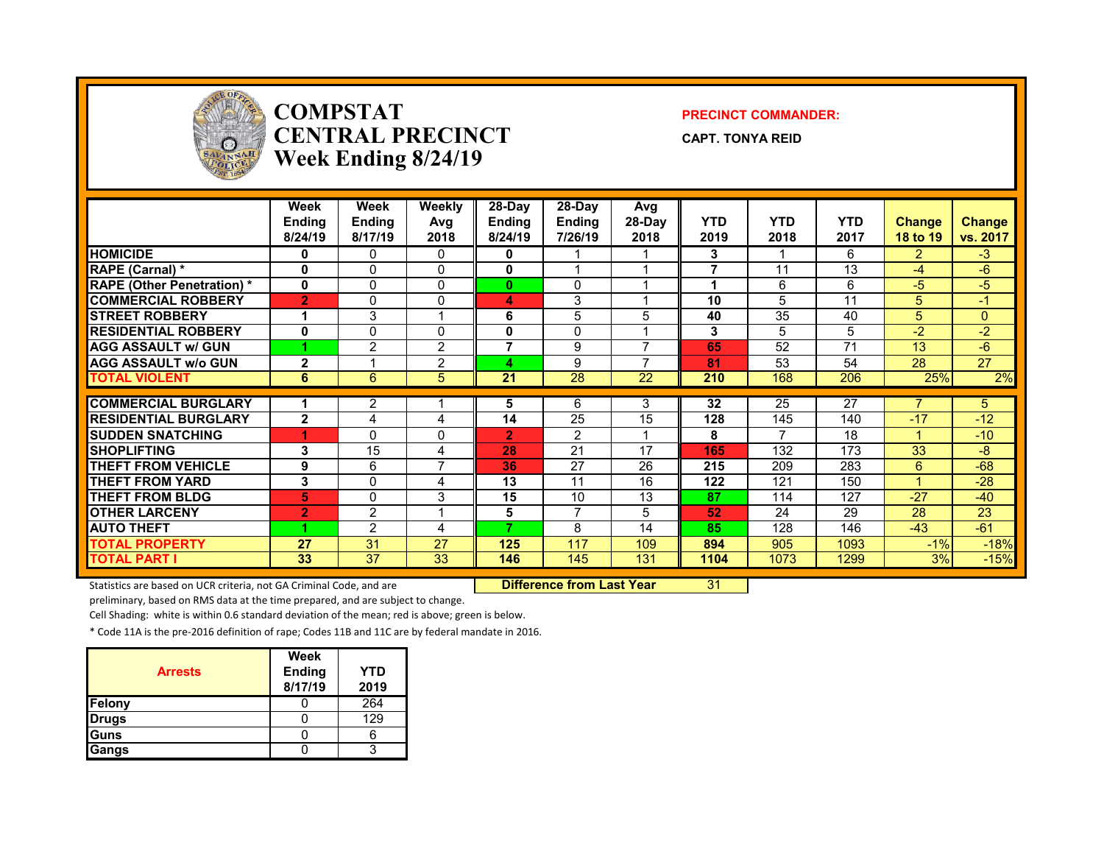

### **COMPSTATCENTRAL PRECINCTWeek Ending 8/24/19**

#### **PRECINCT COMMANDER:**

**CAPT. TONYA REID**

|                                  | Week           | <b>Week</b>    | Weekly                  | 28-Day         | 28-Day         | Avg            |            |                |            |               |          |
|----------------------------------|----------------|----------------|-------------------------|----------------|----------------|----------------|------------|----------------|------------|---------------|----------|
|                                  | <b>Ending</b>  | Ending         | Avg                     | <b>Ending</b>  | <b>Ending</b>  | $28-Day$       | <b>YTD</b> | <b>YTD</b>     | <b>YTD</b> | <b>Change</b> | Change   |
|                                  | 8/24/19        | 8/17/19        | 2018                    | 8/24/19        | 7/26/19        | 2018           | 2019       | 2018           | 2017       | 18 to 19      | vs. 2017 |
| <b>HOMICIDE</b>                  | 0              | $\Omega$       | $\mathbf{0}$            | 0              |                |                | 3          | 1              | 6          | $\mathcal{P}$ | $-3$     |
| <b>RAPE (Carnal) *</b>           | 0              | $\Omega$       | $\mathbf 0$             | $\mathbf{0}$   |                |                | 7          | 11             | 13         | -4            | $-6$     |
| <b>RAPE (Other Penetration)*</b> | $\mathbf 0$    | $\Omega$       | $\mathbf 0$             | $\mathbf{0}$   | 0              |                | 4          | 6              | 6          | -5            | $-5$     |
| <b>COMMERCIAL ROBBERY</b>        | $\overline{2}$ | $\Omega$       | $\mathbf 0$             | 4              | 3              |                | 10         | 5              | 11         | 5             | $-17$    |
| <b>ISTREET ROBBERY</b>           | 1              | 3              | $\overline{\mathbf{A}}$ | 6              | 5              | 5              | 40         | 35             | 40         | 5             | $\Omega$ |
| <b>RESIDENTIAL ROBBERY</b>       | 0              | $\Omega$       | $\mathbf 0$             | 0              | 0              |                | 3          | 5              | 5          | $-2$          | $-2$     |
| <b>AGG ASSAULT w/ GUN</b>        |                | 2              | 2                       | $\overline{7}$ | 9              | $\overline{ }$ | 65         | 52             | 71         | 13            | $-6$     |
| <b>AGG ASSAULT w/o GUN</b>       | $\overline{2}$ |                | $\overline{2}$          | 4              | 9              | $\overline{ }$ | 81         | 53             | 54         | 28            | 27       |
| <b>TOTAL VIOLENT</b>             | 6              | 6              | 5                       | 21             | 28             | 22             | 210        | 168            | 206        | 25%           | 2%       |
|                                  |                |                |                         |                |                |                |            |                |            |               |          |
| <b>COMMERCIAL BURGLARY</b>       |                | 2              |                         | 5              | 6              | 3              | 32         | 25             | 27         |               | 5        |
| <b>RESIDENTIAL BURGLARY</b>      | $\mathbf{2}$   | 4              | 4                       | 14             | 25             | 15             | 128        | 145            | 140        | $-17$         | $-12$    |
| <b>SUDDEN SNATCHING</b>          |                | $\Omega$       | $\mathbf 0$             | $\overline{2}$ | 2              |                | 8          | $\overline{ }$ | 18         |               | $-10$    |
| <b>ISHOPLIFTING</b>              | 3              | 15             | 4                       | 28             | 21             | 17             | 165        | 132            | 173        | 33            | -8       |
| <b>THEFT FROM VEHICLE</b>        | 9              | 6              | $\overline{ }$          | 36             | 27             | 26             | 215        | 209            | 283        | 6             | $-68$    |
| <b>THEFT FROM YARD</b>           | 3              | $\Omega$       | 4                       | 13             | 11             | 16             | 122        | 121            | 150        |               | $-28$    |
| <b>THEFT FROM BLDG</b>           | 5              | $\Omega$       | 3                       | 15             | 10             | 13             | 87         | 114            | 127        | $-27$         | $-40$    |
| <b>OTHER LARCENY</b>             | $\overline{2}$ | 2              | $\overline{\mathbf{A}}$ | 5              | $\overline{7}$ | 5              | 52         | 24             | 29         | 28            | 23       |
| <b>AUTO THEFT</b>                |                | $\overline{2}$ | 4                       | ۰,             | 8              | 14             | 85         | 128            | 146        | $-43$         | $-61$    |
| <b>TOTAL PROPERTY</b>            | 27             | 31             | 27                      | 125            | 117            | 109            | 894        | 905            | 1093       | $-1%$         | $-18%$   |
| <b>TOTAL PART I</b>              | 33             | 37             | 33                      | 146            | 145            | 131            | 1104       | 1073           | 1299       | 3%            | $-15%$   |

Statistics are based on UCR criteria, not GA Criminal Code, and are **Difference from Last Year** 31

preliminary, based on RMS data at the time prepared, and are subject to change.

Cell Shading: white is within 0.6 standard deviation of the mean; red is above; green is below.

\* Code 11A is the pre‐2016 definition of rape; Codes 11B and 11C are by federal mandate in 2016.

| <b>Arrests</b> | Week<br><b>Ending</b><br>8/17/19 | <b>YTD</b><br>2019 |
|----------------|----------------------------------|--------------------|
| Felony         |                                  | 264                |
| <b>Drugs</b>   |                                  | 129                |
| Guns           |                                  |                    |
| Gangs          |                                  |                    |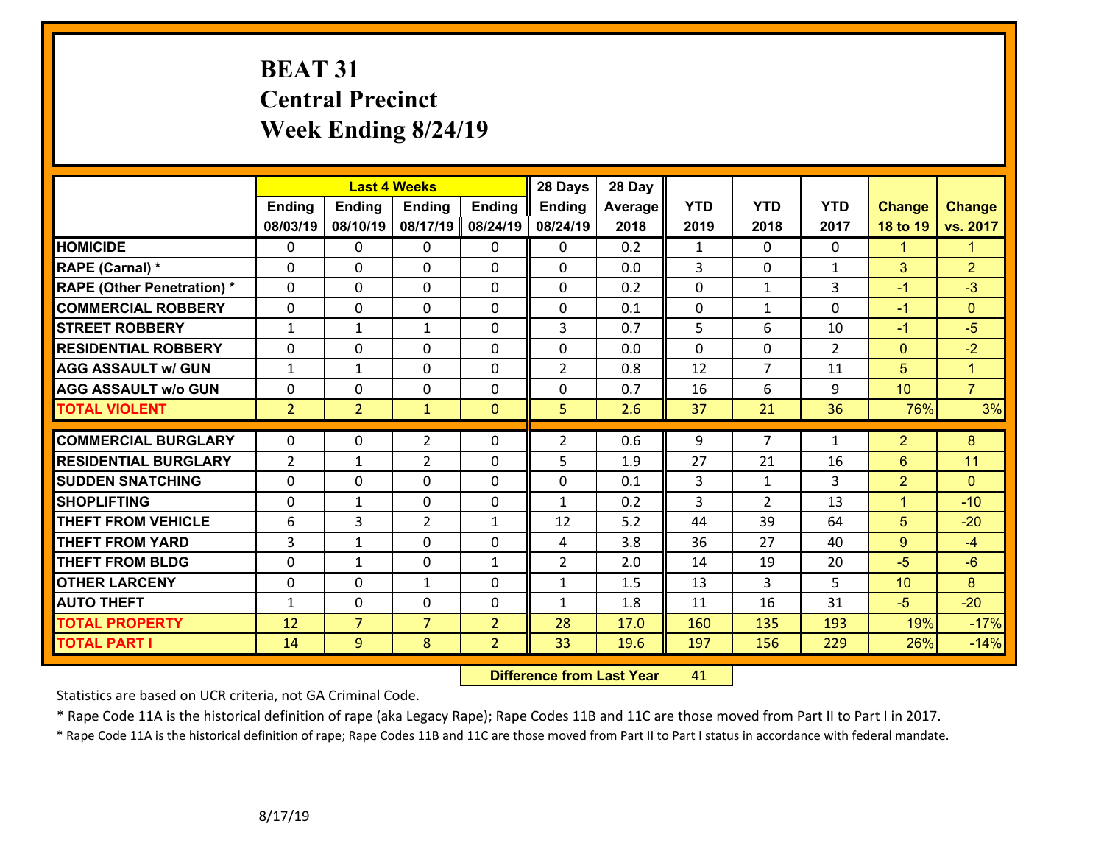# **BEAT 31 Central Precinct Week Ending 8/24/19**

|                                   |                | <b>Last 4 Weeks</b> |                |                | 28 Days        | 28 Day         |                |                |                |                      |                      |
|-----------------------------------|----------------|---------------------|----------------|----------------|----------------|----------------|----------------|----------------|----------------|----------------------|----------------------|
|                                   | <b>Ending</b>  | <b>Ending</b>       | <b>Ending</b>  | <b>Ending</b>  | <b>Ending</b>  | <b>Average</b> | <b>YTD</b>     | <b>YTD</b>     | <b>YTD</b>     | <b>Change</b>        | <b>Change</b>        |
|                                   | 08/03/19       | 08/10/19            | 08/17/19       | 08/24/19       | 08/24/19       | 2018           | 2019           | 2018           | 2017           | 18 to 19             | vs. 2017             |
| <b>HOMICIDE</b>                   | $\Omega$       | 0                   | $\mathbf{0}$   | $\mathbf{0}$   | 0              | 0.2            | 1              | $\Omega$       | $\Omega$       | $\blacktriangleleft$ | $\blacktriangleleft$ |
| RAPE (Carnal) *                   | $\Omega$       | 0                   | $\mathbf{0}$   | 0              | 0              | 0.0            | $\overline{3}$ | $\Omega$       | $\mathbf{1}$   | 3                    | $\overline{2}$       |
| <b>RAPE (Other Penetration) *</b> | $\Omega$       | 0                   | 0              | 0              | $\Omega$       | 0.2            | 0              | $\mathbf{1}$   | 3              | $-1$                 | $-3$                 |
| <b>COMMERCIAL ROBBERY</b>         | 0              | 0                   | 0              | 0              | 0              | 0.1            | $\mathbf 0$    | $\mathbf{1}$   | 0              | $-1$                 | $\Omega$             |
| <b>STREET ROBBERY</b>             | $\mathbf{1}$   | $\mathbf{1}$        | $\mathbf{1}$   | 0              | 3              | 0.7            | 5              | 6              | 10             | $-1$                 | $-5$                 |
| <b>RESIDENTIAL ROBBERY</b>        | 0              | 0                   | 0              | 0              | 0              | 0.0            | $\mathbf{0}$   | 0              | $\overline{2}$ | $\mathbf{0}$         | $-2$                 |
| <b>AGG ASSAULT w/ GUN</b>         | $\mathbf{1}$   | 1                   | 0              | $\Omega$       | $\overline{2}$ | 0.8            | 12             | $\overline{7}$ | 11             | 5                    | $\overline{1}$       |
| <b>AGG ASSAULT w/o GUN</b>        | 0              | 0                   | 0              | 0              | 0              | 0.7            | 16             | 6              | 9              | 10                   | $\overline{7}$       |
| <b>TOTAL VIOLENT</b>              | $\overline{2}$ | $\overline{2}$      | $\mathbf{1}$   | $\mathbf{0}$   | 5              | 2.6            | 37             | 21             | 36             | 76%                  | 3%                   |
|                                   |                |                     |                |                |                |                |                |                |                |                      |                      |
| <b>COMMERCIAL BURGLARY</b>        | $\Omega$       | 0                   | $\overline{2}$ | $\Omega$       | $\overline{2}$ | 0.6            | 9              | $\overline{7}$ | $\mathbf{1}$   | $\overline{2}$       | 8                    |
| <b>RESIDENTIAL BURGLARY</b>       | $\overline{2}$ | $\mathbf{1}$        | $\overline{2}$ | 0              | 5              | 1.9            | 27             | 21             | 16             | 6                    | 11                   |
| <b>SUDDEN SNATCHING</b>           | 0              | 0                   | 0              | 0              | 0              | 0.1            | 3              | $\mathbf{1}$   | 3              | $\overline{2}$       | $\Omega$             |
| <b>SHOPLIFTING</b>                | $\Omega$       | $\mathbf{1}$        | 0              | 0              | $\mathbf{1}$   | 0.2            | 3              | $\mathcal{L}$  | 13             | $\mathbf{1}$         | $-10$                |
| <b>THEFT FROM VEHICLE</b>         | 6              | 3                   | $\overline{2}$ | $\mathbf{1}$   | 12             | 5.2            | 44             | 39             | 64             | 5                    | $-20$                |
| <b>THEFT FROM YARD</b>            | $\overline{3}$ | $\mathbf{1}$        | 0              | 0              | 4              | 3.8            | 36             | 27             | 40             | 9                    | $-4$                 |
| <b>THEFT FROM BLDG</b>            | 0              | $\mathbf{1}$        | $\mathbf{0}$   | $\mathbf{1}$   | $\overline{2}$ | 2.0            | 14             | 19             | 20             | $-5$                 | $-6$                 |
| <b>OTHER LARCENY</b>              | 0              | 0                   | $\mathbf{1}$   | $\Omega$       | 1              | 1.5            | 13             | 3              | 5              | 10                   | 8                    |
| <b>AUTO THEFT</b>                 | $\mathbf{1}$   | 0                   | 0              | 0              | $\mathbf{1}$   | 1.8            | 11             | 16             | 31             | $-5$                 | $-20$                |
| <b>TOTAL PROPERTY</b>             | 12             | $\overline{7}$      | $\overline{7}$ | $\overline{2}$ | 28             | 17.0           | 160            | 135            | 193            | 19%                  | $-17%$               |
| <b>TOTAL PART I</b>               | 14             | 9                   | 8              | $\overline{2}$ | 33             | 19.6           | 197            | 156            | 229            | 26%                  | $-14%$               |

 **Difference from Last Year**r 41

Statistics are based on UCR criteria, not GA Criminal Code.

\* Rape Code 11A is the historical definition of rape (aka Legacy Rape); Rape Codes 11B and 11C are those moved from Part II to Part I in 2017.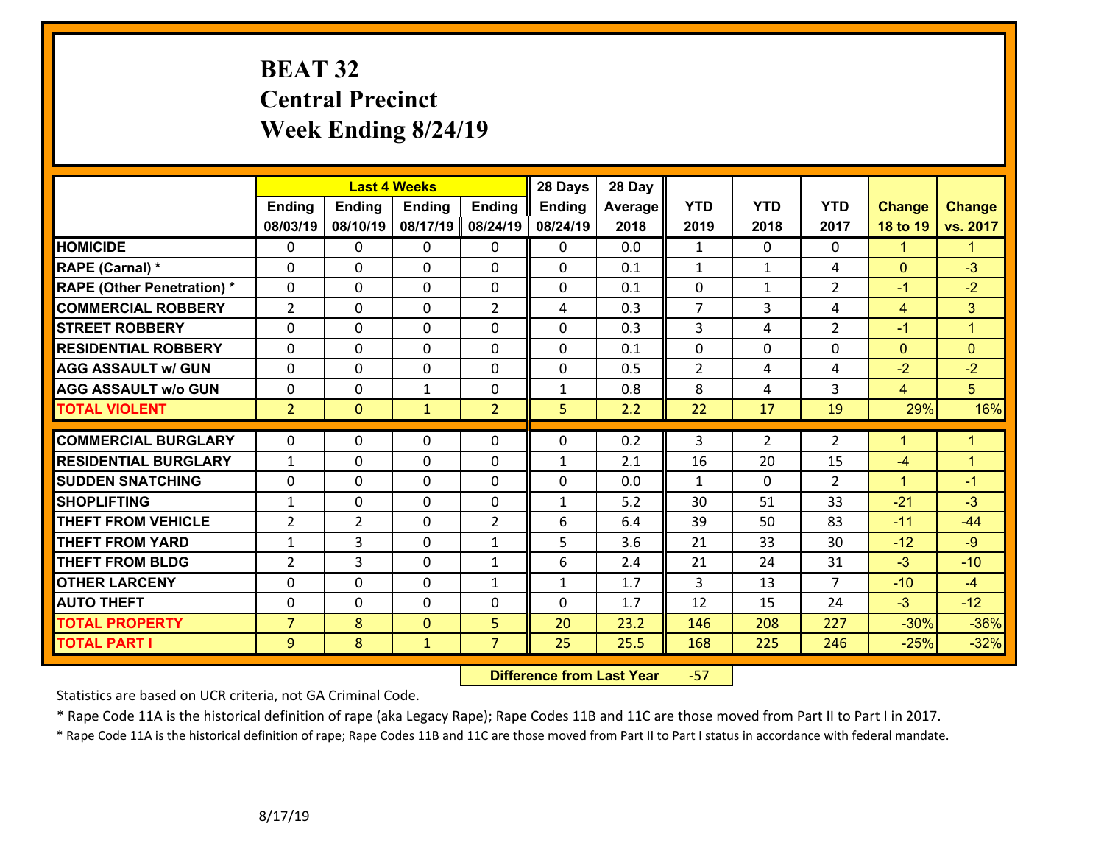# **BEAT 32 Central Precinct Week Ending 8/24/19**

|                                   |                | <b>Last 4 Weeks</b> |                |                | 28 Days  | 28 Day         |                |                |                |                      |                      |
|-----------------------------------|----------------|---------------------|----------------|----------------|----------|----------------|----------------|----------------|----------------|----------------------|----------------------|
|                                   | <b>Ending</b>  | Ending              | <b>Ending</b>  | <b>Ending</b>  | Ending   | <b>Average</b> | <b>YTD</b>     | <b>YTD</b>     | <b>YTD</b>     | <b>Change</b>        | <b>Change</b>        |
|                                   | 08/03/19       | 08/10/19            | 08/17/19       | 08/24/19       | 08/24/19 | 2018           | 2019           | 2018           | 2017           | 18 to 19             | vs. 2017             |
| <b>HOMICIDE</b>                   | $\mathbf{0}$   | 0                   | 0              | $\mathbf{0}$   | 0        | 0.0            | 1              | $\Omega$       | 0              | $\mathbf{1}$         | $\blacktriangleleft$ |
| RAPE (Carnal) *                   | $\Omega$       | 0                   | $\mathbf{0}$   | 0              | $\Omega$ | 0.1            | $\mathbf{1}$   | $\mathbf{1}$   | 4              | $\mathbf{0}$         | $-3$                 |
| <b>RAPE (Other Penetration) *</b> | 0              | 0                   | 0              | 0              | 0        | 0.1            | $\mathbf 0$    | $\mathbf{1}$   | $\overline{2}$ | $-1$                 | $-2$                 |
| <b>COMMERCIAL ROBBERY</b>         | $\overline{2}$ | 0                   | 0              | $\overline{2}$ | 4        | 0.3            | $\overline{7}$ | 3              | 4              | $\overline{4}$       | 3 <sup>1</sup>       |
| <b>STREET ROBBERY</b>             | 0              | 0                   | 0              | 0              | 0        | 0.3            | 3              | 4              | $\overline{2}$ | $-1$                 | $\blacktriangleleft$ |
| <b>RESIDENTIAL ROBBERY</b>        | $\Omega$       | $\Omega$            | $\mathbf{0}$   | $\Omega$       | 0        | 0.1            | $\Omega$       | $\Omega$       | 0              | $\mathbf{0}$         | $\Omega$             |
| <b>AGG ASSAULT w/ GUN</b>         | $\mathbf 0$    | 0                   | 0              | 0              | 0        | 0.5            | $\overline{2}$ | 4              | 4              | $-2$                 | $-2$                 |
| <b>AGG ASSAULT w/o GUN</b>        | 0              | 0                   | $\mathbf{1}$   | 0              | 1        | 0.8            | 8              | 4              | 3              | $\overline{4}$       | 5 <sup>5</sup>       |
| <b>TOTAL VIOLENT</b>              | $\overline{2}$ | $\mathbf{0}$        | $\mathbf{1}$   | $\overline{2}$ | 5        | 2.2            | 22             | 17             | 19             | 29%                  | 16%                  |
|                                   |                |                     |                |                |          |                |                |                |                |                      |                      |
| <b>COMMERCIAL BURGLARY</b>        | $\Omega$       | 0                   | $\mathbf{0}$   | 0              | $\Omega$ | 0.2            | 3              | $\overline{2}$ | $\overline{2}$ | $\blacktriangleleft$ | $\blacktriangleleft$ |
| <b>RESIDENTIAL BURGLARY</b>       | $\mathbf{1}$   | 0                   | 0              | 0              | 1        | 2.1            | 16             | 20             | 15             | $-4$                 | $\mathbf{1}$         |
| <b>SUDDEN SNATCHING</b>           | 0              | 0                   | 0              | 0              | 0        | 0.0            | $\mathbf{1}$   | $\Omega$       | $\overline{2}$ | $\blacktriangleleft$ | $-1$                 |
| <b>SHOPLIFTING</b>                | $\mathbf{1}$   | 0                   | $\mathbf 0$    | 0              | 1        | 5.2            | 30             | 51             | 33             | $-21$                | $-3$                 |
| <b>THEFT FROM VEHICLE</b>         | $\overline{2}$ | $\overline{2}$      | 0              | $\overline{2}$ | 6        | 6.4            | 39             | 50             | 83             | $-11$                | $-44$                |
| <b>THEFT FROM YARD</b>            | $\mathbf{1}$   | 3                   | 0              | $\mathbf{1}$   | 5        | 3.6            | 21             | 33             | 30             | $-12$                | $-9$                 |
| <b>THEFT FROM BLDG</b>            | $\overline{2}$ | 3                   | 0              | $\mathbf{1}$   | 6        | 2.4            | 21             | 24             | 31             | $-3$                 | $-10$                |
| <b>OTHER LARCENY</b>              | 0              | 0                   | 0              | $\mathbf{1}$   | 1        | 1.7            | 3              | 13             | $\overline{7}$ | $-10$                | $-4$                 |
| <b>AUTO THEFT</b>                 | 0              | 0                   | $\mathbf{0}$   | 0              | $\Omega$ | 1.7            | 12             | 15             | 24             | $-3$                 | $-12$                |
| <b>TOTAL PROPERTY</b>             | $\overline{7}$ | 8                   | $\overline{0}$ | 5              | 20       | 23.2           | 146            | 208            | 227            | $-30%$               | $-36%$               |
| <b>TOTAL PART I</b>               | 9              | 8                   | $\mathbf{1}$   | $\overline{7}$ | 25       | 25.5           | 168            | 225            | 246            | $-25%$               | $-32%$               |

 **Difference from Last Year**‐57

Statistics are based on UCR criteria, not GA Criminal Code.

\* Rape Code 11A is the historical definition of rape (aka Legacy Rape); Rape Codes 11B and 11C are those moved from Part II to Part I in 2017.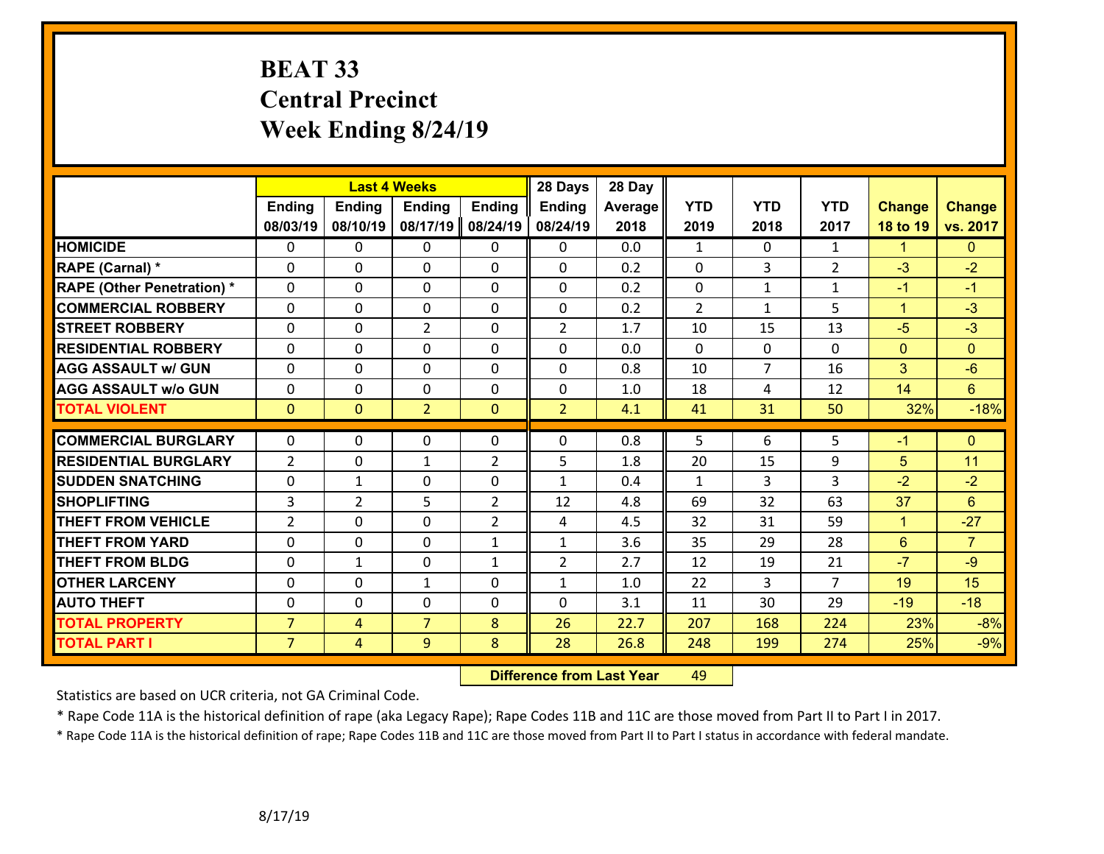## **BEAT 33 Central Precinct Week Ending 8/24/19**

|                                   |                |                | <b>Last 4 Weeks</b> |                | 28 Days        | 28 Day  |              |                |                |                |                 |
|-----------------------------------|----------------|----------------|---------------------|----------------|----------------|---------|--------------|----------------|----------------|----------------|-----------------|
|                                   | <b>Ending</b>  | <b>Ending</b>  | <b>Ending</b>       | <b>Ending</b>  | <b>Ending</b>  | Average | <b>YTD</b>   | <b>YTD</b>     | <b>YTD</b>     | <b>Change</b>  | <b>Change</b>   |
|                                   | 08/03/19       | 08/10/19       | 08/17/19            | 08/24/19       | 08/24/19       | 2018    | 2019         | 2018           | 2017           | 18 to 19       | vs. 2017        |
| <b>HOMICIDE</b>                   | $\Omega$       | 0              | $\mathbf{0}$        | 0              | $\mathbf{0}$   | 0.0     | 1            | $\Omega$       | $\mathbf{1}$   | 1              | $\overline{0}$  |
| RAPE (Carnal) *                   | $\Omega$       | $\Omega$       | $\mathbf 0$         | $\Omega$       | $\Omega$       | 0.2     | $\Omega$     | 3              | $\overline{2}$ | $-3$           | $-2$            |
| <b>RAPE (Other Penetration) *</b> | 0              | 0              | $\mathbf 0$         | 0              | 0              | 0.2     | $\mathbf 0$  | $\mathbf{1}$   | $\mathbf{1}$   | $-1$           | $-1$            |
| <b>COMMERCIAL ROBBERY</b>         | 0              | 0              | $\mathbf 0$         | 0              | 0              | 0.2     | 2            | $\mathbf{1}$   | 5              | $\mathbf{1}$   | $-3$            |
| <b>STREET ROBBERY</b>             | 0              | 0              | $\overline{2}$      | $\Omega$       | $\overline{2}$ | 1.7     | 10           | 15             | 13             | $-5$           | $-3$            |
| <b>RESIDENTIAL ROBBERY</b>        | $\Omega$       | 0              | $\mathbf 0$         | $\Omega$       | 0              | 0.0     | $\Omega$     | $\mathbf 0$    | $\Omega$       | $\overline{0}$ | $\overline{0}$  |
| <b>AGG ASSAULT w/ GUN</b>         | 0              | 0              | $\mathbf 0$         | 0              | 0              | 0.8     | 10           | $\overline{7}$ | 16             | 3              | $-6$            |
| <b>AGG ASSAULT w/o GUN</b>        | 0              | 0              | $\mathbf 0$         | $\mathbf 0$    | 0              | 1.0     | 18           | 4              | 12             | 14             | $6\overline{6}$ |
| <b>TOTAL VIOLENT</b>              | $\mathbf{0}$   | $\overline{0}$ | $\overline{2}$      | $\mathbf{0}$   | $\overline{2}$ | 4.1     | 41           | 31             | 50             | 32%            | $-18%$          |
|                                   |                |                |                     |                |                |         |              |                |                |                |                 |
| <b>COMMERCIAL BURGLARY</b>        | $\Omega$       | 0              | $\mathbf 0$         | 0              | 0              | 0.8     | 5            | 6              | 5              | $-1$           | $\mathbf{0}$    |
| <b>RESIDENTIAL BURGLARY</b>       | $\overline{2}$ | 0              | 1                   | $\overline{2}$ | 5              | 1.8     | 20           | 15             | 9              | 5              | 11              |
| <b>SUDDEN SNATCHING</b>           | 0              | 1              | $\mathbf 0$         | 0              | $\mathbf{1}$   | 0.4     | $\mathbf{1}$ | 3              | 3              | $-2$           | $-2$            |
| <b>SHOPLIFTING</b>                | 3              | $\overline{2}$ | 5                   | $\overline{2}$ | 12             | 4.8     | 69           | 32             | 63             | 37             | $6\phantom{1}$  |
| <b>THEFT FROM VEHICLE</b>         | 2              | $\Omega$       | 0                   | $\overline{2}$ | 4              | 4.5     | 32           | 31             | 59             | $\mathbf{1}$   | $-27$           |
| <b>THEFT FROM YARD</b>            | 0              | 0              | $\mathbf 0$         | $\mathbf{1}$   | $\mathbf{1}$   | 3.6     | 35           | 29             | 28             | 6              | $\overline{7}$  |
| <b>THEFT FROM BLDG</b>            | 0              | 1              | 0                   | 1              | $\overline{2}$ | 2.7     | 12           | 19             | 21             | $-7$           | $-9$            |
| <b>OTHER LARCENY</b>              | $\mathbf 0$    | 0              | $\mathbf{1}$        | 0              | $\mathbf{1}$   | 1.0     | 22           | $\overline{3}$ | $\overline{7}$ | 19             | 15              |
| <b>AUTO THEFT</b>                 | $\Omega$       | 0              | $\mathbf 0$         | $\Omega$       | 0              | 3.1     | 11           | 30             | 29             | $-19$          | $-18$           |
| <b>TOTAL PROPERTY</b>             | $\overline{7}$ | $\overline{4}$ | $\overline{7}$      | 8              | 26             | 22.7    | 207          | 168            | 224            | 23%            | $-8%$           |
| <b>TOTAL PART I</b>               | $\overline{7}$ | $\overline{4}$ | 9                   | 8              | 28             | 26.8    | 248          | 199            | 274            | 25%            | $-9%$           |

 **Difference from Last Year**r 49

Statistics are based on UCR criteria, not GA Criminal Code.

\* Rape Code 11A is the historical definition of rape (aka Legacy Rape); Rape Codes 11B and 11C are those moved from Part II to Part I in 2017.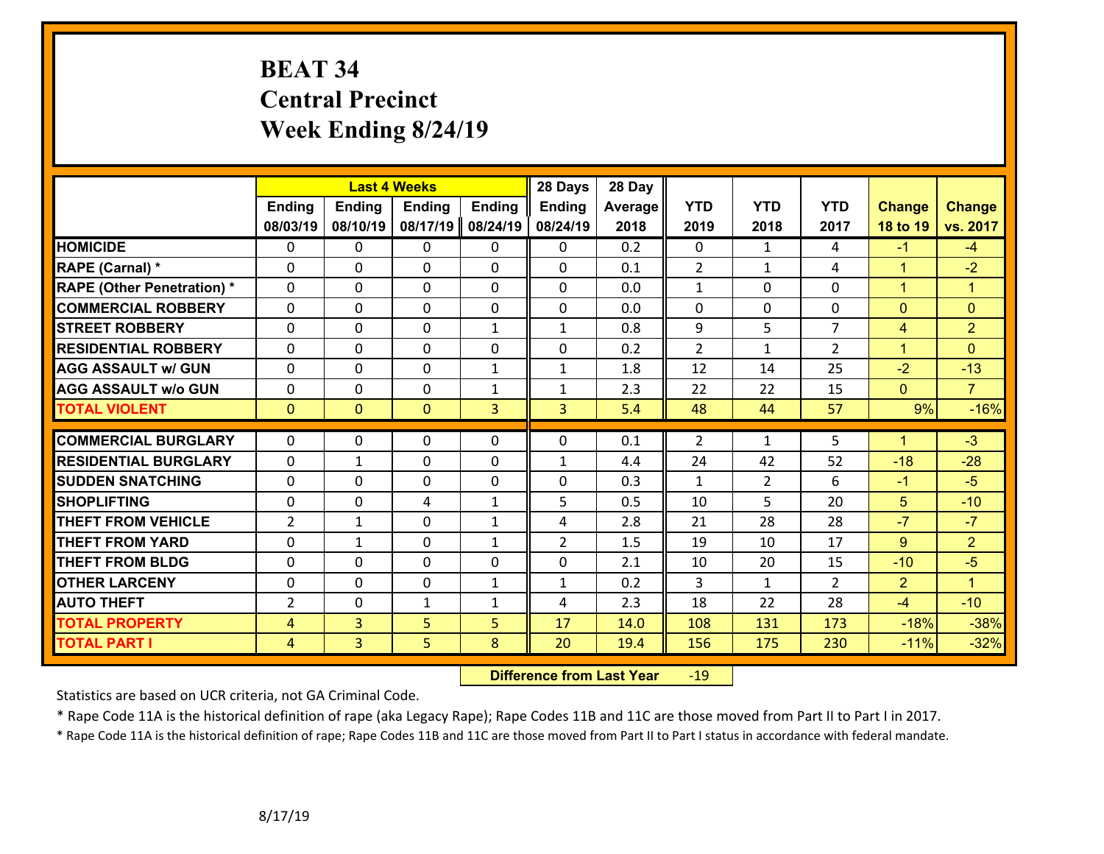# **BEAT 34 Central Precinct Week Ending 8/24/19**

|                                   |                |                | <b>Last 4 Weeks</b> |               | 28 Days        | 28 Day  |                |                |                |                      |                |
|-----------------------------------|----------------|----------------|---------------------|---------------|----------------|---------|----------------|----------------|----------------|----------------------|----------------|
|                                   | <b>Ending</b>  | <b>Ending</b>  | <b>Ending</b>       | <b>Ending</b> | <b>Ending</b>  | Average | <b>YTD</b>     | <b>YTD</b>     | <b>YTD</b>     | <b>Change</b>        | <b>Change</b>  |
|                                   | 08/03/19       | 08/10/19       | 08/17/19            | 08/24/19      | 08/24/19       | 2018    | 2019           | 2018           | 2017           | 18 to 19             | vs. 2017       |
| <b>HOMICIDE</b>                   | $\Omega$       | 0              | $\mathbf{0}$        | 0             | $\mathbf{0}$   | 0.2     | $\mathbf 0$    | $\mathbf{1}$   | 4              | $-1$                 | $-4$           |
| RAPE (Carnal) *                   | $\Omega$       | $\Omega$       | $\mathbf 0$         | $\Omega$      | $\Omega$       | 0.1     | $\overline{2}$ | $\mathbf{1}$   | 4              | $\mathbf{1}$         | $-2$           |
| <b>RAPE (Other Penetration) *</b> | 0              | 0              | $\mathbf 0$         | 0             | 0              | 0.0     | $\mathbf{1}$   | 0              | 0              | $\mathbf{1}$         | $\mathbf{1}$   |
| <b>COMMERCIAL ROBBERY</b>         | 0              | 0              | $\mathbf 0$         | 0             | $\mathbf 0$    | 0.0     | $\mathbf 0$    | 0              | 0              | $\mathbf{0}$         | $\mathbf{0}$   |
| <b>STREET ROBBERY</b>             | 0              | 0              | $\mathbf 0$         | $\mathbf{1}$  | $\mathbf{1}$   | 0.8     | 9              | 5              | $\overline{7}$ | 4                    | $\overline{2}$ |
| <b>RESIDENTIAL ROBBERY</b>        | $\Omega$       | 0              | $\mathbf 0$         | $\Omega$      | 0              | 0.2     | $\overline{2}$ | $\mathbf{1}$   | $\overline{2}$ | $\mathbf{1}$         | $\Omega$       |
| <b>AGG ASSAULT w/ GUN</b>         | 0              | 0              | $\mathbf 0$         | $\mathbf{1}$  | $\mathbf{1}$   | 1.8     | 12             | 14             | 25             | $-2$                 | $-13$          |
| <b>AGG ASSAULT w/o GUN</b>        | 0              | 0              | $\mathbf 0$         | $\mathbf{1}$  | $\mathbf{1}$   | 2.3     | 22             | 22             | 15             | $\mathbf{0}$         | $\overline{7}$ |
| <b>TOTAL VIOLENT</b>              | $\mathbf{0}$   | $\overline{0}$ | $\mathbf{0}$        | 3             | $\overline{3}$ | 5.4     | 48             | 44             | 57             | 9%                   | $-16%$         |
|                                   |                |                |                     |               |                |         |                |                |                |                      |                |
| <b>COMMERCIAL BURGLARY</b>        | $\Omega$       | 0              | $\mathbf 0$         | 0             | 0              | 0.1     | 2              | $\mathbf{1}$   | 5              | $\blacktriangleleft$ | $-3$           |
| <b>RESIDENTIAL BURGLARY</b>       | 0              | 1              | $\mathbf 0$         | 0             | $\mathbf{1}$   | 4.4     | 24             | 42             | 52             | $-18$                | $-28$          |
| <b>SUDDEN SNATCHING</b>           | 0              | 0              | $\mathbf 0$         | 0             | 0              | 0.3     | $\mathbf{1}$   | $\overline{2}$ | 6              | $-1$                 | $-5$           |
| <b>SHOPLIFTING</b>                | 0              | 0              | 4                   | $\mathbf{1}$  | 5              | 0.5     | 10             | 5              | 20             | 5                    | $-10$          |
| <b>THEFT FROM VEHICLE</b>         | 2              | 1              | $\mathbf 0$         | $\mathbf{1}$  | 4              | 2.8     | 21             | 28             | 28             | $-7$                 | $-7$           |
| <b>THEFT FROM YARD</b>            | 0              | $\mathbf{1}$   | $\mathbf 0$         | $\mathbf{1}$  | $\overline{2}$ | 1.5     | 19             | 10             | 17             | $9^{\circ}$          | $\overline{2}$ |
| <b>THEFT FROM BLDG</b>            | 0              | 0              | $\mathbf{0}$        | 0             | 0              | 2.1     | 10             | 20             | 15             | $-10$                | $-5$           |
| <b>OTHER LARCENY</b>              | $\mathbf 0$    | 0              | $\mathbf 0$         | $\mathbf{1}$  | $\mathbf{1}$   | 0.2     | 3              | $\mathbf{1}$   | $\overline{2}$ | $\overline{2}$       | $\overline{1}$ |
| <b>AUTO THEFT</b>                 | $\overline{2}$ | $\Omega$       | $\mathbf{1}$        | 1             | 4              | 2.3     | 18             | 22             | 28             | $-4$                 | $-10$          |
| <b>TOTAL PROPERTY</b>             | $\overline{4}$ | 3              | 5                   | 5             | 17             | 14.0    | 108            | 131            | 173            | $-18%$               | $-38%$         |
| <b>TOTAL PART I</b>               | $\overline{4}$ | $\overline{3}$ | 5                   | 8             | 20             | 19.4    | 156            | 175            | 230            | $-11%$               | $-32%$         |

 **Difference from Last Year**r -19

Statistics are based on UCR criteria, not GA Criminal Code.

\* Rape Code 11A is the historical definition of rape (aka Legacy Rape); Rape Codes 11B and 11C are those moved from Part II to Part I in 2017.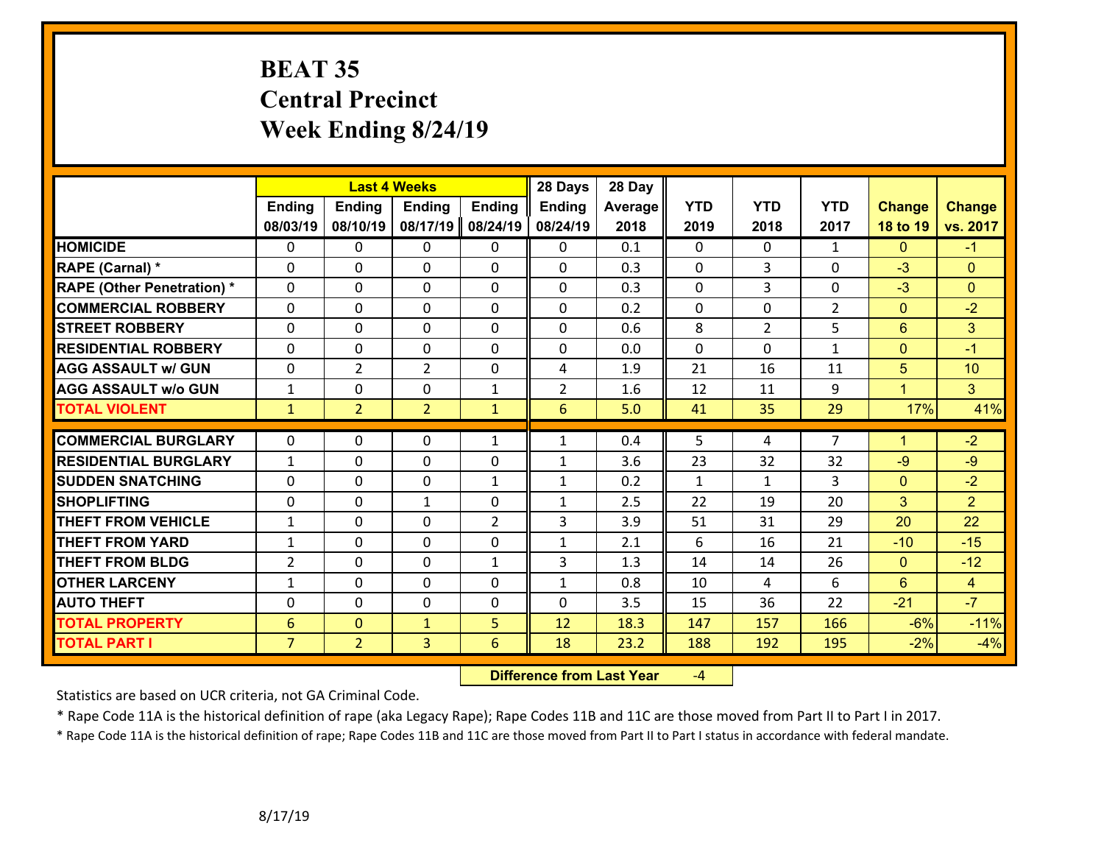## **BEAT 35 Central PrecinctWeek Ending 8/24/19**

|                                   |                | <b>Last 4 Weeks</b> |                |                | 28 Days        | 28 Day         |              |                |                |                |                |
|-----------------------------------|----------------|---------------------|----------------|----------------|----------------|----------------|--------------|----------------|----------------|----------------|----------------|
|                                   | <b>Ending</b>  | <b>Ending</b>       | <b>Ending</b>  | <b>Ending</b>  | <b>Ending</b>  | <b>Average</b> | <b>YTD</b>   | <b>YTD</b>     | <b>YTD</b>     | <b>Change</b>  | <b>Change</b>  |
|                                   | 08/03/19       | 08/10/19            | 08/17/19       | 08/24/19       | 08/24/19       | 2018           | 2019         | 2018           | 2017           | 18 to 19       | vs. 2017       |
| <b>HOMICIDE</b>                   | $\mathbf{0}$   | 0                   | $\mathbf{0}$   | $\mathbf{0}$   | 0              | 0.1            | $\Omega$     | $\Omega$       | $\mathbf{1}$   | $\mathbf{0}$   | $-1$           |
| RAPE (Carnal) *                   | $\Omega$       | $\Omega$            | $\Omega$       | $\Omega$       | $\Omega$       | 0.3            | $\Omega$     | 3              | 0              | $-3$           | $\Omega$       |
| <b>RAPE (Other Penetration) *</b> | 0              | 0                   | 0              | 0              | 0              | 0.3            | $\mathbf 0$  | $\overline{3}$ | 0              | $-3$           | $\Omega$       |
| <b>COMMERCIAL ROBBERY</b>         | 0              | 0                   | $\mathbf{0}$   | 0              | 0              | 0.2            | $\mathbf{0}$ | $\Omega$       | $\overline{2}$ | $\mathbf{0}$   | $-2$           |
| <b>STREET ROBBERY</b>             | 0              | 0                   | 0              | $\Omega$       | 0              | 0.6            | 8            | $\overline{2}$ | 5              | $6\phantom{a}$ | 3 <sup>1</sup> |
| <b>RESIDENTIAL ROBBERY</b>        | $\Omega$       | 0                   | 0              | $\Omega$       | 0              | 0.0            | $\Omega$     | $\Omega$       | $\mathbf{1}$   | $\mathbf{0}$   | $-1$           |
| <b>AGG ASSAULT w/ GUN</b>         | 0              | $\overline{2}$      | $\overline{2}$ | 0              | 4              | 1.9            | 21           | 16             | 11             | 5              | 10             |
| <b>AGG ASSAULT w/o GUN</b>        | $\mathbf{1}$   | 0                   | 0              | $\mathbf{1}$   | $\overline{2}$ | 1.6            | 12           | 11             | 9              | $\mathbf{1}$   | 3 <sup>1</sup> |
| <b>TOTAL VIOLENT</b>              | $\mathbf{1}$   | $\overline{2}$      | $\overline{2}$ | $\mathbf{1}$   | 6              | 5.0            | 41           | 35             | 29             | 17%            | 41%            |
|                                   |                |                     |                |                |                |                |              |                |                |                |                |
| <b>COMMERCIAL BURGLARY</b>        | $\Omega$       | 0                   | $\mathbf{0}$   | $\mathbf{1}$   | $\mathbf{1}$   | 0.4            | 5            | 4              | $\overline{7}$ | $\mathbf{1}$   | $-2$           |
| <b>RESIDENTIAL BURGLARY</b>       | $\mathbf{1}$   | 0                   | 0              | 0              | $\mathbf{1}$   | 3.6            | 23           | 32             | 32             | $-9$           | $-9$           |
| <b>SUDDEN SNATCHING</b>           | 0              | 0                   | $\mathbf{0}$   | $\mathbf{1}$   | 1              | 0.2            | $\mathbf{1}$ | $\mathbf{1}$   | 3              | $\mathbf{0}$   | $-2$           |
| <b>SHOPLIFTING</b>                | 0              | 0                   | $\mathbf{1}$   | 0              | 1              | 2.5            | 22           | 19             | 20             | 3              | $\overline{2}$ |
| <b>THEFT FROM VEHICLE</b>         | $\mathbf{1}$   | $\Omega$            | $\Omega$       | $\overline{2}$ | 3              | 3.9            | 51           | 31             | 29             | 20             | 22             |
| <b>THEFT FROM YARD</b>            | $\mathbf{1}$   | 0                   | 0              | 0              | $\mathbf{1}$   | 2.1            | 6            | 16             | 21             | $-10$          | $-15$          |
| <b>THEFT FROM BLDG</b>            | $\overline{2}$ | 0                   | $\mathbf{0}$   | $\mathbf{1}$   | 3              | 1.3            | 14           | 14             | 26             | $\mathbf{0}$   | $-12$          |
| <b>OTHER LARCENY</b>              | $\mathbf{1}$   | 0                   | 0              | 0              | 1              | 0.8            | 10           | 4              | 6              | $6\phantom{a}$ | $\overline{4}$ |
| <b>AUTO THEFT</b>                 | $\Omega$       | $\Omega$            | 0              | 0              | $\Omega$       | 3.5            | 15           | 36             | 22             | $-21$          | $-7$           |
| <b>TOTAL PROPERTY</b>             | 6              | $\overline{0}$      | $\mathbf{1}$   | 5              | 12             | 18.3           | 147          | 157            | 166            | $-6%$          | $-11%$         |
| <b>TOTAL PART I</b>               | $\overline{7}$ | $\overline{2}$      | 3              | $6\phantom{1}$ | 18             | 23.2           | 188          | 192            | 195            | $-2%$          | $-4%$          |

 **Difference from Last Year**‐4

Statistics are based on UCR criteria, not GA Criminal Code.

\* Rape Code 11A is the historical definition of rape (aka Legacy Rape); Rape Codes 11B and 11C are those moved from Part II to Part I in 2017.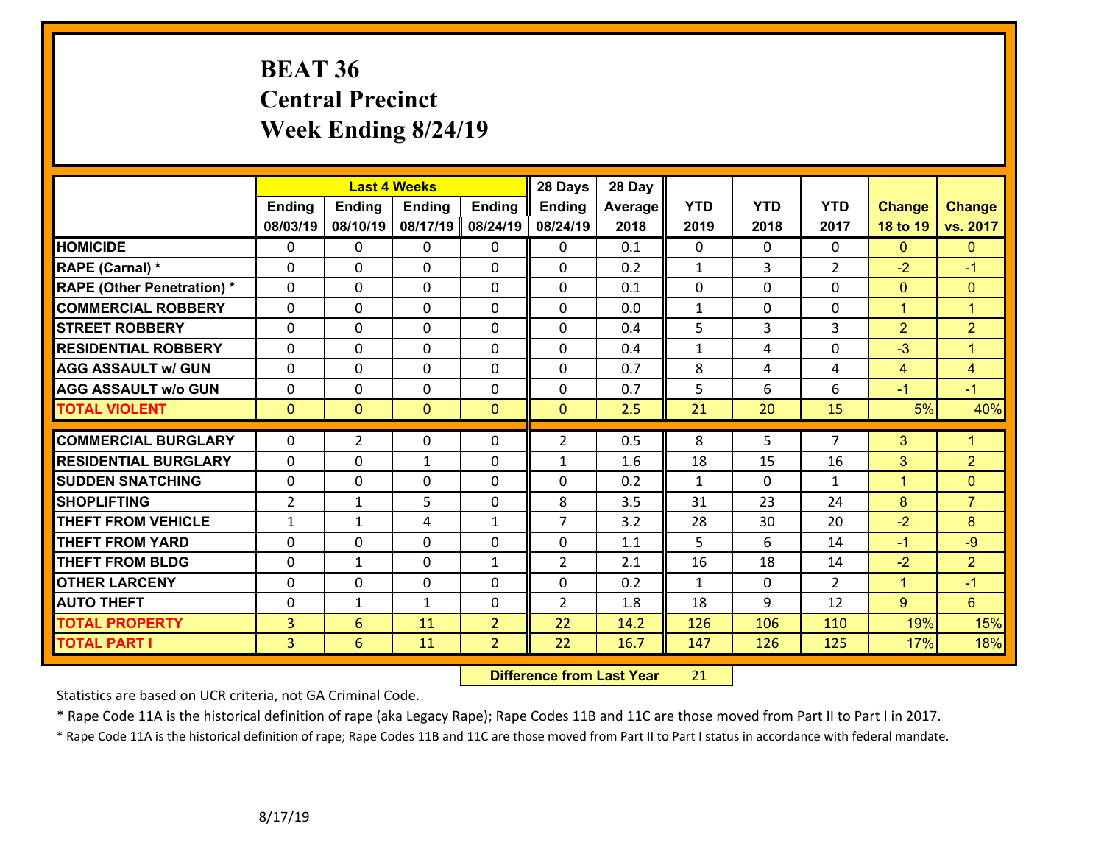# **BEAT 36 Central Precinct Week Ending 8/24/19**

|                                   |                | <b>Last 4 Weeks</b> |               |                | 28 Days        | 28 Day  |              |            |                |                |                      |
|-----------------------------------|----------------|---------------------|---------------|----------------|----------------|---------|--------------|------------|----------------|----------------|----------------------|
|                                   | <b>Ending</b>  | Ending              | <b>Ending</b> | <b>Ending</b>  | <b>Ending</b>  | Average | <b>YTD</b>   | <b>YTD</b> | <b>YTD</b>     | <b>Change</b>  | <b>Change</b>        |
|                                   | 08/03/19       | 08/10/19            | 08/17/19      | 08/24/19       | 08/24/19       | 2018    | 2019         | 2018       | 2017           | 18 to 19       | vs. 2017             |
| <b>HOMICIDE</b>                   | $\Omega$       | 0                   | $\mathbf{0}$  | $\mathbf{0}$   | 0              | 0.1     | $\Omega$     | $\Omega$   | $\Omega$       | $\Omega$       | $\Omega$             |
| RAPE (Carnal) *                   | $\Omega$       | 0                   | $\mathbf{0}$  | 0              | 0              | 0.2     | $\mathbf{1}$ | 3          | $\overline{2}$ | $-2$           | $-1$                 |
| <b>RAPE (Other Penetration) *</b> | $\Omega$       | 0                   | 0             | 0              | $\Omega$       | 0.1     | 0            | $\Omega$   | 0              | $\mathbf{0}$   | $\overline{0}$       |
| <b>COMMERCIAL ROBBERY</b>         | 0              | 0                   | 0             | 0              | 0              | 0.0     | $\mathbf{1}$ | $\Omega$   | 0              | $\mathbf{1}$   | $\blacktriangleleft$ |
| <b>STREET ROBBERY</b>             | 0              | 0                   | 0             | 0              | 0              | 0.4     | 5            | 3          | 3              | $\overline{2}$ | $\overline{2}$       |
| <b>RESIDENTIAL ROBBERY</b>        | 0              | 0                   | 0             | 0              | 0              | 0.4     | $\mathbf{1}$ | 4          | 0              | $-3$           | $\blacktriangleleft$ |
| <b>AGG ASSAULT w/ GUN</b>         | 0              | 0                   | 0             | $\Omega$       | 0              | 0.7     | 8            | 4          | 4              | 4              | $\overline{4}$       |
| <b>AGG ASSAULT w/o GUN</b>        | 0              | 0                   | 0             | 0              | 0              | 0.7     | 5            | 6          | 6              | $-1$           | $-1$                 |
| <b>TOTAL VIOLENT</b>              | $\overline{0}$ | $\mathbf{0}$        | $\mathbf{0}$  | $\mathbf{0}$   | $\overline{0}$ | 2.5     | 21           | 20         | 15             | 5%             | 40%                  |
|                                   |                |                     |               |                |                |         |              |            |                |                |                      |
| <b>COMMERCIAL BURGLARY</b>        | $\Omega$       | $\overline{2}$      | $\mathbf{0}$  | $\Omega$       | $\overline{2}$ | 0.5     | 8            | 5          | $\overline{7}$ | 3              | $\mathbf{1}$         |
| <b>RESIDENTIAL BURGLARY</b>       | 0              | 0                   | $\mathbf{1}$  | 0              | $\mathbf{1}$   | 1.6     | 18           | 15         | 16             | 3              | $\overline{2}$       |
| <b>SUDDEN SNATCHING</b>           | 0              | 0                   | $\mathbf 0$   | 0              | 0              | 0.2     | $\mathbf{1}$ | $\Omega$   | $\mathbf{1}$   | $\mathbf{1}$   | $\overline{0}$       |
| <b>SHOPLIFTING</b>                | $\overline{2}$ | $\mathbf{1}$        | 5             | 0              | 8              | 3.5     | 31           | 23         | 24             | 8              | $\overline{7}$       |
| <b>THEFT FROM VEHICLE</b>         | $\mathbf{1}$   | $\mathbf{1}$        | 4             | $\mathbf{1}$   | $\overline{7}$ | 3.2     | 28           | 30         | 20             | $-2$           | 8                    |
| <b>THEFT FROM YARD</b>            | 0              | 0                   | 0             | 0              | 0              | 1.1     | 5            | 6          | 14             | $-1$           | $-9$                 |
| <b>THEFT FROM BLDG</b>            | 0              | 1                   | $\mathbf{0}$  | $\mathbf{1}$   | $\overline{2}$ | 2.1     | 16           | 18         | 14             | $-2$           | $\overline{2}$       |
| <b>OTHER LARCENY</b>              | 0              | 0                   | 0             | $\Omega$       | 0              | 0.2     | $\mathbf{1}$ | $\Omega$   | $\overline{2}$ | $\mathbf{1}$   | $-1$                 |
| <b>AUTO THEFT</b>                 | 0              | $\mathbf{1}$        | $\mathbf{1}$  | 0              | $\overline{2}$ | 1.8     | 18           | 9          | 12             | $\overline{9}$ | 6                    |
| <b>TOTAL PROPERTY</b>             | 3              | 6                   | 11            | $\overline{2}$ | 22             | 14.2    | 126          | 106        | 110            | 19%            | 15%                  |
| <b>TOTAL PART I</b>               | $\overline{3}$ | 6                   | 11            | $\overline{2}$ | 22             | 16.7    | 147          | 126        | 125            | 17%            | 18%                  |

 **Difference from Last Year**r 21

Statistics are based on UCR criteria, not GA Criminal Code.

\* Rape Code 11A is the historical definition of rape (aka Legacy Rape); Rape Codes 11B and 11C are those moved from Part II to Part I in 2017.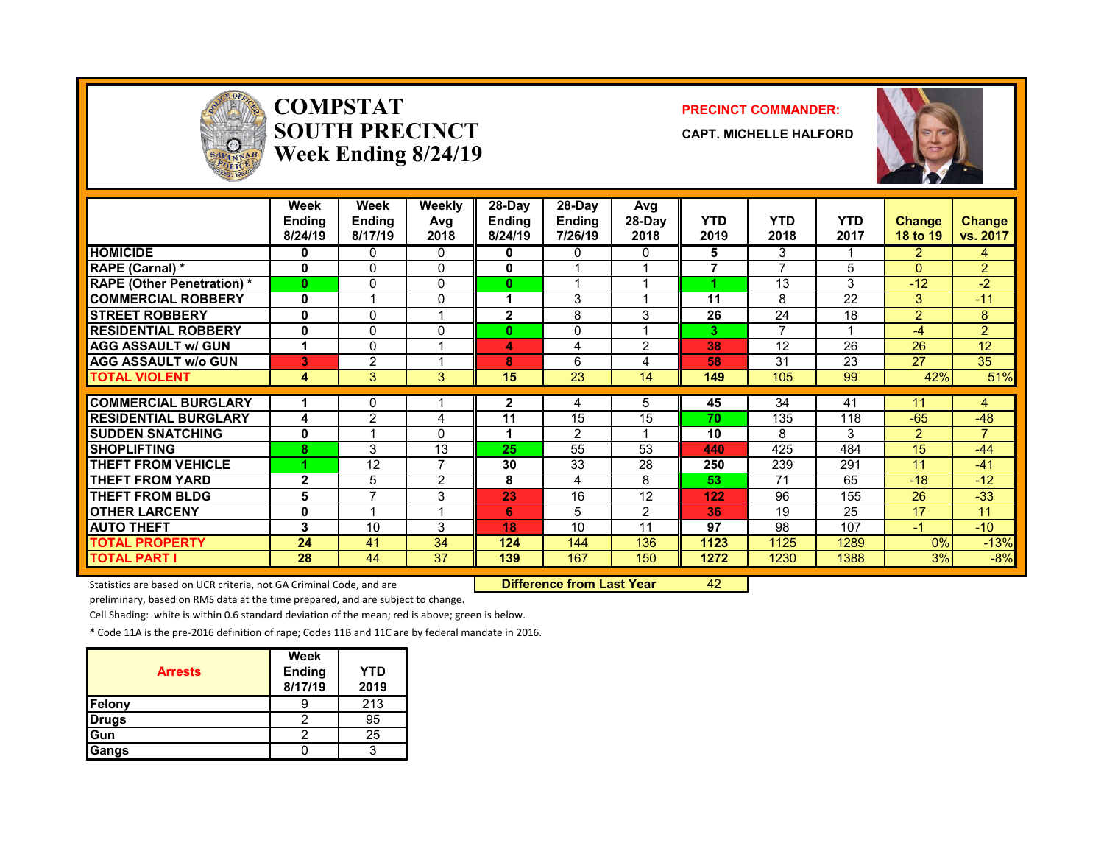

### **COMPSTATSOUTH PRECINCTWeek Ending 8/24/19**

#### **PRECINCT COMMANDER:**

**CAPT. MICHELLE HALFORD**



|                                   | Week<br><b>Ending</b><br>8/24/19 | Week<br><b>Ending</b><br>8/17/19 | Weekly<br>Avg<br>2018 | 28-Day<br><b>Ending</b><br>8/24/19 | $28-Dav$<br><b>Ending</b><br>7/26/19 | Avg<br>28-Day<br>2018 | <b>YTD</b><br>2019 | <b>YTD</b><br>2018       | <b>YTD</b><br>2017 | <b>Change</b><br>18 to 19 | <b>Change</b><br>vs. 2017 |
|-----------------------------------|----------------------------------|----------------------------------|-----------------------|------------------------------------|--------------------------------------|-----------------------|--------------------|--------------------------|--------------------|---------------------------|---------------------------|
| <b>HOMICIDE</b>                   | 0                                | 0                                | $\Omega$              | 0                                  | 0                                    | 0                     | 5                  | 3                        |                    | $\overline{2}$            | 4                         |
| <b>RAPE (Carnal) *</b>            | $\bf{0}$                         | 0                                | $\Omega$              | 0                                  |                                      |                       | $\overline{7}$     | $\overline{\phantom{a}}$ | 5                  | $\Omega$                  | $\overline{2}$            |
| <b>RAPE (Other Penetration) *</b> | $\bf{0}$                         | 0                                | $\Omega$              | 0                                  |                                      |                       |                    | 13                       | 3                  | $-12$                     | $-2$                      |
| <b>COMMERCIAL ROBBERY</b>         | $\mathbf{0}$                     |                                  | $\mathbf{0}$          |                                    | 3                                    |                       | 11                 | 8                        | 22                 | 3                         | $-11$                     |
| <b>STREET ROBBERY</b>             | 0                                | 0                                |                       | $\overline{2}$                     | 8                                    | 3                     | 26                 | 24                       | 18                 | $\overline{2}$            | 8                         |
| <b>RESIDENTIAL ROBBERY</b>        | 0                                | 0                                | $\mathbf{0}$          | $\bf{0}$                           | 0                                    |                       | 3                  | ⇁                        |                    | $-4$                      | $\overline{2}$            |
| <b>AGG ASSAULT w/ GUN</b>         |                                  | 0                                |                       | 4                                  | 4                                    | 2                     | 38                 | 12                       | 26                 | 26                        | 12                        |
| <b>AGG ASSAULT w/o GUN</b>        | 3                                | $\overline{2}$                   |                       | 8                                  | 6                                    | 4                     | 58                 | 31                       | 23                 | 27                        | 35                        |
| <b>TOTAL VIOLENT</b>              | 4                                | 3                                | 3                     | 15                                 | 23                                   | 14                    | 149                | 105                      | 99                 | 42%                       | 51%                       |
| <b>COMMERCIAL BURGLARY</b>        |                                  | 0                                |                       | 2                                  | 4                                    | 5.                    | 45                 | 34                       | 41                 | 11                        | 4                         |
| <b>RESIDENTIAL BURGLARY</b>       | 4                                | $\overline{2}$                   | 4                     | 11                                 | 15                                   | 15                    | 70                 | 135                      | 118                | $-65$                     | $-48$                     |
| <b>SUDDEN SNATCHING</b>           | 0                                |                                  | $\Omega$              |                                    | $\overline{2}$                       |                       | 10                 | 8                        | 3                  | $\overline{2}$            | 7                         |
| <b>SHOPLIFTING</b>                | 8                                | 3                                | 13                    | 25                                 | 55                                   | 53                    | 440                | 425                      | 484                | 15                        | $-44$                     |
| <b>THEFT FROM VEHICLE</b>         |                                  | 12                               | $\overline{7}$        | 30                                 | 33                                   | 28                    | 250                | 239                      | 291                | 11                        | $-41$                     |
| <b>THEFT FROM YARD</b>            | $\mathbf{2}$                     | 5                                | 2                     | 8                                  | 4                                    | 8                     | 53                 | 71                       | 65                 | $-18$                     | $-12$                     |
| <b>THEFT FROM BLDG</b>            | 5                                | $\overline{\phantom{a}}$         | 3                     | 23                                 | 16                                   | 12                    | 122                | 96                       | 155                | 26                        | $-33$                     |
| <b>OTHER LARCENY</b>              | $\mathbf{0}$                     |                                  | -1                    | 6                                  | 5                                    | $\overline{2}$        | 36                 | 19                       | 25                 | 17                        | 11                        |
| <b>AUTO THEFT</b>                 | 3                                | 10                               | 3                     | 18                                 | 10                                   | 11                    | 97                 | 98                       | 107                | -1                        | $-10$                     |
| <b>TOTAL PROPERTY</b>             | 24                               | 41                               | 34                    | 124                                | 144                                  | 136                   | 1123               | 1125                     | 1289               | $0\%$                     | $-13%$                    |
| <b>TOTAL PART I</b>               | 28                               | 44                               | 37                    | 139                                | 167                                  | 150                   | 1272               | 1230                     | 1388               | 3%                        | $-8%$                     |

Statistics are based on UCR criteria, not GA Criminal Code, and are **Difference from Last Year** 42

preliminary, based on RMS data at the time prepared, and are subject to change.

Cell Shading: white is within 0.6 standard deviation of the mean; red is above; green is below.

\* Code 11A is the pre‐2016 definition of rape; Codes 11B and 11C are by federal mandate in 2016.

| <b>Arrests</b> | <b>Week</b><br><b>Ending</b><br>8/17/19 | YTD<br>2019 |
|----------------|-----------------------------------------|-------------|
| Felony         |                                         | 213         |
| <b>Drugs</b>   |                                         | 95          |
| Gun            |                                         | 25          |
| Gangs          |                                         | 2           |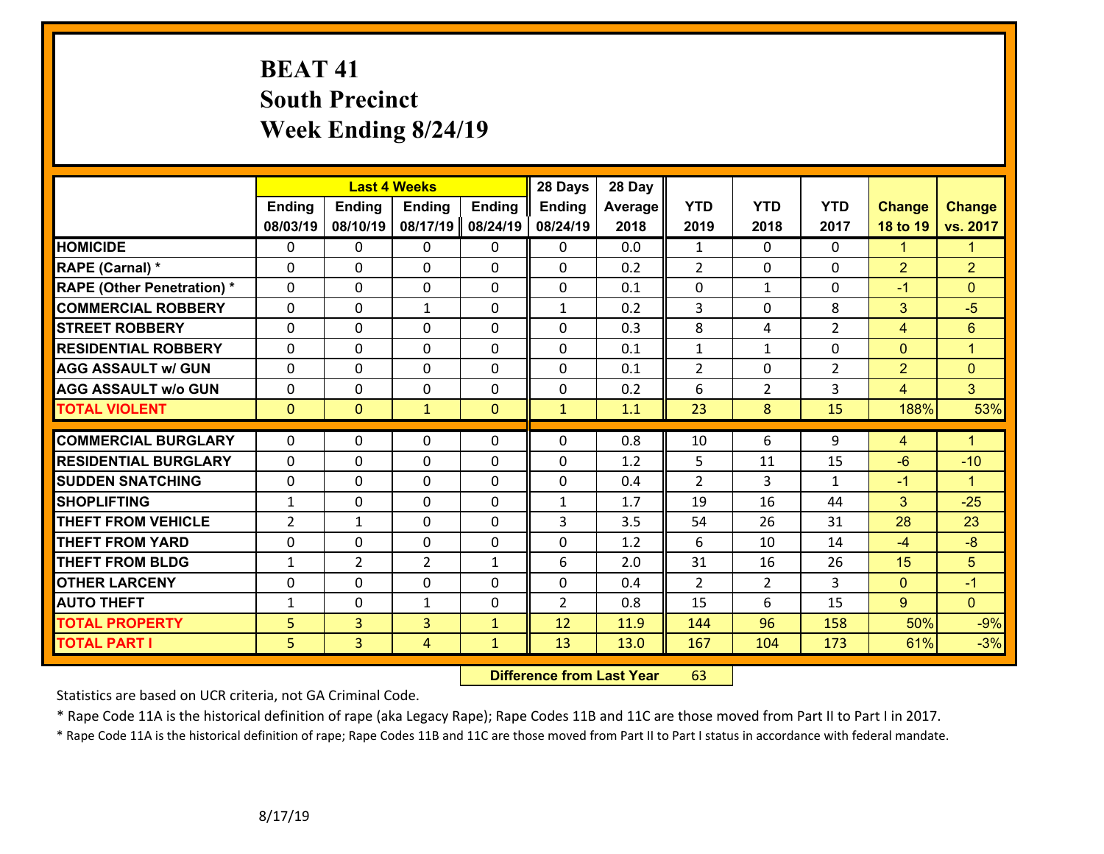# **BEAT 41 South Precinct Week Ending 8/24/19**

|                                   |                |                | <b>Last 4 Weeks</b> |               | 28 Days        | 28 Day  |                |                |                |                |                      |
|-----------------------------------|----------------|----------------|---------------------|---------------|----------------|---------|----------------|----------------|----------------|----------------|----------------------|
|                                   | <b>Ending</b>  | <b>Ending</b>  | <b>Ending</b>       | <b>Ending</b> | <b>Ending</b>  | Average | <b>YTD</b>     | <b>YTD</b>     | <b>YTD</b>     | <b>Change</b>  | <b>Change</b>        |
|                                   | 08/03/19       | 08/10/19       | 08/17/19            | 08/24/19      | 08/24/19       | 2018    | 2019           | 2018           | 2017           | 18 to 19       | vs. 2017             |
| <b>HOMICIDE</b>                   | $\Omega$       | 0              | $\mathbf{0}$        | 0             | $\mathbf{0}$   | 0.0     | 1              | $\Omega$       | $\Omega$       | $\mathbf{1}$   | $\blacksquare$       |
| RAPE (Carnal) *                   | $\Omega$       | 0              | $\mathbf 0$         | 0             | 0              | 0.2     | $\overline{2}$ | $\mathbf{0}$   | 0              | $\overline{2}$ | $\overline{2}$       |
| <b>RAPE (Other Penetration) *</b> | $\Omega$       | 0              | $\mathbf 0$         | 0             | 0              | 0.1     | 0              | $\mathbf{1}$   | $\Omega$       | $-1$           | $\mathbf{0}$         |
| <b>COMMERCIAL ROBBERY</b>         | 0              | 0              | 1                   | $\Omega$      | $\mathbf{1}$   | 0.2     | 3              | $\mathbf 0$    | 8              | 3              | $-5$                 |
| <b>STREET ROBBERY</b>             | 0              | 0              | $\mathbf 0$         | 0             | 0              | 0.3     | 8              | 4              | $\overline{2}$ | $\overline{4}$ | 6                    |
| <b>RESIDENTIAL ROBBERY</b>        | 0              | 0              | $\mathbf 0$         | 0             | 0              | 0.1     | $\mathbf{1}$   | $\mathbf{1}$   | 0              | $\overline{0}$ | $\blacktriangleleft$ |
| <b>AGG ASSAULT w/ GUN</b>         | 0              | 0              | $\mathbf 0$         | $\Omega$      | 0              | 0.1     | $\overline{2}$ | $\Omega$       | $\overline{2}$ | $\overline{2}$ | $\mathbf{0}$         |
| <b>AGG ASSAULT w/o GUN</b>        | 0              | 0              | $\mathbf 0$         | 0             | 0              | 0.2     | 6              | $\overline{2}$ | 3              | $\overline{4}$ | $\overline{3}$       |
| <b>TOTAL VIOLENT</b>              | $\overline{0}$ | $\overline{0}$ | $\mathbf{1}$        | $\mathbf{0}$  | $\mathbf{1}$   | 1.1     | 23             | 8              | 15             | 188%           | 53%                  |
|                                   |                |                |                     |               |                |         |                |                |                |                |                      |
| <b>COMMERCIAL BURGLARY</b>        | $\Omega$       | 0              | $\mathbf{0}$        | $\Omega$      | $\Omega$       | 0.8     | 10             | 6              | 9              | 4              | $\blacktriangleleft$ |
| <b>RESIDENTIAL BURGLARY</b>       | 0              | 0              | $\mathbf 0$         | 0             | 0              | 1.2     | 5              | 11             | 15             | $-6$           | $-10$                |
| <b>SUDDEN SNATCHING</b>           | 0              | 0              | $\mathbf 0$         | 0             | 0              | 0.4     | 2              | 3              | $\mathbf{1}$   | $-1$           | $\mathbf{1}$         |
| <b>SHOPLIFTING</b>                | $\mathbf{1}$   | 0              | $\mathbf 0$         | $\Omega$      | $\mathbf{1}$   | 1.7     | 19             | 16             | 44             | 3              | $-25$                |
| <b>THEFT FROM VEHICLE</b>         | $\overline{2}$ | 1              | $\mathbf 0$         | $\Omega$      | 3              | 3.5     | 54             | 26             | 31             | 28             | 23                   |
| <b>THEFT FROM YARD</b>            | 0              | 0              | $\mathbf 0$         | 0             | 0              | 1.2     | 6              | 10             | 14             | $-4$           | $-8$                 |
| <b>THEFT FROM BLDG</b>            | $\mathbf{1}$   | $\overline{2}$ | $\overline{2}$      | $\mathbf{1}$  | 6              | 2.0     | 31             | 16             | 26             | 15             | 5                    |
| <b>OTHER LARCENY</b>              | $\mathbf 0$    | 0              | 0                   | $\Omega$      | 0              | 0.4     | $\overline{2}$ | $\overline{2}$ | 3              | $\overline{0}$ | $-1$                 |
| <b>AUTO THEFT</b>                 | $\mathbf{1}$   | 0              | $\mathbf{1}$        | 0             | $\overline{2}$ | 0.8     | 15             | 6              | 15             | $9^{\circ}$    | $\Omega$             |
| <b>TOTAL PROPERTY</b>             | 5              | 3              | $\overline{3}$      | $\mathbf{1}$  | 12             | 11.9    | 144            | 96             | 158            | 50%            | $-9%$                |
| <b>TOTAL PART I</b>               | 5              | $\overline{3}$ | 4                   | $\mathbf{1}$  | 13             | 13.0    | 167            | 104            | 173            | 61%            | $-3%$                |

 **Difference from Last Year**r 63

Statistics are based on UCR criteria, not GA Criminal Code.

\* Rape Code 11A is the historical definition of rape (aka Legacy Rape); Rape Codes 11B and 11C are those moved from Part II to Part I in 2017.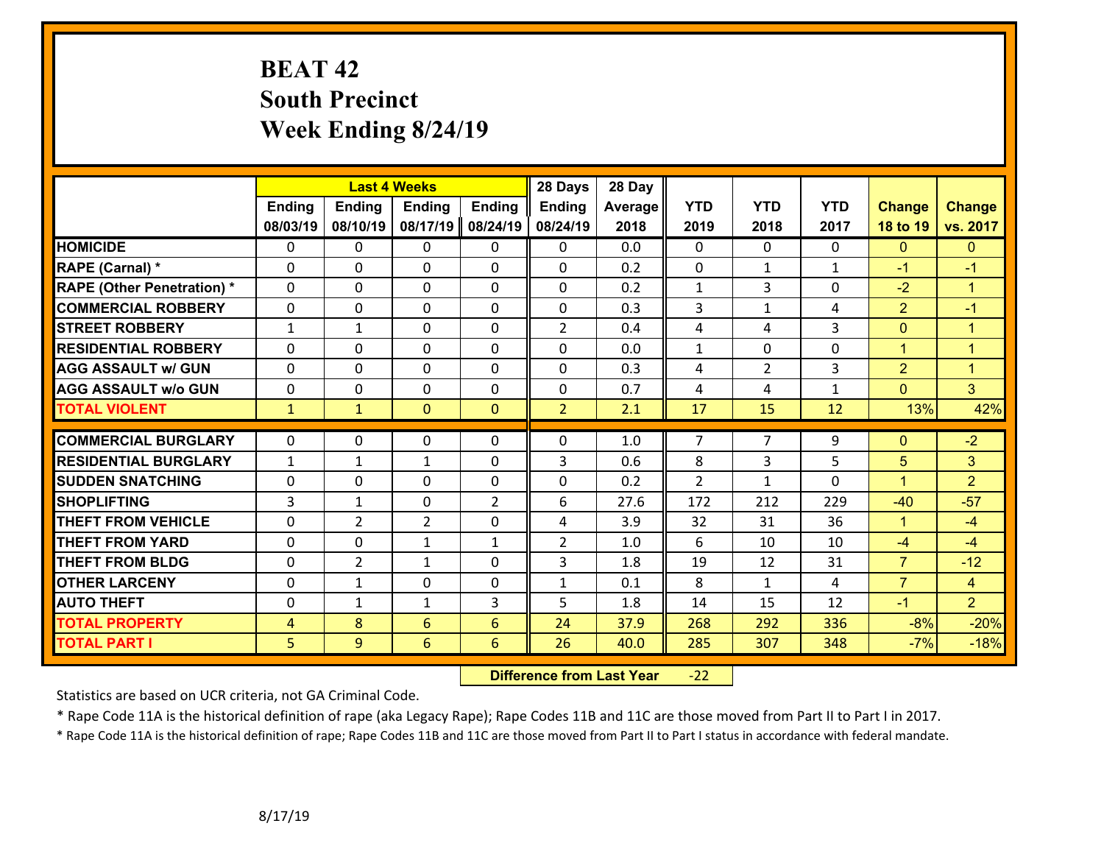# **BEAT 42 South Precinct Week Ending 8/24/19**

|                                   |                |                | <b>Last 4 Weeks</b> |                | 28 Days        | 28 Day  |                |                |              |                |                |
|-----------------------------------|----------------|----------------|---------------------|----------------|----------------|---------|----------------|----------------|--------------|----------------|----------------|
|                                   | <b>Ending</b>  | <b>Ending</b>  | <b>Ending</b>       | <b>Ending</b>  | Ending         | Average | <b>YTD</b>     | <b>YTD</b>     | <b>YTD</b>   | <b>Change</b>  | <b>Change</b>  |
|                                   | 08/03/19       | 08/10/19       | 08/17/19            | 08/24/19       | 08/24/19       | 2018    | 2019           | 2018           | 2017         | 18 to 19       | vs. 2017       |
| <b>HOMICIDE</b>                   | $\mathbf{0}$   | 0              | $\mathbf{0}$        | $\mathbf{0}$   | $\mathbf{0}$   | 0.0     | $\mathbf 0$    | $\Omega$       | 0            | $\mathbf{0}$   | $\overline{0}$ |
| RAPE (Carnal) *                   | $\Omega$       | 0              | $\mathbf 0$         | 0              | 0              | 0.2     | $\mathbf 0$    | $\mathbf{1}$   | $\mathbf{1}$ | $-1$           | $-1$           |
| <b>RAPE (Other Penetration) *</b> | $\Omega$       | $\Omega$       | $\mathbf 0$         | $\Omega$       | $\Omega$       | 0.2     | $\mathbf 1$    | 3              | $\Omega$     | $-2$           | $\overline{1}$ |
| <b>COMMERCIAL ROBBERY</b>         | 0              | 0              | 0                   | 0              | 0              | 0.3     | 3              | $\mathbf{1}$   | 4            | $\overline{2}$ | $-1$           |
| <b>STREET ROBBERY</b>             | $\mathbf{1}$   | 1              | $\Omega$            | $\Omega$       | $\overline{2}$ | 0.4     | 4              | 4              | 3            | $\mathbf{0}$   | $\mathbf{1}$   |
| <b>RESIDENTIAL ROBBERY</b>        | $\Omega$       | 0              | $\mathbf 0$         | $\Omega$       | 0              | 0.0     | $\mathbf 1$    | $\Omega$       | $\Omega$     | $\mathbf{1}$   | $\overline{1}$ |
| <b>AGG ASSAULT w/ GUN</b>         | $\Omega$       | 0              | $\mathbf 0$         | $\Omega$       | 0              | 0.3     | 4              | $\overline{2}$ | 3            | $\overline{2}$ | $\overline{1}$ |
| <b>AGG ASSAULT w/o GUN</b>        | $\Omega$       | 0              | $\mathbf 0$         | $\Omega$       | 0              | 0.7     | 4              | 4              | $\mathbf{1}$ | $\Omega$       | $\overline{3}$ |
| <b>TOTAL VIOLENT</b>              | $\mathbf{1}$   | $\mathbf{1}$   | $\mathbf{0}$        | $\mathbf{0}$   | $\overline{2}$ | 2.1     | 17             | 15             | 12           | 13%            | 42%            |
|                                   |                |                |                     |                |                |         |                |                |              |                |                |
| <b>COMMERCIAL BURGLARY</b>        | $\Omega$       | 0              | $\mathbf{0}$        | $\Omega$       | 0              | 1.0     | 7              | $\overline{7}$ | 9            | $\mathbf{0}$   | $-2$           |
| <b>RESIDENTIAL BURGLARY</b>       | $\mathbf{1}$   | 1              | 1                   | $\Omega$       | 3              | 0.6     | 8              | $\overline{3}$ | 5            | 5              | 3              |
| <b>SUDDEN SNATCHING</b>           | 0              | 0              | $\mathbf 0$         | $\Omega$       | 0              | 0.2     | $\overline{2}$ | $\mathbf{1}$   | $\Omega$     | $\mathbf{1}$   | $\overline{2}$ |
| <b>SHOPLIFTING</b>                | 3              | 1              | $\mathbf 0$         | $\overline{2}$ | 6              | 27.6    | 172            | 212            | 229          | $-40$          | $-57$          |
| <b>THEFT FROM VEHICLE</b>         | 0              | $\overline{2}$ | $\overline{2}$      | 0              | 4              | 3.9     | 32             | 31             | 36           | $\mathbf{1}$   | $-4$           |
| <b>THEFT FROM YARD</b>            | 0              | 0              | 1                   | $\mathbf{1}$   | $\overline{2}$ | 1.0     | 6              | 10             | 10           | $-4$           | $-4$           |
| <b>THEFT FROM BLDG</b>            | 0              | $\overline{2}$ | 1                   | 0              | 3              | 1.8     | 19             | 12             | 31           | $\overline{7}$ | $-12$          |
| <b>OTHER LARCENY</b>              | 0              | 1              | 0                   | 0              | 1              | 0.1     | 8              | $\mathbf{1}$   | 4            | $\overline{7}$ | $\overline{4}$ |
| <b>AUTO THEFT</b>                 | $\mathbf{0}$   | 1              | 1                   | 3              | 5              | 1.8     | 14             | 15             | 12           | $-1$           | $\overline{2}$ |
| <b>TOTAL PROPERTY</b>             | 4              | 8              | 6                   | 6              | 24             | 37.9    | 268            | 292            | 336          | $-8%$          | $-20%$         |
| <b>TOTAL PART I</b>               | 5 <sup>1</sup> | 9              | $6\overline{6}$     | 6              | 26             | 40.0    | 285            | 307            | 348          | $-7%$          | $-18%$         |

 **Difference from Last Year**r -22

Statistics are based on UCR criteria, not GA Criminal Code.

\* Rape Code 11A is the historical definition of rape (aka Legacy Rape); Rape Codes 11B and 11C are those moved from Part II to Part I in 2017.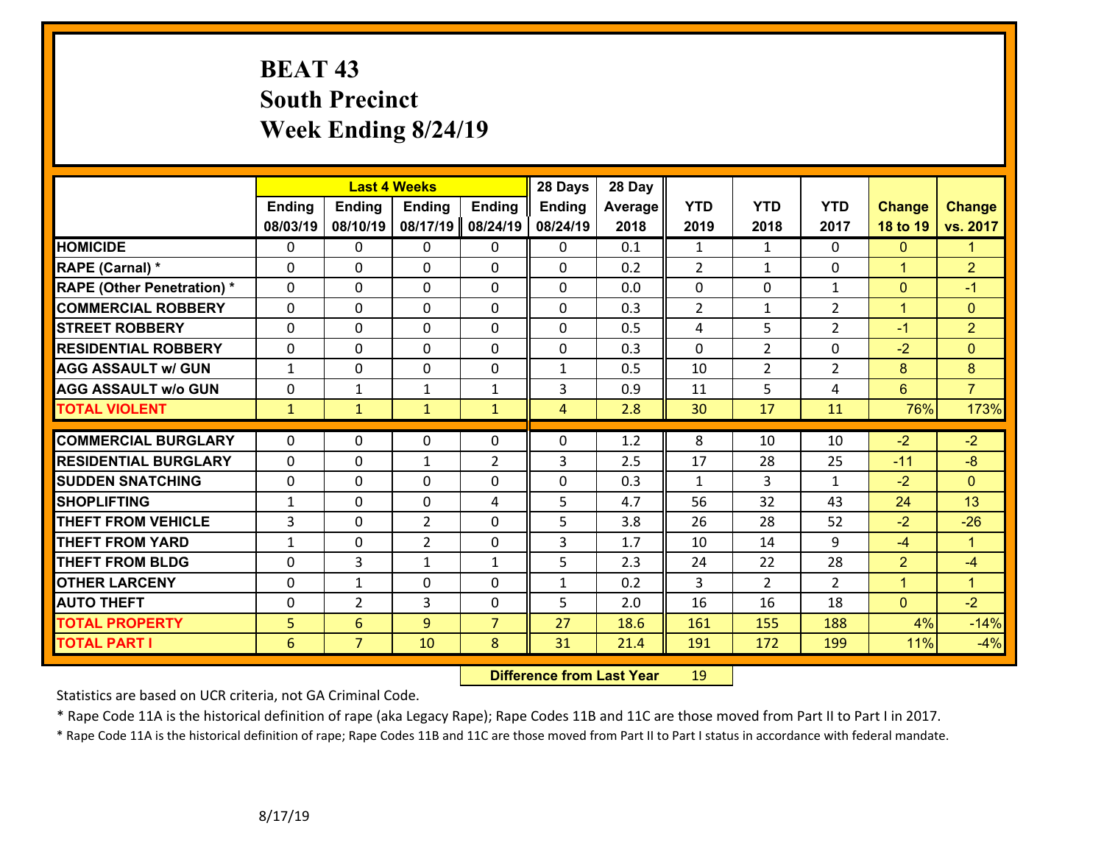# **BEAT 43 South Precinct Week Ending 8/24/19**

|                                   |               | <b>Last 4 Weeks</b> |                |                | 28 Days        | 28 Day  |                |                |                |                |                |
|-----------------------------------|---------------|---------------------|----------------|----------------|----------------|---------|----------------|----------------|----------------|----------------|----------------|
|                                   | <b>Ending</b> | Ending              | <b>Ending</b>  | <b>Ending</b>  | <b>Ending</b>  | Average | <b>YTD</b>     | <b>YTD</b>     | <b>YTD</b>     | <b>Change</b>  | <b>Change</b>  |
|                                   | 08/03/19      | 08/10/19            | 08/17/19       | 08/24/19       | 08/24/19       | 2018    | 2019           | 2018           | 2017           | 18 to 19       | vs. 2017       |
| <b>HOMICIDE</b>                   | $\Omega$      | 0                   | $\mathbf{0}$   | 0              | $\mathbf{0}$   | 0.1     | 1              | $\mathbf{1}$   | $\Omega$       | $\mathbf{0}$   | $\mathbf{1}$   |
| RAPE (Carnal) *                   | $\Omega$      | $\Omega$            | $\mathbf 0$    | $\Omega$       | $\Omega$       | 0.2     | $\overline{2}$ | $\mathbf{1}$   | $\Omega$       | $\mathbf{1}$   | $\overline{2}$ |
| <b>RAPE (Other Penetration) *</b> | 0             | 0                   | $\mathbf 0$    | 0              | 0              | 0.0     | 0              | $\mathbf 0$    | $\mathbf{1}$   | $\mathbf{0}$   | $-1$           |
| <b>COMMERCIAL ROBBERY</b>         | 0             | 0                   | $\mathbf 0$    | 0              | 0              | 0.3     | $\overline{2}$ | $\mathbf{1}$   | $\overline{2}$ | $\mathbf{1}$   | $\mathbf{0}$   |
| <b>STREET ROBBERY</b>             | 0             | 0                   | $\mathbf 0$    | $\Omega$       | 0              | 0.5     | 4              | 5              | $\overline{2}$ | $-1$           | $\overline{2}$ |
| <b>RESIDENTIAL ROBBERY</b>        | $\Omega$      | 0                   | $\mathbf 0$    | $\Omega$       | 0              | 0.3     | $\Omega$       | $\overline{2}$ | 0              | $-2$           | $\overline{0}$ |
| <b>AGG ASSAULT w/ GUN</b>         | $\mathbf{1}$  | 0                   | $\mathbf 0$    | 0              | $\mathbf{1}$   | 0.5     | 10             | $\overline{2}$ | $\overline{2}$ | 8              | 8              |
| <b>AGG ASSAULT w/o GUN</b>        | 0             | 1                   | $\mathbf{1}$   | $\mathbf{1}$   | 3              | 0.9     | 11             | 5              | 4              | 6              | $\overline{7}$ |
| <b>TOTAL VIOLENT</b>              | $\mathbf{1}$  | $\mathbf{1}$        | $\mathbf{1}$   | $\mathbf{1}$   | $\overline{4}$ | 2.8     | 30             | 17             | 11             | 76%            | 173%           |
|                                   |               |                     |                |                |                |         |                |                |                |                |                |
| <b>COMMERCIAL BURGLARY</b>        | $\Omega$      | 0                   | $\mathbf 0$    | 0              | 0              | 1.2     | 8              | 10             | 10             | $-2$           | $-2$           |
| <b>RESIDENTIAL BURGLARY</b>       | 0             | 0                   | 1              | $\overline{2}$ | 3              | 2.5     | 17             | 28             | 25             | $-11$          | $-8$           |
| <b>SUDDEN SNATCHING</b>           | 0             | 0                   | $\mathbf 0$    | 0              | 0              | 0.3     | $\mathbf{1}$   | 3              | $\mathbf{1}$   | $-2$           | $\overline{0}$ |
| <b>SHOPLIFTING</b>                | $\mathbf{1}$  | 0                   | $\mathbf 0$    | 4              | 5              | 4.7     | 56             | 32             | 43             | 24             | 13             |
| <b>THEFT FROM VEHICLE</b>         | 3             | 0                   | $\overline{2}$ | $\Omega$       | 5              | 3.8     | 26             | 28             | 52             | $-2$           | $-26$          |
| <b>THEFT FROM YARD</b>            | $\mathbf{1}$  | 0                   | $\overline{2}$ | 0              | 3              | 1.7     | 10             | 14             | 9              | $-4$           | $\mathbf{1}$   |
| <b>THEFT FROM BLDG</b>            | 0             | 3                   | $\mathbf{1}$   | 1              | 5              | 2.3     | 24             | 22             | 28             | $\overline{2}$ | $-4$           |
| <b>OTHER LARCENY</b>              | $\mathbf 0$   | $\mathbf{1}$        | $\mathbf 0$    | 0              | $\mathbf{1}$   | 0.2     | 3              | $\overline{2}$ | $\overline{2}$ | $\mathbf{1}$   | $\overline{1}$ |
| <b>AUTO THEFT</b>                 | $\Omega$      | $\overline{2}$      | 3              | $\Omega$       | 5              | 2.0     | 16             | 16             | 18             | $\overline{0}$ | $-2$           |
| <b>TOTAL PROPERTY</b>             | 5             | 6                   | 9              | $\overline{7}$ | 27             | 18.6    | 161            | 155            | 188            | 4%             | $-14%$         |
| <b>TOTAL PART I</b>               | 6             | $\overline{7}$      | 10             | 8              | 31             | 21.4    | 191            | 172            | 199            | 11%            | $-4%$          |

 **Difference from Last Year**r 19

Statistics are based on UCR criteria, not GA Criminal Code.

\* Rape Code 11A is the historical definition of rape (aka Legacy Rape); Rape Codes 11B and 11C are those moved from Part II to Part I in 2017.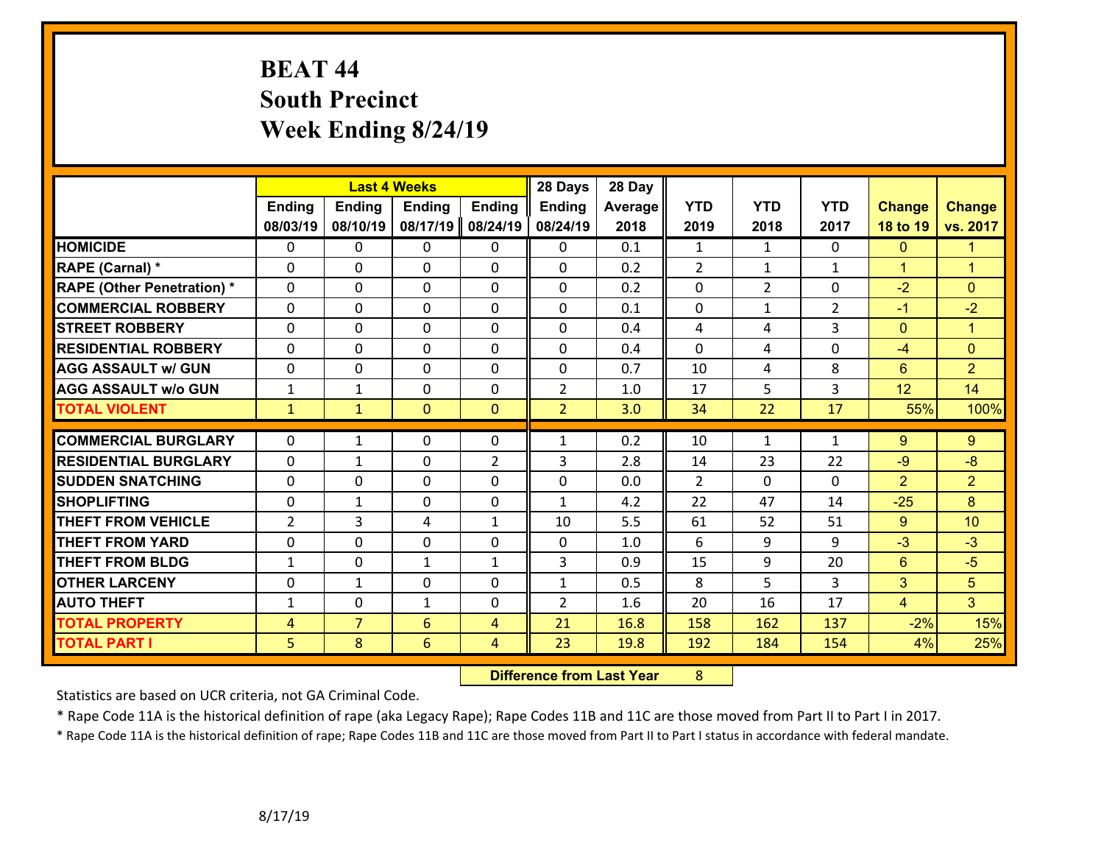# **BEAT 44 South Precinct Week Ending 8/24/19**

|                                   |                | <b>Last 4 Weeks</b> |               |                | 28 Days        | 28 Day  |                |                |                |                |                      |
|-----------------------------------|----------------|---------------------|---------------|----------------|----------------|---------|----------------|----------------|----------------|----------------|----------------------|
|                                   | <b>Ending</b>  | <b>Ending</b>       | <b>Ending</b> | <b>Ending</b>  | <b>Ending</b>  | Average | <b>YTD</b>     | <b>YTD</b>     | <b>YTD</b>     | <b>Change</b>  | <b>Change</b>        |
|                                   | 08/03/19       | 08/10/19            | 08/17/19      | 08/24/19       | 08/24/19       | 2018    | 2019           | 2018           | 2017           | 18 to 19       | vs. 2017             |
| <b>HOMICIDE</b>                   | $\Omega$       | 0                   | $\mathbf{0}$  | 0              | $\mathbf{0}$   | 0.1     | 1              | $\mathbf{1}$   | 0              | $\mathbf{0}$   | $\mathbf{1}$         |
| RAPE (Carnal) *                   | $\mathbf{0}$   | 0                   | $\mathbf 0$   | 0              | 0              | 0.2     | $\overline{2}$ | $\mathbf{1}$   | $\mathbf{1}$   | $\mathbf{1}$   | $\blacktriangleleft$ |
| <b>RAPE (Other Penetration) *</b> | 0              | 0                   | $\mathbf 0$   | 0              | 0              | 0.2     | 0              | $\overline{2}$ | 0              | $-2$           | $\Omega$             |
| <b>COMMERCIAL ROBBERY</b>         | 0              | 0                   | $\mathbf 0$   | $\Omega$       | 0              | 0.1     | 0              | $\mathbf{1}$   | $\overline{2}$ | $-1$           | $-2$                 |
| <b>ISTREET ROBBERY</b>            | 0              | 0                   | $\mathbf 0$   | 0              | 0              | 0.4     | 4              | 4              | 3              | $\mathbf{0}$   | $\mathbf{1}$         |
| <b>RESIDENTIAL ROBBERY</b>        | 0              | 0                   | $\mathbf 0$   | $\Omega$       | $\Omega$       | 0.4     | $\mathbf 0$    | 4              | 0              | $-4$           | $\overline{0}$       |
| <b>AGG ASSAULT w/ GUN</b>         | 0              | 0                   | $\mathbf 0$   | 0              | 0              | 0.7     | 10             | 4              | 8              | $6\phantom{1}$ | $\overline{2}$       |
| <b>AGG ASSAULT w/o GUN</b>        | $\mathbf{1}$   | 1                   | $\mathbf 0$   | 0              | $\overline{2}$ | 1.0     | 17             | 5              | 3              | 12             | 14                   |
| <b>TOTAL VIOLENT</b>              | $\mathbf{1}$   | $\mathbf{1}$        | $\mathbf{0}$  | $\mathbf{0}$   | $\overline{2}$ | 3.0     | 34             | 22             | 17             | 55%            | 100%                 |
|                                   |                |                     |               |                |                |         |                |                |                |                |                      |
| <b>COMMERCIAL BURGLARY</b>        | $\Omega$       | $\mathbf{1}$        | $\mathbf{0}$  | $\Omega$       | $\mathbf{1}$   | 0.2     | 10             | $\mathbf{1}$   | $\mathbf{1}$   | 9              | 9                    |
| <b>RESIDENTIAL BURGLARY</b>       | 0              | $\mathbf{1}$        | $\mathbf 0$   | $\overline{2}$ | 3              | 2.8     | 14             | 23             | 22             | $-9$           | $-8$                 |
| <b>SUDDEN SNATCHING</b>           | 0              | 0                   | $\mathbf 0$   | 0              | 0              | 0.0     | $\overline{2}$ | $\Omega$       | 0              | $\overline{2}$ | $\overline{2}$       |
| <b>SHOPLIFTING</b>                | 0              | $\mathbf{1}$        | $\mathbf 0$   | 0              | $\mathbf{1}$   | 4.2     | 22             | 47             | 14             | $-25$          | 8                    |
| <b>THEFT FROM VEHICLE</b>         | $\overline{2}$ | 3                   | 4             | $\mathbf{1}$   | 10             | 5.5     | 61             | 52             | 51             | 9              | 10                   |
| <b>THEFT FROM YARD</b>            | 0              | 0                   | $\mathbf 0$   | 0              | 0              | 1.0     | 6              | 9              | 9              | $-3$           | $-3$                 |
| <b>THEFT FROM BLDG</b>            | $\mathbf{1}$   | 0                   | 1             | $\mathbf{1}$   | 3              | 0.9     | 15             | 9              | 20             | 6              | $-5$                 |
| <b>OTHER LARCENY</b>              | $\mathbf 0$    | $\mathbf{1}$        | $\mathbf 0$   | $\Omega$       | $\mathbf{1}$   | 0.5     | 8              | 5              | 3              | 3              | 5                    |
| <b>AUTO THEFT</b>                 | $\mathbf{1}$   | 0                   | $\mathbf{1}$  | 0              | $\overline{2}$ | 1.6     | 20             | 16             | 17             | $\overline{4}$ | 3 <sup>1</sup>       |
| <b>TOTAL PROPERTY</b>             | $\overline{4}$ | $\overline{7}$      | 6             | $\overline{4}$ | 21             | 16.8    | 158            | 162            | 137            | $-2%$          | 15%                  |
| <b>TOTAL PART I</b>               | 5              | 8                   | 6             | 4              | 23             | 19.8    | 192            | 184            | 154            | 4%             | 25%                  |

 **Difference from Last Year**r 8

Statistics are based on UCR criteria, not GA Criminal Code.

\* Rape Code 11A is the historical definition of rape (aka Legacy Rape); Rape Codes 11B and 11C are those moved from Part II to Part I in 2017.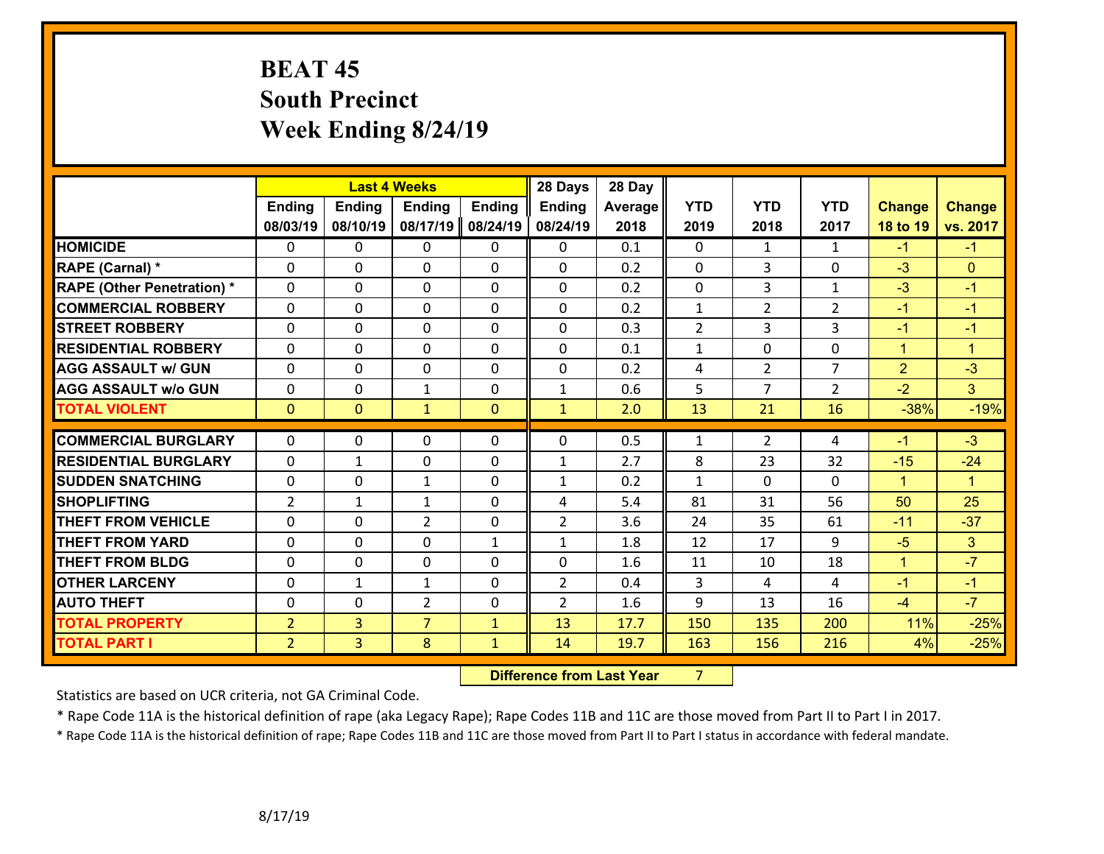# **BEAT 45 South Precinct Week Ending 8/24/19**

|                                   |                |                | <b>Last 4 Weeks</b> |               | 28 Days        | 28 Day  |                |                |                |                |                      |
|-----------------------------------|----------------|----------------|---------------------|---------------|----------------|---------|----------------|----------------|----------------|----------------|----------------------|
|                                   | <b>Ending</b>  | <b>Ending</b>  | <b>Ending</b>       | <b>Ending</b> | <b>Ending</b>  | Average | <b>YTD</b>     | <b>YTD</b>     | <b>YTD</b>     | <b>Change</b>  | <b>Change</b>        |
|                                   | 08/03/19       | 08/10/19       | 08/17/19            | 08/24/19      | 08/24/19       | 2018    | 2019           | 2018           | 2017           | 18 to 19       | vs. 2017             |
| <b>HOMICIDE</b>                   | $\Omega$       | 0              | $\mathbf{0}$        | 0             | $\mathbf{0}$   | 0.1     | $\Omega$       | $\mathbf{1}$   | $\mathbf{1}$   | $-1$           | $-1$                 |
| RAPE (Carnal) *                   | $\Omega$       | $\Omega$       | $\mathbf 0$         | $\Omega$      | $\Omega$       | 0.2     | $\Omega$       | 3              | $\Omega$       | $-3$           | $\Omega$             |
| <b>RAPE (Other Penetration) *</b> | 0              | 0              | $\mathbf 0$         | 0             | 0              | 0.2     | $\mathbf 0$    | $\overline{3}$ | $\mathbf{1}$   | $-3$           | $-1$                 |
| <b>COMMERCIAL ROBBERY</b>         | 0              | 0              | $\mathbf 0$         | 0             | 0              | 0.2     | $\mathbf{1}$   | $\overline{2}$ | $\overline{2}$ | $-1$           | $-1$                 |
| <b>STREET ROBBERY</b>             | 0              | 0              | $\mathbf 0$         | $\Omega$      | 0              | 0.3     | $\overline{2}$ | 3              | 3              | $-1$           | $-1$                 |
| <b>RESIDENTIAL ROBBERY</b>        | $\Omega$       | 0              | $\mathbf 0$         | $\Omega$      | 0              | 0.1     | $\mathbf{1}$   | $\Omega$       | 0              | $\mathbf{1}$   | $\overline{1}$       |
| <b>AGG ASSAULT w/ GUN</b>         | 0              | 0              | $\mathbf 0$         | 0             | 0              | 0.2     | 4              | $\overline{2}$ | $\overline{7}$ | $\overline{2}$ | $-3$                 |
| <b>AGG ASSAULT w/o GUN</b>        | 0              | 0              | $\mathbf{1}$        | 0             | $\mathbf{1}$   | 0.6     | 5              | $\overline{7}$ | $\overline{2}$ | $-2$           | 3                    |
| <b>TOTAL VIOLENT</b>              | $\mathbf{0}$   | $\overline{0}$ | $\mathbf{1}$        | $\mathbf{0}$  | $\mathbf{1}$   | 2.0     | 13             | 21             | 16             | $-38%$         | $-19%$               |
|                                   |                |                |                     |               |                |         |                |                |                |                |                      |
| <b>COMMERCIAL BURGLARY</b>        | $\Omega$       | 0              | $\mathbf 0$         | 0             | 0              | 0.5     | $\mathbf{1}$   | $\overline{2}$ | 4              | $-1$           | $-3$                 |
| <b>RESIDENTIAL BURGLARY</b>       | 0              | 1              | $\mathbf 0$         | 0             | $\mathbf{1}$   | 2.7     | 8              | 23             | 32             | $-15$          | $-24$                |
| <b>SUDDEN SNATCHING</b>           | 0              | 0              | 1                   | 0             | $\mathbf{1}$   | 0.2     | $\mathbf{1}$   | $\Omega$       | $\Omega$       | $\mathbf{1}$   | $\blacktriangleleft$ |
| <b>SHOPLIFTING</b>                | $\overline{2}$ | 1              | 1                   | 0             | 4              | 5.4     | 81             | 31             | 56             | 50             | 25                   |
| <b>THEFT FROM VEHICLE</b>         | $\Omega$       | $\Omega$       | $\overline{2}$      | $\Omega$      | $\overline{2}$ | 3.6     | 24             | 35             | 61             | $-11$          | $-37$                |
| <b>THEFT FROM YARD</b>            | 0              | 0              | $\mathbf 0$         | $\mathbf{1}$  | $\mathbf{1}$   | 1.8     | 12             | 17             | 9              | $-5$           | 3                    |
| <b>THEFT FROM BLDG</b>            | 0              | 0              | 0                   | $\Omega$      | 0              | 1.6     | 11             | 10             | 18             | $\mathbf{1}$   | $-7$                 |
| <b>OTHER LARCENY</b>              | $\mathbf 0$    | $\mathbf{1}$   | $\mathbf{1}$        | 0             | $\overline{2}$ | 0.4     | 3              | 4              | 4              | $-1$           | $-1$                 |
| <b>AUTO THEFT</b>                 | $\Omega$       | $\Omega$       | $\overline{2}$      | $\Omega$      | $\overline{2}$ | 1.6     | 9              | 13             | 16             | $-4$           | $-7$                 |
| <b>TOTAL PROPERTY</b>             | $\overline{2}$ | 3              | $\overline{7}$      | $\mathbf{1}$  | 13             | 17.7    | 150            | 135            | 200            | 11%            | $-25%$               |
| <b>TOTAL PART I</b>               | $\overline{2}$ | $\overline{3}$ | 8                   | $\mathbf{1}$  | 14             | 19.7    | 163            | 156            | 216            | 4%             | $-25%$               |

 **Difference from Last Year**r 7

Statistics are based on UCR criteria, not GA Criminal Code.

\* Rape Code 11A is the historical definition of rape (aka Legacy Rape); Rape Codes 11B and 11C are those moved from Part II to Part I in 2017.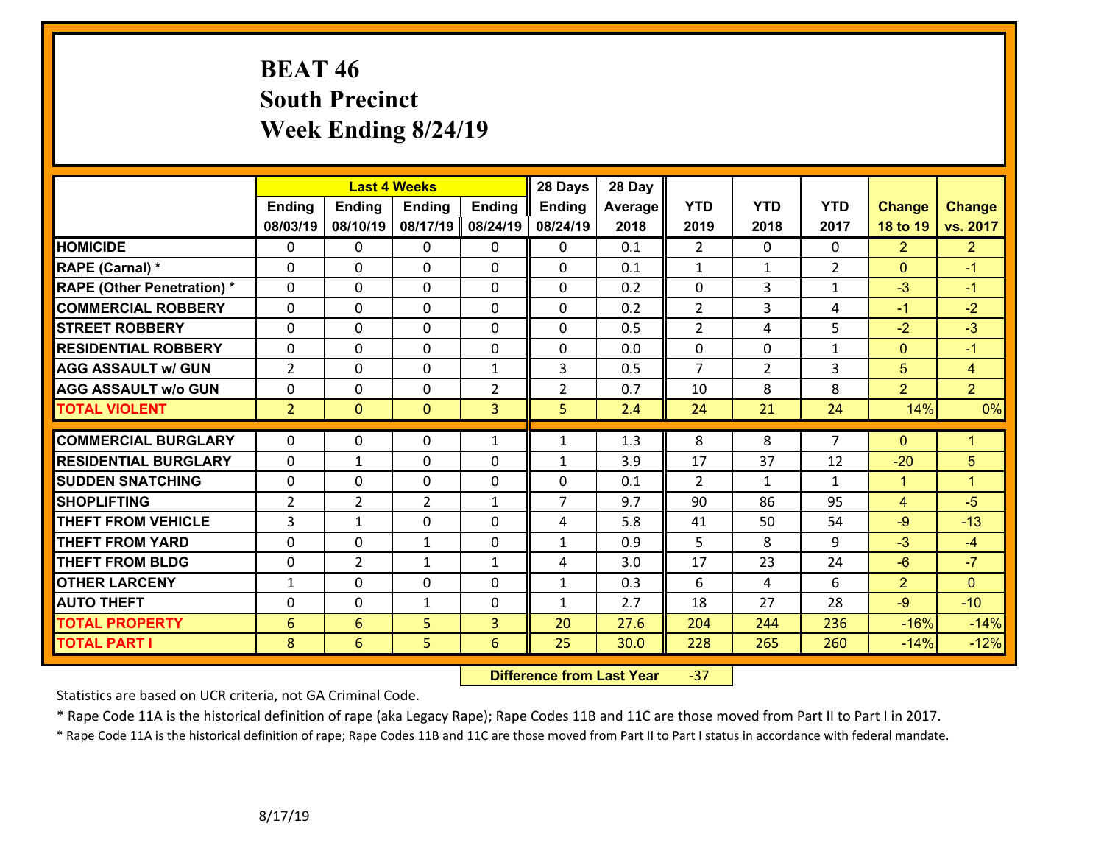# **BEAT 46 South Precinct Week Ending 8/24/19**

|                                   |                |                | <b>Last 4 Weeks</b> |                | 28 Days        | 28 Day  |                |                |                |                |                      |
|-----------------------------------|----------------|----------------|---------------------|----------------|----------------|---------|----------------|----------------|----------------|----------------|----------------------|
|                                   | <b>Ending</b>  | <b>Ending</b>  | <b>Ending</b>       | <b>Ending</b>  | <b>Ending</b>  | Average | <b>YTD</b>     | <b>YTD</b>     | <b>YTD</b>     | <b>Change</b>  | <b>Change</b>        |
|                                   | 08/03/19       | 08/10/19       | 08/17/19            | 08/24/19       | 08/24/19       | 2018    | 2019           | 2018           | 2017           | 18 to 19       | vs. 2017             |
| <b>HOMICIDE</b>                   | $\Omega$       | 0              | $\mathbf{0}$        | 0              | $\mathbf{0}$   | 0.1     | $\overline{2}$ | $\Omega$       | $\Omega$       | $\overline{2}$ | 2 <sup>1</sup>       |
| RAPE (Carnal) *                   | $\Omega$       | $\Omega$       | $\mathbf 0$         | $\Omega$       | $\Omega$       | 0.1     | $\mathbf{1}$   | $\mathbf{1}$   | $\overline{2}$ | $\Omega$       | $-1$                 |
| <b>RAPE (Other Penetration) *</b> | 0              | 0              | $\mathbf 0$         | 0              | 0              | 0.2     | $\mathbf 0$    | 3              | $\mathbf{1}$   | $-3$           | $-1$                 |
| <b>COMMERCIAL ROBBERY</b>         | 0              | 0              | $\mathbf 0$         | 0              | 0              | 0.2     | $\overline{2}$ | 3              | 4              | $-1$           | $-2$                 |
| <b>STREET ROBBERY</b>             | 0              | 0              | $\mathbf 0$         | $\Omega$       | 0              | 0.5     | $\overline{2}$ | 4              | 5              | $-2$           | $-3$                 |
| <b>RESIDENTIAL ROBBERY</b>        | $\Omega$       | 0              | $\mathbf 0$         | $\Omega$       | 0              | 0.0     | $\mathbf 0$    | $\Omega$       | $\mathbf{1}$   | $\mathbf{0}$   | $-1$                 |
| <b>AGG ASSAULT w/ GUN</b>         | $\overline{2}$ | 0              | $\mathbf 0$         | $\mathbf{1}$   | 3              | 0.5     | $\overline{7}$ | $\overline{2}$ | 3              | 5              | $\overline{4}$       |
| <b>AGG ASSAULT w/o GUN</b>        | 0              | 0              | $\mathbf 0$         | $\overline{2}$ | $\overline{2}$ | 0.7     | 10             | 8              | 8              | $\overline{2}$ | $\overline{2}$       |
| <b>TOTAL VIOLENT</b>              | $\overline{2}$ | $\overline{0}$ | $\mathbf{0}$        | 3              | 5              | 2.4     | 24             | 21             | 24             | 14%            | 0%                   |
|                                   |                |                |                     |                |                |         |                |                |                |                |                      |
| <b>COMMERCIAL BURGLARY</b>        | $\Omega$       | 0              | $\mathbf 0$         | $\mathbf{1}$   | $\mathbf{1}$   | 1.3     | 8              | 8              | $\overline{7}$ | $\mathbf{0}$   | $\mathbf{1}$         |
| <b>RESIDENTIAL BURGLARY</b>       | 0              | 1              | $\mathbf 0$         | 0              | $\mathbf{1}$   | 3.9     | 17             | 37             | 12             | $-20$          | 5                    |
| <b>SUDDEN SNATCHING</b>           | 0              | 0              | $\mathbf 0$         | 0              | 0              | 0.1     | $\overline{2}$ | $\mathbf{1}$   | $\mathbf{1}$   | $\mathbf{1}$   | $\blacktriangleleft$ |
| <b>SHOPLIFTING</b>                | $\overline{2}$ | $\overline{2}$ | $\overline{2}$      | $\mathbf{1}$   | $\overline{7}$ | 9.7     | 90             | 86             | 95             | $\overline{4}$ | $-5$                 |
| <b>THEFT FROM VEHICLE</b>         | 3              | $\mathbf{1}$   | 0                   | $\Omega$       | 4              | 5.8     | 41             | 50             | 54             | $-9$           | $-13$                |
| <b>THEFT FROM YARD</b>            | 0              | 0              | $\mathbf{1}$        | 0              | $\mathbf{1}$   | 0.9     | 5              | 8              | 9              | $-3$           | $-4$                 |
| <b>THEFT FROM BLDG</b>            | 0              | $\overline{2}$ | $\mathbf{1}$        | 1              | 4              | 3.0     | 17             | 23             | 24             | $-6$           | $-7$                 |
| <b>OTHER LARCENY</b>              | $\mathbf{1}$   | 0              | $\mathbf 0$         | 0              | $\mathbf{1}$   | 0.3     | 6              | 4              | 6              | $\overline{2}$ | $\overline{0}$       |
| <b>AUTO THEFT</b>                 | $\Omega$       | 0              | $\mathbf{1}$        | $\Omega$       | $\mathbf{1}$   | 2.7     | 18             | 27             | 28             | $-9$           | $-10$                |
| <b>TOTAL PROPERTY</b>             | 6              | 6              | 5                   | $\overline{3}$ | 20             | 27.6    | 204            | 244            | 236            | $-16%$         | $-14%$               |
| <b>TOTAL PART I</b>               | 8              | 6              | 5                   | 6              | 25             | 30.0    | 228            | 265            | 260            | $-14%$         | $-12%$               |

 **Difference from Last Year**‐37

Statistics are based on UCR criteria, not GA Criminal Code.

\* Rape Code 11A is the historical definition of rape (aka Legacy Rape); Rape Codes 11B and 11C are those moved from Part II to Part I in 2017.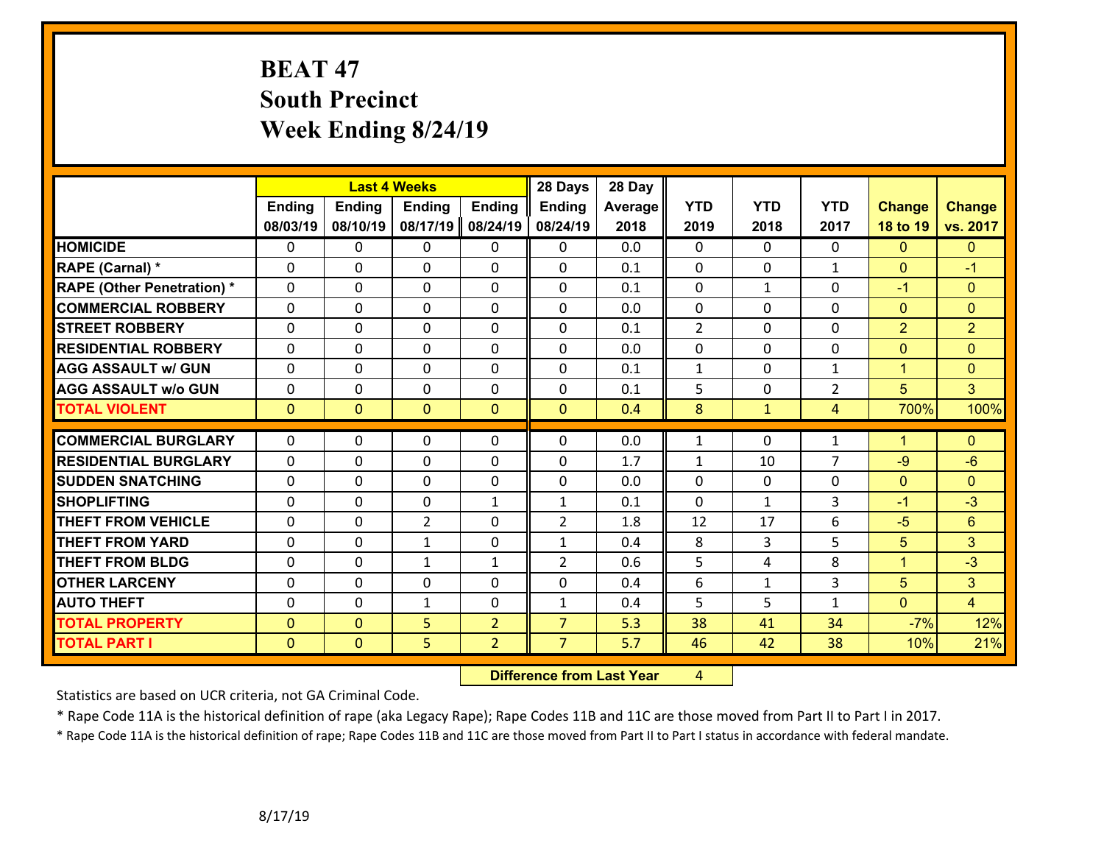# **BEAT 47 South Precinct Week Ending 8/24/19**

|                                   |               |                | <b>Last 4 Weeks</b> |                | 28 Days        | 28 Day  |                |              |                |                |                |
|-----------------------------------|---------------|----------------|---------------------|----------------|----------------|---------|----------------|--------------|----------------|----------------|----------------|
|                                   | <b>Ending</b> | <b>Ending</b>  | <b>Ending</b>       | <b>Ending</b>  | <b>Ending</b>  | Average | <b>YTD</b>     | <b>YTD</b>   | <b>YTD</b>     | <b>Change</b>  | <b>Change</b>  |
|                                   | 08/03/19      | 08/10/19       | 08/17/19            | 08/24/19       | 08/24/19       | 2018    | 2019           | 2018         | 2017           | 18 to 19       | vs. 2017       |
| <b>HOMICIDE</b>                   | $\Omega$      | 0              | $\mathbf{0}$        | 0              | 0              | 0.0     | $\Omega$       | $\Omega$     | $\Omega$       | $\Omega$       | $\mathbf{0}$   |
| RAPE (Carnal) *                   | $\Omega$      | 0              | $\mathbf 0$         | 0              | 0              | 0.1     | $\mathbf 0$    | $\mathbf{0}$ | $\mathbf{1}$   | $\mathbf{0}$   | $-1$           |
| <b>RAPE (Other Penetration) *</b> | $\Omega$      | 0              | $\mathbf 0$         | 0              | 0              | 0.1     | $\mathbf 0$    | $\mathbf{1}$ | $\Omega$       | $-1$           | $\mathbf{0}$   |
| <b>COMMERCIAL ROBBERY</b>         | 0             | 0              | $\mathbf 0$         | $\Omega$       | 0              | 0.0     | $\mathbf 0$    | $\Omega$     | 0              | $\mathbf{0}$   | $\mathbf{0}$   |
| <b>STREET ROBBERY</b>             | 0             | 0              | $\mathbf 0$         | 0              | 0              | 0.1     | $\overline{2}$ | 0            | 0              | $\overline{2}$ | $\overline{2}$ |
| <b>RESIDENTIAL ROBBERY</b>        | 0             | 0              | $\mathbf 0$         | 0              | 0              | 0.0     | $\mathbf 0$    | 0            | 0              | $\overline{0}$ | $\overline{0}$ |
| <b>AGG ASSAULT w/ GUN</b>         | 0             | 0              | $\mathbf 0$         | $\Omega$       | 0              | 0.1     | $\mathbf 1$    | $\Omega$     | $\mathbf{1}$   | $\mathbf{1}$   | $\overline{0}$ |
| <b>AGG ASSAULT w/o GUN</b>        | 0             | 0              | $\mathbf 0$         | 0              | 0              | 0.1     | 5              | 0            | $\overline{2}$ | 5              | $\overline{3}$ |
| <b>TOTAL VIOLENT</b>              | $\mathbf{0}$  | $\overline{0}$ | $\mathbf{0}$        | $\mathbf{0}$   | $\mathbf{0}$   | 0.4     | 8              | $\mathbf{1}$ | $\overline{4}$ | 700%           | 100%           |
|                                   |               |                |                     |                |                |         |                |              |                |                |                |
| <b>COMMERCIAL BURGLARY</b>        | $\Omega$      | 0              | $\mathbf{0}$        | $\Omega$       | $\Omega$       | 0.0     | $\mathbf{1}$   | $\Omega$     | $\mathbf{1}$   | $\mathbf{1}$   | $\Omega$       |
| <b>RESIDENTIAL BURGLARY</b>       | 0             | 0              | $\mathbf 0$         | 0              | 0              | 1.7     | $\mathbf{1}$   | 10           | $\overline{7}$ | $-9$           | $-6$           |
| <b>SUDDEN SNATCHING</b>           | 0             | 0              | $\mathbf 0$         | 0              | 0              | 0.0     | $\mathbf 0$    | $\mathbf 0$  | 0              | $\overline{0}$ | $\mathbf{0}$   |
| <b>SHOPLIFTING</b>                | $\Omega$      | $\Omega$       | $\mathbf 0$         | $\mathbf{1}$   | $\mathbf{1}$   | 0.1     | $\mathbf 0$    | $\mathbf{1}$ | 3              | $-1$           | $-3$           |
| <b>THEFT FROM VEHICLE</b>         | $\Omega$      | $\Omega$       | $\overline{2}$      | $\Omega$       | $\overline{2}$ | 1.8     | 12             | 17           | 6              | $-5$           | $6\phantom{a}$ |
| <b>THEFT FROM YARD</b>            | 0             | 0              | $\mathbf{1}$        | 0              | $\mathbf{1}$   | 0.4     | 8              | 3            | 5              | 5              | 3              |
| <b>THEFT FROM BLDG</b>            | 0             | 0              | $\mathbf{1}$        | $\mathbf{1}$   | $\overline{2}$ | 0.6     | 5              | 4            | 8              | $\mathbf{1}$   | $-3$           |
| <b>OTHER LARCENY</b>              | 0             | 0              | 0                   | $\Omega$       | 0              | 0.4     | 6              | $\mathbf{1}$ | 3              | 5              | $\overline{3}$ |
| <b>AUTO THEFT</b>                 | 0             | 0              | $\mathbf{1}$        | 0              | $\mathbf{1}$   | 0.4     | 5              | 5            | $\mathbf{1}$   | $\overline{0}$ | $\overline{4}$ |
| <b>TOTAL PROPERTY</b>             | $\mathbf{0}$  | $\overline{0}$ | 5                   | $\overline{2}$ | $\overline{7}$ | 5.3     | 38             | 41           | 34             | $-7%$          | 12%            |
| <b>TOTAL PART I</b>               | $\mathbf{0}$  | $\overline{0}$ | 5                   | $\overline{2}$ | $\overline{7}$ | 5.7     | 46             | 42           | 38             | 10%            | 21%            |

 **Difference from Last Year**r 4

Statistics are based on UCR criteria, not GA Criminal Code.

\* Rape Code 11A is the historical definition of rape (aka Legacy Rape); Rape Codes 11B and 11C are those moved from Part II to Part I in 2017.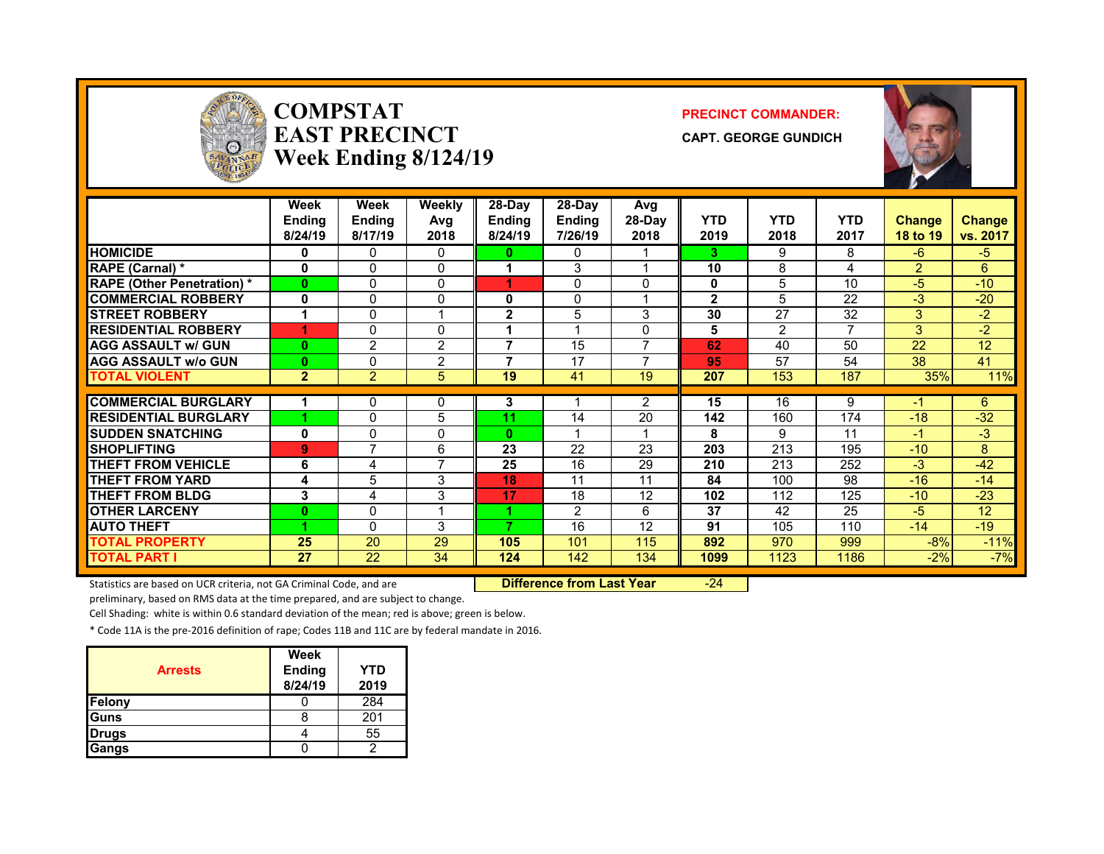

### **COMPSTATEAST PRECINCTWeek Ending 8/124/19**

#### **PRECINCT COMMANDER:**

**CAPT. GEORGE GUNDICH**



|                                   | Week<br><b>Ending</b><br>8/24/19 | Week<br>Ending<br>8/17/19 | <b>Weekly</b><br>Avg<br>2018 | 28-Day<br><b>Ending</b><br>8/24/19 | 28-Day<br><b>Ending</b><br>7/26/19 | Avg<br>28-Day<br>2018 | <b>YTD</b><br>2019 | <b>YTD</b><br>2018 | <b>YTD</b><br>2017 | <b>Change</b><br>18 to 19 | <b>Change</b><br>vs. 2017 |
|-----------------------------------|----------------------------------|---------------------------|------------------------------|------------------------------------|------------------------------------|-----------------------|--------------------|--------------------|--------------------|---------------------------|---------------------------|
| <b>HOMICIDE</b>                   | 0                                | 0                         | 0                            | o                                  | 0                                  |                       | 3.                 | 9                  | 8                  | $-6$                      | $-5$                      |
| RAPE (Carnal) *                   | 0                                | $\mathbf{0}$              | 0                            |                                    | 3                                  |                       | 10                 | 8                  | 4                  | $\overline{2}$            | 6                         |
| <b>RAPE (Other Penetration) *</b> | 0                                | 0                         | 0                            | 4                                  | 0                                  | 0                     | 0                  | 5                  | 10                 | $-5$                      | $-10$                     |
| <b>COMMERCIAL ROBBERY</b>         | 0                                | 0                         | 0                            | 0                                  | $\Omega$                           |                       | $\mathbf{2}$       | 5                  | 22                 | $-3$                      | $-20$                     |
| <b>STREET ROBBERY</b>             |                                  | 0                         | 4                            | $\overline{2}$                     | 5                                  | 3                     | 30                 | 27                 | 32                 | 3                         | $-2$                      |
| <b>RESIDENTIAL ROBBERY</b>        | 4                                | 0                         | 0                            |                                    |                                    | <sup>0</sup>          | 5                  | 2                  | 7                  | 3                         | $-2$                      |
| <b>AGG ASSAULT w/ GUN</b>         | $\bf{0}$                         | 2                         | $\overline{2}$               | 7                                  | 15                                 | $\overline{ }$        | 62                 | 40                 | 50                 | 22                        | 12                        |
| <b>AGG ASSAULT w/o GUN</b>        | 0                                | 0                         | $\overline{2}$               | 7                                  | 17                                 |                       | 95                 | 57                 | 54                 | 38                        | 41                        |
| <b>TOTAL VIOLENT</b>              | $\overline{2}$                   | $\overline{2}$            | 5                            | 19                                 | 41                                 | 19                    | 207                | 153                | 187                | 35%                       | 11%                       |
|                                   |                                  |                           |                              |                                    |                                    |                       |                    |                    |                    |                           |                           |
| <b>COMMERCIAL BURGLARY</b>        |                                  | 0                         | 0                            | 3                                  |                                    | 2                     | 15                 | 16                 | 9                  | -1                        | 6                         |
| <b>RESIDENTIAL BURGLARY</b>       |                                  | 0                         | 5                            | 11                                 | 14                                 | 20                    | 142                | 160                | 174                | $-18$                     | $-32$                     |
| <b>SUDDEN SNATCHING</b>           | 0                                | 0                         | 0                            | $\mathbf{0}$                       |                                    |                       | 8                  | 9                  | 11                 | -1                        | $-3$                      |
| <b>SHOPLIFTING</b>                | 9                                | 7                         | 6                            | 23                                 | 22                                 | 23                    | 203                | 213                | 195                | $-10$                     | 8                         |
| <b>THEFT FROM VEHICLE</b>         | 6                                | 4                         | $\overline{7}$               | 25                                 | 16                                 | 29                    | 210                | 213                | 252                | $-3$                      | $-42$                     |
| <b>THEFT FROM YARD</b>            | 4                                | 5                         | 3                            | 18                                 | 11                                 | 11                    | 84                 | 100                | 98                 | $-16$                     | $-14$                     |
| <b>THEFT FROM BLDG</b>            | 3                                | 4                         | 3                            | 17                                 | 18                                 | 12                    | 102                | 112                | 125                | $-10$                     | $-23$                     |
| <b>OTHER LARCENY</b>              | 0                                | 0                         | 4                            | 4                                  | $\mathfrak{p}$                     | 6                     | 37                 | 42                 | 25                 | $-5$                      | 12                        |
| <b>AUTO THEFT</b>                 |                                  | $\Omega$                  | 3                            | 7                                  | 16                                 | 12                    | 91                 | 105                | 110                | $-14$                     | $-19$                     |
| <b>TOTAL PROPERTY</b>             | 25                               | 20                        | 29                           | 105                                | 101                                | 115                   | 892                | 970                | 999                | $-8%$                     | $-11%$                    |
| <b>TOTAL PART I</b>               | 27                               | 22                        | 34                           | 124                                | 142                                | 134                   | 1099               | 1123               | 1186               | $-2\%$                    | $-7%$                     |

Statistics are based on UCR criteria, not GA Criminal Code, and are **Difference from Last Year** -24

preliminary, based on RMS data at the time prepared, and are subject to change.

Cell Shading: white is within 0.6 standard deviation of the mean; red is above; green is below.

\* Code 11A is the pre‐2016 definition of rape; Codes 11B and 11C are by federal mandate in 2016.

| <b>Arrests</b> | <b>Week</b><br><b>Ending</b><br>8/24/19 | YTD<br>2019 |
|----------------|-----------------------------------------|-------------|
| <b>Felony</b>  |                                         | 284         |
| <b>Guns</b>    |                                         | 201         |
| <b>Drugs</b>   |                                         | 55          |
| <b>Gangs</b>   |                                         |             |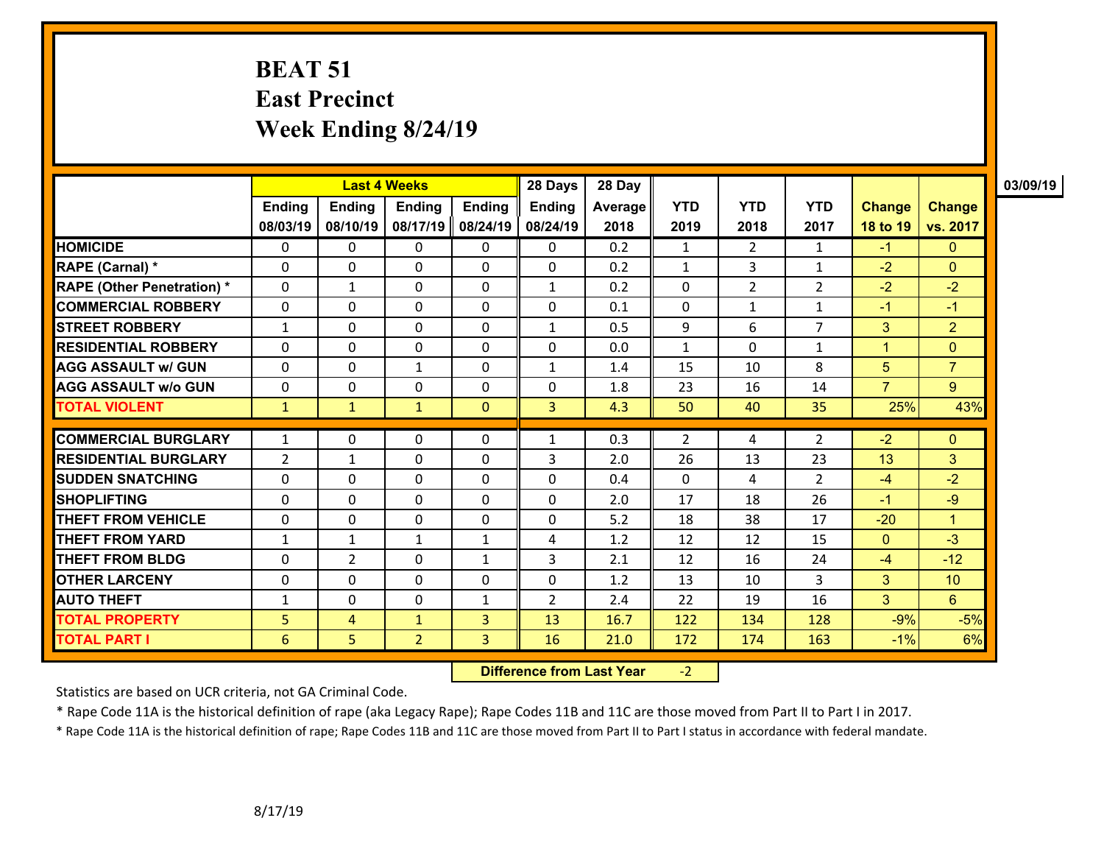### **BEAT 51 East Precinct Week Ending 8/24/19**

|                                   |                |                | <b>Last 4 Weeks</b> |                | 28 Days        | 28 Day         |              |                |                |                         |                 | 03/09/19 |
|-----------------------------------|----------------|----------------|---------------------|----------------|----------------|----------------|--------------|----------------|----------------|-------------------------|-----------------|----------|
|                                   | <b>Ending</b>  | <b>Ending</b>  | Ending              | <b>Ending</b>  | <b>Ending</b>  | <b>Average</b> | <b>YTD</b>   | <b>YTD</b>     | <b>YTD</b>     | <b>Change</b>           | <b>Change</b>   |          |
|                                   | 08/03/19       | 08/10/19       | 08/17/19            | 08/24/19       | 08/24/19       | 2018           | 2019         | 2018           | 2017           | 18 to 19                | vs. 2017        |          |
| <b>HOMICIDE</b>                   | 0              | $\mathbf{0}$   | $\mathbf{0}$        | 0              | $\mathbf{0}$   | 0.2            | 1            | $\overline{2}$ | $\mathbf{1}$   | $-1$                    | $\mathbf{0}$    |          |
| <b>RAPE (Carnal) *</b>            | 0              | $\Omega$       | 0                   | $\Omega$       | $\mathbf{0}$   | 0.2            | $\mathbf{1}$ | 3              | $\mathbf{1}$   | $-2$                    | $\overline{0}$  |          |
| <b>RAPE (Other Penetration) *</b> | 0              | $\mathbf{1}$   | $\Omega$            | 0              | $\mathbf{1}$   | 0.2            | $\mathbf 0$  | $\overline{2}$ | $\overline{2}$ | $-2$                    | $-2$            |          |
| <b>COMMERCIAL ROBBERY</b>         | 0              | 0              | $\mathbf{0}$        | 0              | $\mathbf{0}$   | 0.1            | $\Omega$     | $\mathbf{1}$   | $\mathbf{1}$   | $-1$                    | $-1$            |          |
| <b>STREET ROBBERY</b>             | $\mathbf{1}$   | $\mathbf 0$    | $\mathbf{0}$        | $\mathbf 0$    | $\mathbf{1}$   | 0.5            | 9            | 6              | $\overline{7}$ | 3                       | $\overline{2}$  |          |
| <b>RESIDENTIAL ROBBERY</b>        | $\Omega$       | $\Omega$       | 0                   | 0              | $\Omega$       | 0.0            | $\mathbf{1}$ | $\Omega$       | $\mathbf{1}$   | $\overline{\mathbf{A}}$ | $\overline{0}$  |          |
| <b>AGG ASSAULT w/ GUN</b>         | $\Omega$       | $\Omega$       | 1                   | 0              | $\mathbf{1}$   | 1.4            | 15           | 10             | 8              | 5                       | $\overline{7}$  |          |
| <b>AGG ASSAULT w/o GUN</b>        | 0              | 0              | $\Omega$            | 0              | $\Omega$       | 1.8            | 23           | 16             | 14             | $\overline{7}$          | 9               |          |
| <b>TOTAL VIOLENT</b>              | $\mathbf{1}$   | $\mathbf{1}$   | $\mathbf{1}$        | $\mathbf{0}$   | 3              | 4.3            | 50           | 40             | 35             | 25%                     | 43%             |          |
| <b>COMMERCIAL BURGLARY</b>        | $\mathbf{1}$   | 0              | $\mathbf{0}$        | 0              | 1              | 0.3            | 2            | 4              | 2              | $-2$                    | $\mathbf{0}$    |          |
| <b>RESIDENTIAL BURGLARY</b>       | $\overline{2}$ | $\mathbf{1}$   | $\Omega$            | 0              | 3              | 2.0            | 26           | 13             | 23             | 13                      | 3               |          |
| <b>ISUDDEN SNATCHING</b>          | 0              | $\mathbf{0}$   | $\Omega$            | $\Omega$       | 0              | 0.4            | $\Omega$     | 4              | 2              | $-4$                    | $-2$            |          |
| <b>SHOPLIFTING</b>                | 0              | $\mathbf{0}$   | 0                   | 0              | 0              | 2.0            | 17           | 18             | 26             | $-1$                    | $-9$            |          |
| <b>THEFT FROM VEHICLE</b>         | $\Omega$       | $\mathbf 0$    | $\Omega$            | $\mathbf 0$    | $\Omega$       | 5.2            | 18           | 38             | 17             | $-20$                   | $\mathbf{1}$    |          |
| <b>THEFT FROM YARD</b>            | $\mathbf{1}$   | $\mathbf{1}$   | 1                   | $\mathbf{1}$   | 4              | 1.2            | 12           | 12             | 15             | $\mathbf{0}$            | $-3$            |          |
| <b>THEFT FROM BLDG</b>            | 0              | $\overline{2}$ | $\Omega$            | $\mathbf{1}$   | 3              | 2.1            | 12           | 16             | 24             | $-4$                    | $-12$           |          |
| <b>OTHER LARCENY</b>              | 0              | 0              | $\Omega$            | 0              | $\mathbf{0}$   | 1.2            | 13           | 10             | 3              | 3                       | 10 <sup>°</sup> |          |
| <b>AUTO THEFT</b>                 | $\mathbf{1}$   | $\Omega$       | $\Omega$            | $\mathbf{1}$   | $\overline{2}$ | 2.4            | 22           | 19             | 16             | $\overline{3}$          | 6               |          |
| <b>TOTAL PROPERTY</b>             | 5 <sup>1</sup> | 4              | $\mathbf{1}$        | 3              | 13             | 16.7           | 122          | 134            | 128            | $-9%$                   | $-5%$           |          |
| <b>TOTAL PART I</b>               | 6              | 5              | $\overline{2}$      | $\overline{3}$ | 16             | 21.0           | 172          | 174            | 163            | $-1%$                   | 6%              |          |

 **Difference from Last Year**‐2

Statistics are based on UCR criteria, not GA Criminal Code.

\* Rape Code 11A is the historical definition of rape (aka Legacy Rape); Rape Codes 11B and 11C are those moved from Part II to Part I in 2017.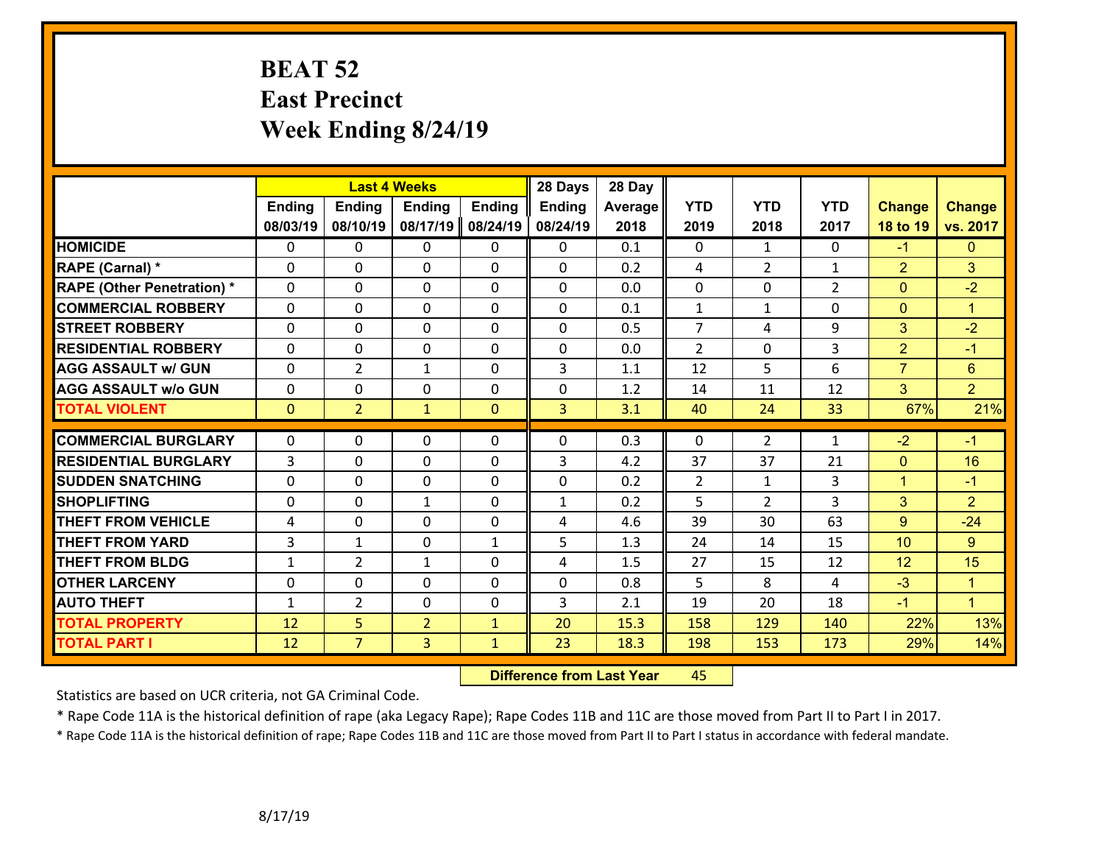## **BEAT 52 East Precinct Week Ending 8/24/19**

|                                   |                | <b>Last 4 Weeks</b> |                |               | 28 Days        | 28 Day         |                |                |                |                      |                |
|-----------------------------------|----------------|---------------------|----------------|---------------|----------------|----------------|----------------|----------------|----------------|----------------------|----------------|
|                                   | <b>Ending</b>  | Ending              | <b>Ending</b>  | <b>Ending</b> | <b>Ending</b>  | <b>Average</b> | <b>YTD</b>     | <b>YTD</b>     | <b>YTD</b>     | <b>Change</b>        | <b>Change</b>  |
|                                   | 08/03/19       | 08/10/19            | 08/17/19       | 08/24/19      | 08/24/19       | 2018           | 2019           | 2018           | 2017           | 18 to 19             | vs. 2017       |
| <b>HOMICIDE</b>                   | $\Omega$       | 0                   | $\Omega$       | $\Omega$      | $\Omega$       | 0.1            | $\Omega$       | $\mathbf{1}$   | $\Omega$       | $-1$                 | $\Omega$       |
| RAPE (Carnal) *                   | $\Omega$       | 0                   | $\mathbf{0}$   | $\Omega$      | 0              | 0.2            | 4              | $\overline{2}$ | $\mathbf{1}$   | 2                    | 3              |
| <b>RAPE (Other Penetration) *</b> | $\Omega$       | 0                   | $\mathbf{0}$   | 0             | $\Omega$       | 0.0            | $\mathbf{0}$   | 0              | $\overline{2}$ | $\mathbf{0}$         | $-2$           |
| <b>COMMERCIAL ROBBERY</b>         | $\mathbf 0$    | 0                   | $\mathbf 0$    | 0             | 0              | 0.1            | $\mathbf{1}$   | $\mathbf{1}$   | 0              | $\Omega$             | $\mathbf{1}$   |
| <b>STREET ROBBERY</b>             | $\mathbf 0$    | 0                   | $\mathbf 0$    | $\mathbf 0$   | $\Omega$       | 0.5            | $\overline{7}$ | 4              | 9              | 3                    | $-2$           |
| <b>RESIDENTIAL ROBBERY</b>        | $\mathbf 0$    | 0                   | $\mathbf 0$    | 0             | 0              | 0.0            | $\overline{2}$ | 0              | 3              | $\overline{2}$       | $-1$           |
| <b>AGG ASSAULT w/ GUN</b>         | $\mathbf 0$    | $\overline{2}$      | $\mathbf{1}$   | 0             | 3              | 1.1            | 12             | 5              | 6              | $\overline{7}$       | 6 <sup>1</sup> |
| <b>AGG ASSAULT W/o GUN</b>        | $\mathbf 0$    | 0                   | $\mathbf 0$    | 0             | 0              | 1.2            | 14             | 11             | 12             | 3                    | $\overline{2}$ |
| <b>TOTAL VIOLENT</b>              | $\overline{0}$ | $\overline{2}$      | $\mathbf{1}$   | $\mathbf{0}$  | $\overline{3}$ | 3.1            | 40             | 24             | 33             | 67%                  | 21%            |
| <b>COMMERCIAL BURGLARY</b>        | $\Omega$       |                     |                |               | 0              |                | $\Omega$       |                |                |                      |                |
|                                   |                | 0                   | $\mathbf{0}$   | $\Omega$      |                | 0.3            |                | $\overline{2}$ | $\mathbf{1}$   | $-2$                 | $-1$           |
| <b>RESIDENTIAL BURGLARY</b>       | 3              | 0                   | $\mathbf{0}$   | 0             | 3              | 4.2            | 37             | 37             | 21             | $\mathbf{0}$         | 16             |
| <b>SUDDEN SNATCHING</b>           | $\Omega$       | 0                   | $\mathbf 0$    | 0             | 0              | 0.2            | $\overline{2}$ | $\mathbf{1}$   | 3              | $\blacktriangleleft$ | $-1$           |
| <b>SHOPLIFTING</b>                | $\mathbf 0$    | 0                   | $\mathbf{1}$   | 0             | $\mathbf{1}$   | 0.2            | 5              | $\overline{2}$ | 3              | 3                    | $\overline{2}$ |
| <b>THEFT FROM VEHICLE</b>         | 4              | 0                   | $\mathbf{0}$   | 0             | 4              | 4.6            | 39             | 30             | 63             | $9^{\circ}$          | $-24$          |
| <b>THEFT FROM YARD</b>            | 3              | 1                   | $\mathbf 0$    | $\mathbf{1}$  | 5              | 1.3            | 24             | 14             | 15             | 10                   | 9 <sup>°</sup> |
| <b>THEFT FROM BLDG</b>            | $\mathbf{1}$   | $\overline{2}$      | $\mathbf{1}$   | $\Omega$      | 4              | 1.5            | 27             | 15             | 12             | 12                   | 15             |
| <b>OTHER LARCENY</b>              | $\mathbf 0$    | $\mathbf 0$         | $\Omega$       | $\Omega$      | $\mathbf 0$    | 0.8            | 5              | 8              | 4              | $-3$                 | $\mathbf{1}$   |
| <b>AUTO THEFT</b>                 | $\mathbf{1}$   | $\overline{2}$      | $\mathbf 0$    | 0             | 3              | 2.1            | 19             | 20             | 18             | $-1$                 | $\mathbf{1}$   |
| <b>TOTAL PROPERTY</b>             | 12             | 5                   | $\overline{2}$ | $\mathbf{1}$  | 20             | 15.3           | 158            | 129            | 140            | 22%                  | 13%            |
| <b>TOTAL PART I</b>               | 12             | $\overline{7}$      | 3              | $\mathbf{1}$  | 23             | 18.3           | 198            | 153            | 173            | 29%                  | 14%            |

 **Difference from Last Year**r 45

Statistics are based on UCR criteria, not GA Criminal Code.

\* Rape Code 11A is the historical definition of rape (aka Legacy Rape); Rape Codes 11B and 11C are those moved from Part II to Part I in 2017.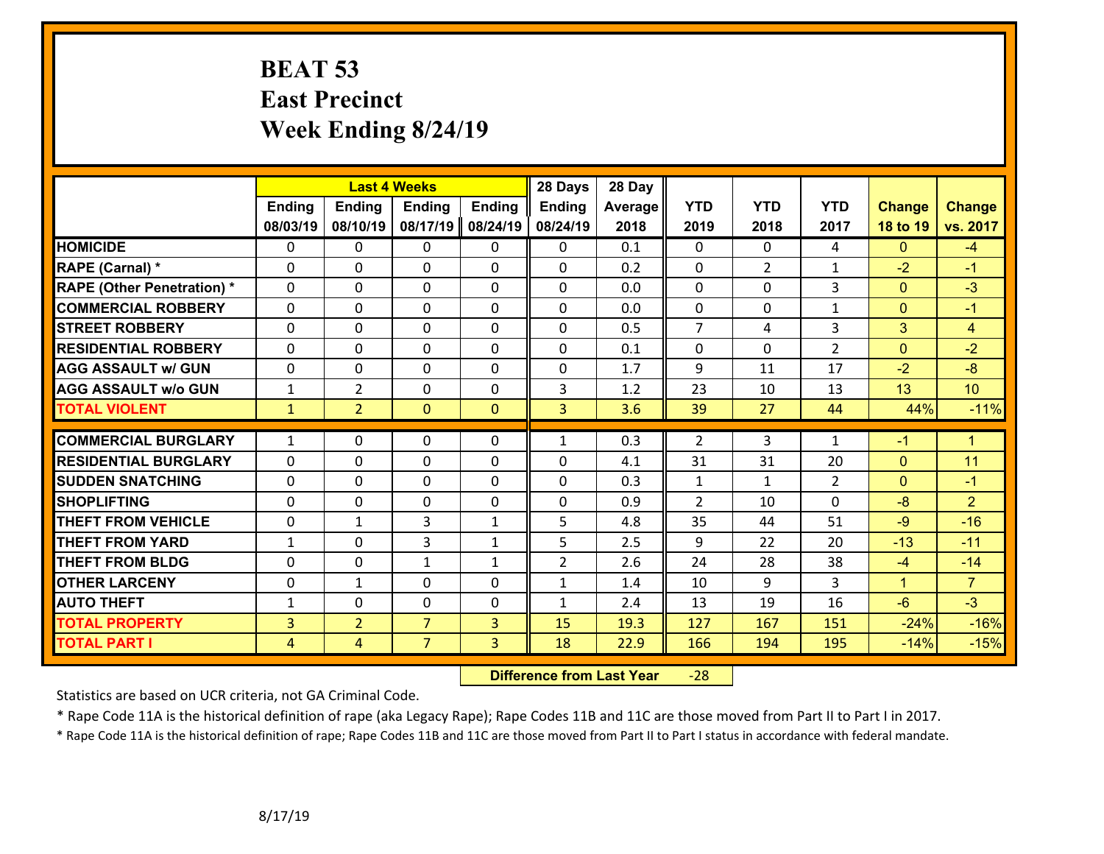### **BEAT 53 East Precinct Week Ending 8/24/19**

|                                   |                | <b>Last 4 Weeks</b> |                |               | 28 Days        | 28 Day  |                |                |                |                      |                |
|-----------------------------------|----------------|---------------------|----------------|---------------|----------------|---------|----------------|----------------|----------------|----------------------|----------------|
|                                   | Ending         | <b>Ending</b>       | <b>Ending</b>  | <b>Ending</b> | <b>Ending</b>  | Average | <b>YTD</b>     | <b>YTD</b>     | <b>YTD</b>     | <b>Change</b>        | <b>Change</b>  |
|                                   | 08/03/19       | 08/10/19            | 08/17/19       | 08/24/19      | 08/24/19       | 2018    | 2019           | 2018           | 2017           | 18 to 19             | vs. 2017       |
| <b>HOMICIDE</b>                   | $\Omega$       | 0                   | $\Omega$       | 0             | $\Omega$       | 0.1     | $\Omega$       | 0              | 4              | $\Omega$             | $-4$           |
| RAPE (Carnal) *                   | $\Omega$       | $\Omega$            | $\Omega$       | $\Omega$      | 0              | 0.2     | $\Omega$       | $\overline{2}$ | $\mathbf{1}$   | $-2$                 | $-1$           |
| <b>RAPE (Other Penetration) *</b> | $\mathbf 0$    | 0                   | $\mathbf 0$    | 0             | $\Omega$       | 0.0     | 0              | $\Omega$       | 3              | $\mathbf{0}$         | $-3$           |
| <b>COMMERCIAL ROBBERY</b>         | $\mathbf 0$    | 0                   | $\mathbf 0$    | 0             | 0              | 0.0     | $\mathbf 0$    | 0              | $\mathbf{1}$   | $\mathbf{0}$         | $-1$           |
| <b>STREET ROBBERY</b>             | $\mathbf 0$    | 0                   | $\mathbf 0$    | 0             | 0              | 0.5     | $\overline{7}$ | 4              | 3              | 3                    | $\overline{4}$ |
| <b>RESIDENTIAL ROBBERY</b>        | $\mathbf 0$    | 0                   | $\mathbf 0$    | 0             | 0              | 0.1     | $\mathbf{0}$   | 0              | $\overline{2}$ | $\mathbf{0}$         | $-2$           |
| <b>AGG ASSAULT w/ GUN</b>         | $\mathbf 0$    | 0                   | $\mathbf 0$    | 0             | 0              | 1.7     | 9              | 11             | 17             | $-2$                 | $-8$           |
| <b>AGG ASSAULT w/o GUN</b>        | $\mathbf 1$    | $\overline{2}$      | 0              | 0             | 3              | 1.2     | 23             | 10             | 13             | 13                   | 10             |
| <b>TOTAL VIOLENT</b>              | $\mathbf{1}$   | $\overline{2}$      | $\overline{0}$ | $\mathbf{0}$  | $\overline{3}$ | 3.6     | 39             | 27             | 44             | 44%                  | $-11%$         |
| <b>COMMERCIAL BURGLARY</b>        | $\mathbf{1}$   | 0                   | $\mathbf{0}$   | $\Omega$      | $\mathbf{1}$   | 0.3     | 2              | 3              | $\mathbf{1}$   | $-1$                 | $\mathbf{1}$   |
| <b>RESIDENTIAL BURGLARY</b>       | $\mathbf{0}$   | 0                   | $\mathbf{0}$   | 0             | 0              | 4.1     | 31             | 31             | 20             | $\mathbf{0}$         | 11             |
| <b>SUDDEN SNATCHING</b>           | $\mathbf 0$    | 0                   | $\mathbf{0}$   | 0             | 0              | 0.3     | $\mathbf{1}$   | $\mathbf{1}$   | $\overline{2}$ | $\mathbf{0}$         | $-1$           |
| <b>SHOPLIFTING</b>                | $\mathbf 0$    | 0                   | $\mathbf 0$    | 0             | 0              | 0.9     | $\overline{2}$ | 10             | $\Omega$       | $-8$                 | $\overline{2}$ |
| <b>THEFT FROM VEHICLE</b>         | $\mathbf 0$    | $\mathbf{1}$        | 3              | $\mathbf{1}$  | 5              | 4.8     | 35             | 44             | 51             | $-9$                 | $-16$          |
| <b>THEFT FROM YARD</b>            | $\mathbf{1}$   | 0                   | 3              | $\mathbf{1}$  | 5              | 2.5     | 9              | 22             | 20             | $-13$                | $-11$          |
| <b>THEFT FROM BLDG</b>            | $\mathbf 0$    | 0                   | $\mathbf{1}$   | $\mathbf{1}$  | $\overline{2}$ | 2.6     | 24             | 28             | 38             | $-4$                 | $-14$          |
| <b>OTHER LARCENY</b>              | $\mathbf 0$    | $\mathbf{1}$        | $\mathbf 0$    | 0             | $\mathbf{1}$   | 1.4     | 10             | 9              | 3              | $\blacktriangleleft$ | $\overline{7}$ |
| <b>AUTO THEFT</b>                 | $\mathbf{1}$   | 0                   | $\mathbf 0$    | 0             | $\mathbf{1}$   | 2.4     | 13             | 19             | 16             | $-6$                 | $-3$           |
| <b>TOTAL PROPERTY</b>             | $\overline{3}$ | $\overline{2}$      | $\overline{7}$ | 3             | 15             | 19.3    | 127            | 167            | 151            | $-24%$               | $-16%$         |
| <b>TOTAL PART I</b>               | $\overline{4}$ | 4                   | $\overline{7}$ | 3             | 18             | 22.9    | 166            | 194            | 195            | $-14%$               | $-15%$         |
|                                   |                |                     |                |               |                |         |                |                |                |                      |                |

 **Difference from Last Year**‐28

Statistics are based on UCR criteria, not GA Criminal Code.

\* Rape Code 11A is the historical definition of rape (aka Legacy Rape); Rape Codes 11B and 11C are those moved from Part II to Part I in 2017.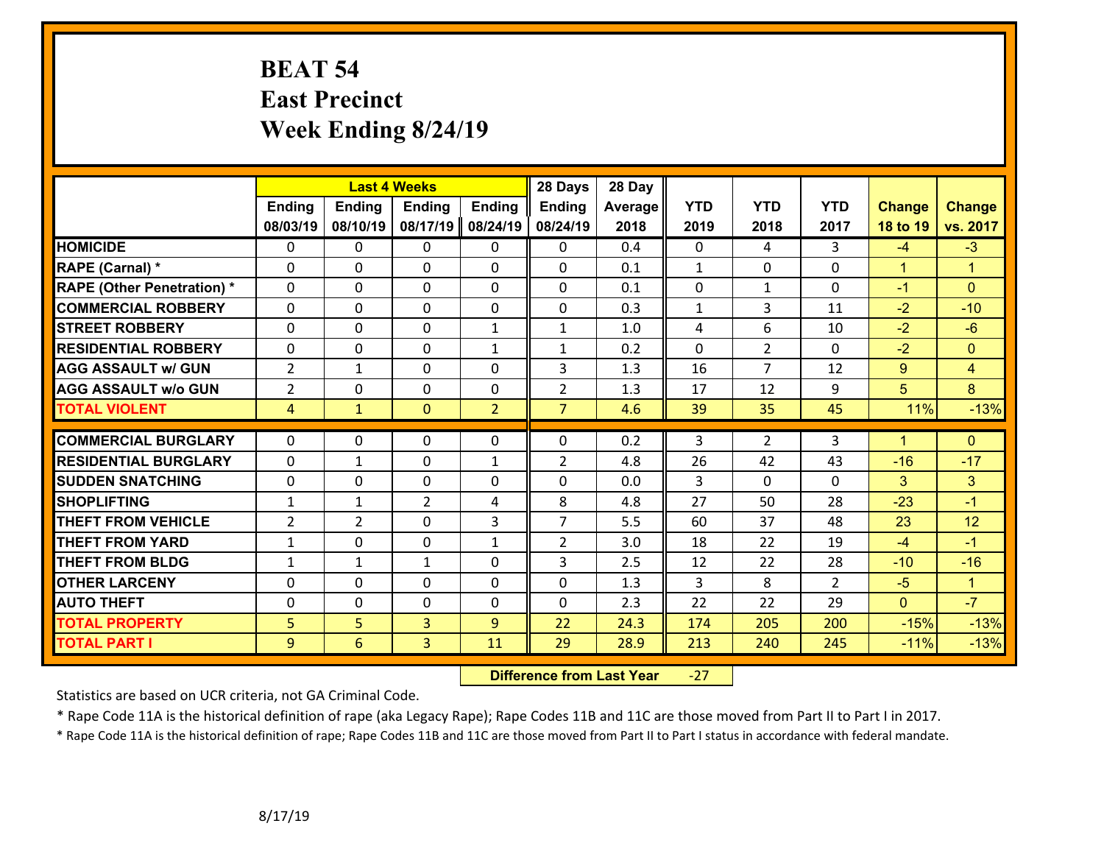## **BEAT 54 East Precinct Week Ending 8/24/19**

|                                   |                | <b>Last 4 Weeks</b> |                |                | 28 Days        | 28 Day         |                |                |                |                      |                |
|-----------------------------------|----------------|---------------------|----------------|----------------|----------------|----------------|----------------|----------------|----------------|----------------------|----------------|
|                                   | <b>Ending</b>  | <b>Ending</b>       | <b>Ending</b>  | <b>Ending</b>  | <b>Ending</b>  | <b>Average</b> | <b>YTD</b>     | <b>YTD</b>     | <b>YTD</b>     | <b>Change</b>        | <b>Change</b>  |
|                                   | 08/03/19       | 08/10/19            | 08/17/19       | 08/24/19       | 08/24/19       | 2018           | 2019           | 2018           | 2017           | 18 to 19             | vs. 2017       |
| <b>HOMICIDE</b>                   | $\Omega$       | 0                   | $\mathbf{0}$   | $\mathbf{0}$   | 0              | 0.4            | $\mathbf{0}$   | 4              | 3              | $-4$                 | $-3$           |
| RAPE (Carnal) *                   | $\Omega$       | $\Omega$            | $\Omega$       | $\Omega$       | $\Omega$       | 0.1            | $\mathbf{1}$   | $\Omega$       | 0              | $\mathbf{1}$         | $\mathbf{1}$   |
| <b>RAPE (Other Penetration) *</b> | 0              | 0                   | 0              | 0              | 0              | 0.1            | 0              | $\mathbf{1}$   | 0              | $-1$                 | $\overline{0}$ |
| <b>COMMERCIAL ROBBERY</b>         | 0              | 0                   | $\mathbf{0}$   | 0              | 0              | 0.3            | $\mathbf{1}$   | 3              | 11             | $-2$                 | $-10$          |
| <b>STREET ROBBERY</b>             | 0              | 0                   | 0              | $\mathbf{1}$   | $\mathbf{1}$   | 1.0            | 4              | 6              | 10             | $-2$                 | $-6$           |
| <b>RESIDENTIAL ROBBERY</b>        | $\Omega$       | 0                   | 0              | $\mathbf{1}$   | 1              | 0.2            | $\Omega$       | $\overline{2}$ | $\Omega$       | $-2$                 | $\overline{0}$ |
| <b>AGG ASSAULT w/ GUN</b>         | $\overline{2}$ | $\mathbf{1}$        | 0              | 0              | 3              | 1.3            | 16             | $\overline{7}$ | 12             | 9                    | $\overline{4}$ |
| <b>AGG ASSAULT w/o GUN</b>        | $\overline{2}$ | 0                   | 0              | 0              | $\overline{2}$ | 1.3            | 17             | 12             | 9              | 5                    | 8              |
| <b>TOTAL VIOLENT</b>              | $\overline{4}$ | $\mathbf{1}$        | $\mathbf{0}$   | $\overline{2}$ | $\overline{7}$ | 4.6            | 39             | 35             | 45             | 11%                  | $-13%$         |
|                                   |                |                     |                |                |                |                |                |                |                |                      |                |
| <b>COMMERCIAL BURGLARY</b>        | $\Omega$       | 0                   | $\mathbf{0}$   | 0              | 0              | 0.2            | 3              | $\overline{2}$ | 3              | $\blacktriangleleft$ | $\overline{0}$ |
| <b>RESIDENTIAL BURGLARY</b>       | 0              | $\mathbf{1}$        | 0              | $\mathbf{1}$   | $\overline{2}$ | 4.8            | 26             | 42             | 43             | $-16$                | $-17$          |
| <b>SUDDEN SNATCHING</b>           | 0              | 0                   | $\mathbf{0}$   | 0              | 0              | 0.0            | $\overline{3}$ | $\Omega$       | $\Omega$       | 3                    | 3 <sup>1</sup> |
| <b>SHOPLIFTING</b>                | $\mathbf{1}$   | $\mathbf{1}$        | $\overline{2}$ | 4              | 8              | 4.8            | 27             | 50             | 28             | $-23$                | $-1$           |
| <b>THEFT FROM VEHICLE</b>         | 2              | $\overline{2}$      | $\Omega$       | 3              | $\overline{7}$ | 5.5            | 60             | 37             | 48             | 23                   | 12             |
| <b>THEFT FROM YARD</b>            | $\mathbf{1}$   | 0                   | 0              | $\mathbf{1}$   | $\overline{2}$ | 3.0            | 18             | 22             | 19             | $-4$                 | $-1$           |
| <b>THEFT FROM BLDG</b>            | $\mathbf{1}$   | $\mathbf{1}$        | $\mathbf{1}$   | $\Omega$       | 3              | 2.5            | 12             | 22             | 28             | $-10$                | $-16$          |
| <b>OTHER LARCENY</b>              | $\mathbf 0$    | 0                   | 0              | 0              | 0              | 1.3            | $\overline{3}$ | 8              | $\overline{2}$ | $-5$                 | $\mathbf{1}$   |
| <b>AUTO THEFT</b>                 | $\Omega$       | $\Omega$            | 0              | $\Omega$       | $\Omega$       | 2.3            | 22             | 22             | 29             | $\overline{0}$       | $-7$           |
| <b>TOTAL PROPERTY</b>             | 5              | 5                   | 3              | 9              | 22             | 24.3           | 174            | 205            | 200            | $-15%$               | $-13%$         |
| <b>TOTAL PART I</b>               | 9              | 6                   | 3              | 11             | 29             | 28.9           | 213            | 240            | 245            | $-11%$               | $-13%$         |

 **Difference from Last Year**‐27

Statistics are based on UCR criteria, not GA Criminal Code.

\* Rape Code 11A is the historical definition of rape (aka Legacy Rape); Rape Codes 11B and 11C are those moved from Part II to Part I in 2017.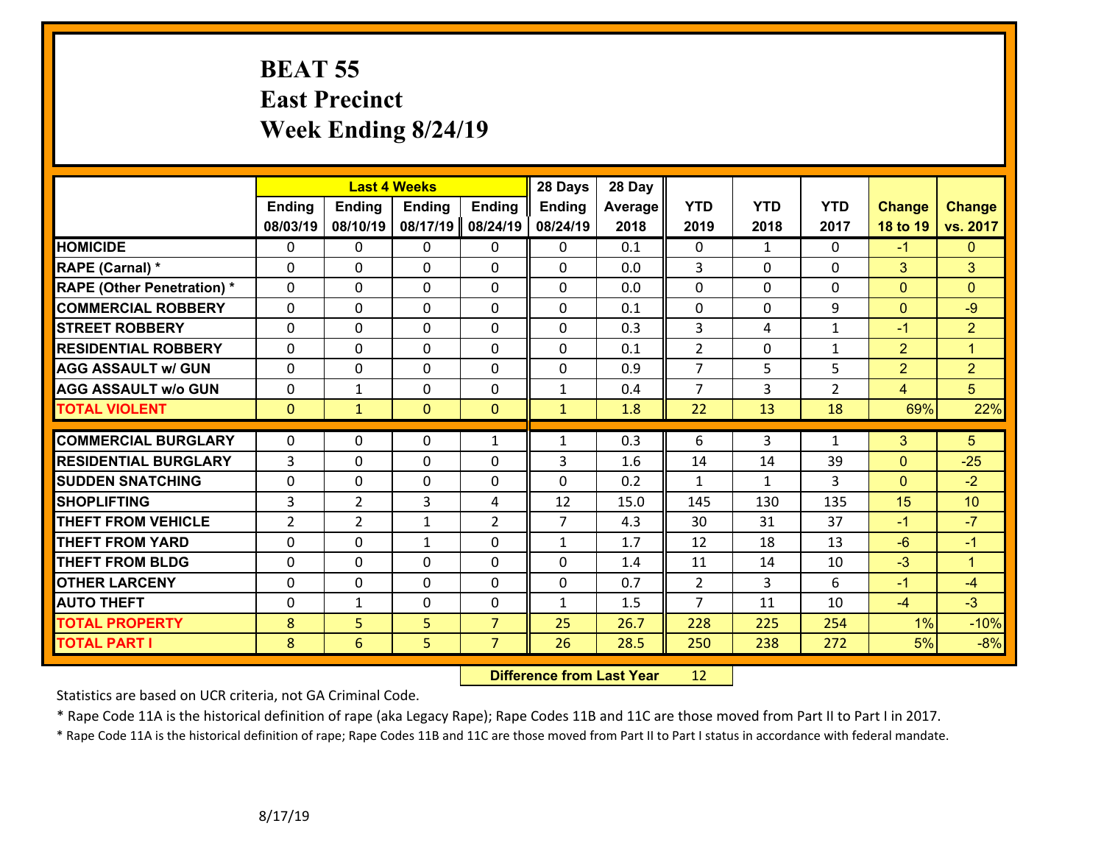### **BEAT 55 East Precinct Week Ending 8/24/19**

|                                   |                | <b>Last 4 Weeks</b> |                |                | 28 Days        | 28 Day  |                |              |                |                |                 |
|-----------------------------------|----------------|---------------------|----------------|----------------|----------------|---------|----------------|--------------|----------------|----------------|-----------------|
|                                   | <b>Ending</b>  | <b>Ending</b>       | <b>Ending</b>  | <b>Ending</b>  | <b>Ending</b>  | Average | <b>YTD</b>     | <b>YTD</b>   | <b>YTD</b>     | <b>Change</b>  | <b>Change</b>   |
|                                   | 08/03/19       | 08/10/19            | 08/17/19       | 08/24/19       | 08/24/19       | 2018    | 2019           | 2018         | 2017           | 18 to 19       | vs. 2017        |
| <b>HOMICIDE</b>                   | $\Omega$       | 0                   | $\Omega$       | $\Omega$       | $\Omega$       | 0.1     | $\Omega$       | $\mathbf{1}$ | $\Omega$       | $-1$           | $\Omega$        |
| RAPE (Carnal) *                   | $\Omega$       | 0                   | $\mathbf{0}$   | $\Omega$       | 0              | 0.0     | 3              | $\Omega$     | 0              | 3              | 3               |
| <b>RAPE (Other Penetration) *</b> | $\Omega$       | 0                   | $\mathbf{0}$   | 0              | $\Omega$       | 0.0     | $\mathbf{0}$   | $\Omega$     | 0              | $\mathbf{0}$   | $\Omega$        |
| <b>COMMERCIAL ROBBERY</b>         | $\mathbf 0$    | 0                   | $\mathbf 0$    | 0              | 0              | 0.1     | $\mathbf 0$    | $\Omega$     | 9              | $\Omega$       | $-9$            |
| <b>STREET ROBBERY</b>             | $\mathbf 0$    | 0                   | $\mathbf 0$    | $\mathbf 0$    | $\Omega$       | 0.3     | $\overline{3}$ | 4            | $\mathbf{1}$   | $-1$           | $\overline{2}$  |
| <b>RESIDENTIAL ROBBERY</b>        | $\mathbf 0$    | 0                   | $\mathbf 0$    | 0              | 0              | 0.1     | $\overline{2}$ | 0            | $\mathbf{1}$   | $\overline{2}$ | $\mathbf{1}$    |
| <b>AGG ASSAULT w/ GUN</b>         | $\mathbf 0$    | 0                   | $\mathbf 0$    | 0              | 0              | 0.9     | $\overline{7}$ | 5            | 5              | $\overline{2}$ | $\overline{2}$  |
| <b>AGG ASSAULT W/o GUN</b>        | $\mathbf 0$    | 1                   | $\mathbf{0}$   | 0              | $\mathbf 1$    | 0.4     | $\overline{7}$ | 3            | $\overline{2}$ | $\overline{4}$ | 5 <sup>5</sup>  |
| <b>TOTAL VIOLENT</b>              | $\overline{0}$ | $\mathbf{1}$        | $\mathbf{0}$   | $\mathbf{0}$   | $\mathbf{1}$   | 1.8     | 22             | 13           | 18             | 69%            | 22%             |
|                                   | $\Omega$       |                     |                |                |                |         |                |              |                |                |                 |
| <b>COMMERCIAL BURGLARY</b>        |                | 0                   | $\mathbf{0}$   | $\mathbf{1}$   | $\mathbf{1}$   | 0.3     | 6              | 3            | $\mathbf{1}$   | 3              | 5 <sup>1</sup>  |
| <b>RESIDENTIAL BURGLARY</b>       | 3              | 0                   | $\mathbf{0}$   | 0              | 3              | 1.6     | 14             | 14           | 39             | $\mathbf{0}$   | $-25$           |
| <b>SUDDEN SNATCHING</b>           | $\mathbf 0$    | 0                   | $\mathbf 0$    | 0              | $\Omega$       | 0.2     | $\mathbf{1}$   | $\mathbf{1}$ | 3              | $\Omega$       | $-2$            |
| <b>SHOPLIFTING</b>                | 3              | $\overline{2}$      | $\overline{3}$ | 4              | 12             | 15.0    | 145            | 130          | 135            | 15             | 10 <sup>°</sup> |
| <b>THEFT FROM VEHICLE</b>         | $\overline{2}$ | $\overline{2}$      | $\mathbf{1}$   | $\overline{2}$ | $\overline{7}$ | 4.3     | 30             | 31           | 37             | $-1$           | $-7$            |
| <b>THEFT FROM YARD</b>            | $\mathbf 0$    | 0                   | $\mathbf{1}$   | 0              | $\mathbf{1}$   | 1.7     | 12             | 18           | 13             | $-6$           | $-1$            |
| <b>THEFT FROM BLDG</b>            | $\Omega$       | 0                   | $\Omega$       | $\Omega$       | 0              | 1.4     | 11             | 14           | 10             | $-3$           | $\mathbf{1}$    |
| <b>OTHER LARCENY</b>              | $\mathbf 0$    | 0                   | $\mathbf{0}$   | $\Omega$       | $\mathbf 0$    | 0.7     | $\overline{2}$ | 3            | 6              | $-1$           | $-4$            |
| <b>AUTO THEFT</b>                 | $\mathbf 0$    | $\mathbf{1}$        | $\mathbf 0$    | 0              | $\mathbf{1}$   | 1.5     | $\overline{7}$ | 11           | 10             | $-4$           | $-3$            |
| <b>TOTAL PROPERTY</b>             | 8              | 5                   | 5              | $\overline{7}$ | 25             | 26.7    | 228            | 225          | 254            | 1%             | $-10%$          |
| <b>TOTAL PART I</b>               | 8              | $6\overline{6}$     | 5              | $\overline{7}$ | 26             | 28.5    | 250            | 238          | 272            | 5%             | $-8%$           |

 **Difference from Last Year**r 12

Statistics are based on UCR criteria, not GA Criminal Code.

\* Rape Code 11A is the historical definition of rape (aka Legacy Rape); Rape Codes 11B and 11C are those moved from Part II to Part I in 2017.